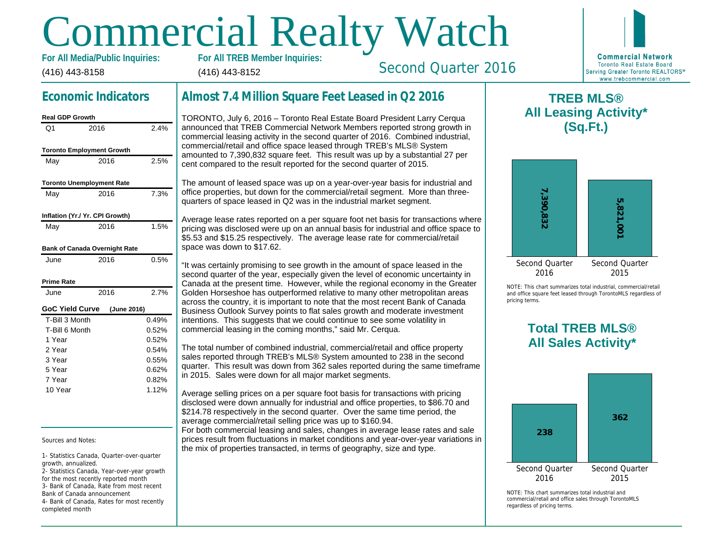# Commercial Realty Watch

(416) 443-8158 For All Media/Public Inquiries: (416) 443-8152

Second Quarter 2016

## Economic Indicators

| <b>Real GDP Growth</b>           |             |       |
|----------------------------------|-------------|-------|
| O1                               | 2016        | 2.4%  |
| <b>Toronto Employment Growth</b> |             |       |
| May                              | 2016        | 2.5%  |
| <b>Toronto Unemployment Rate</b> |             |       |
| May                              | 2016        | 7.3%  |
| Inflation (Yr./ Yr. CPI Growth)  |             |       |
| May                              | 2016        | 1.5%  |
| Bank of Canada Overnight Rate    |             |       |
| June                             | 2016        | 0.5%  |
| Prime Rate                       |             |       |
| June                             | 2016        | 2.7%  |
| <b>GoC Yield Curve</b>           | (June 2016) |       |
| T-Bill 3 Month                   |             | 0.49% |
| T-Bill 6 Month                   |             | 0.52% |
| 1 Year                           |             | 0.52% |
| 2 Year                           |             | 0.54% |
| 3 Year                           |             | 0.55% |
| 5 Year                           |             | 0.62% |
| 7 Year                           |             | 0.82% |
| 10 Year                          |             | 1.12% |

Sources and Notes:

1- Statistics Canada, Quarter-over-quarter growth, annualized.

2- Statistics Canada, Year-over-year growth for the most recently reported month 3- Bank of Canada, Rate from most recent

Bank of Canada announcement 4- Bank of Canada, Rates for most recently completed month

## Almost 7.4 Million Square Feet Leased in Q2 2016

TORONTO, July 6, 2016 – Toronto Real Estate Board President Larry Cerqua announced that TREB Commercial Network Members reported strong growth in commercial leasing activity in the second quarter of 2016. Combined industrial, commercial/retail and office space leased through TREB's MLS® System amounted to 7,390,832 square feet. This result was up by a substantial 27 per cent compared to the result reported for the second quarter of 2015.

The amount of leased space was up on a year-over-year basis for industrial and office properties, but down for the commercial/retail segment. More than threequarters of space leased in Q2 was in the industrial market segment.

Average lease rates reported on a per square foot net basis for transactions where pricing was disclosed were up on an annual basis for industrial and office space to \$5.53 and \$15.25 respectively. The average lease rate for commercial/retail space was down to \$17.62.

"It was certainly promising to see growth in the amount of space leased in the second quarter of the year, especially given the level of economic uncertainty in Canada at the present time. However, while the regional economy in the Greater Golden Horseshoe has outperformed relative to many other metropolitan areas across the country, it is important to note that the most recent Bank of Canada Business Outlook Survey points to flat sales growth and moderate investment intentions. This suggests that we could continue to see some volatility in commercial leasing in the coming months," said Mr. Cerqua.

The total number of combined industrial, commercial/retail and office property sales reported through TREB's MLS® System amounted to 238 in the second quarter. This result was down from 362 sales reported during the same timeframe in 2015. Sales were down for all major market segments.

Average selling prices on a per square foot basis for transactions with pricing disclosed were down annually for industrial and office properties, to \$86.70 and \$214.78 respectively in the second quarter. Over the same time period, the average commercial/retail selling price was up to \$160.94. For both commercial leasing and sales, changes in average lease rates and sale

prices result from fluctuations in market conditions and year-over-year variations in the mix of properties transacted, in terms of geography, size and type.

 $\mathsf T$ **All Lea** 

NOTE: This chart sur and office square fee pricing terms.

## Total All Sa

 $NOTF: This chart sur$ commercial/retail and regardless of pricing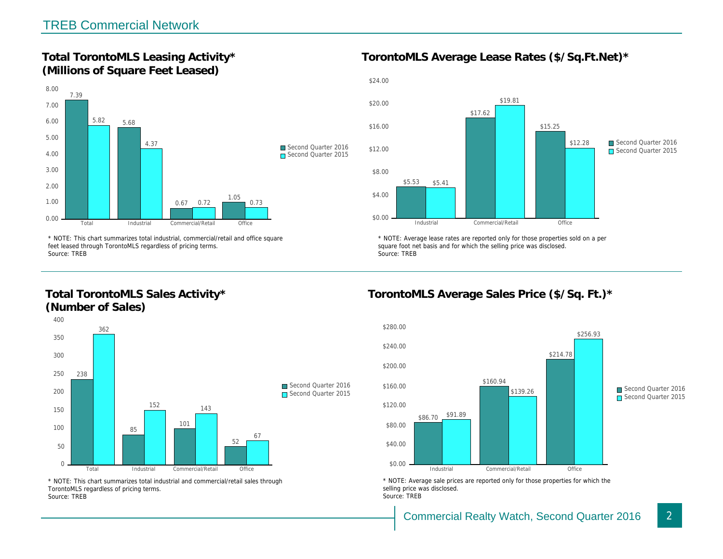Total TorontoMLS Leasing Activity\* (Millions of Square Feet Leased)

TorontoMLS Average Lease Rates (\$/Sq.

\* NOTE: This chart summarizes total industrial, commercial/retail and office square feet leased through TorontoMLS regardless of pricing terms. Source: TREB

Total TorontoMLS Sales Activity\* (Number of Sales)

\* NOTE: Average lease rates are reported only for those proper square foot net basis and for which the selling price was disclos Source: TREB

TorontoMLS Average Sales Price (\$/Sq.

\* NOTE: This chart summarizes total industrial and commercial/retail sales through TorontoMLS regardless of pricing terms. Source: TREB

\* NOTE: Average sale prices are reported only for those prope selling price was disclosed. Source: TREB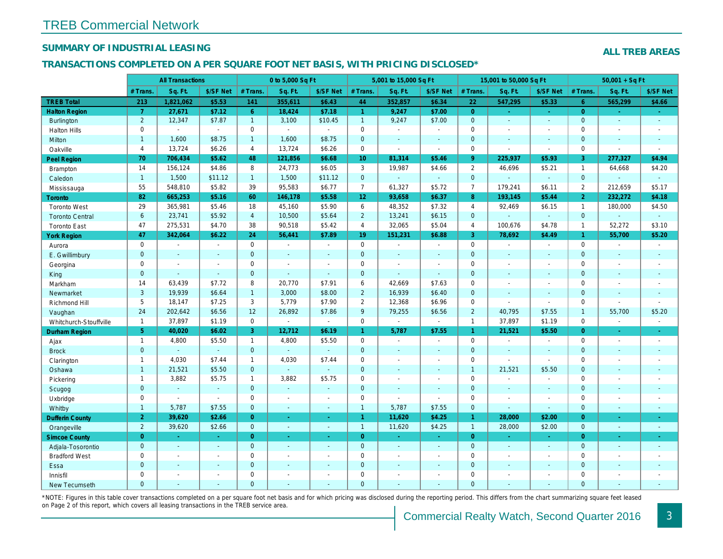## SUMMARY OF INDUSTRIAL LEASING

#### TRANSACTIONS COMPLETED ON A PER SQUARE FOOT NET BASIS, WITH PRICING DISCLOSED\*

|                        |                | <b>All Transactions</b>  |                          |                | 0 to 5,000 Sq Ft |                          |                     | 5,001 to 15,000 Sq Ft |                  |                      | 15,001 to 50,000 Sq Ft |                      |
|------------------------|----------------|--------------------------|--------------------------|----------------|------------------|--------------------------|---------------------|-----------------------|------------------|----------------------|------------------------|----------------------|
|                        | # Trans.       | Sq. Ft.                  | \$/SF Net                | # Trans.       | Sq. Ft.          | \$/SF Net                | # Trans.            | Sq. Ft.               | \$/SF Net        | # Trans.             | Sq. Ft.                | \$/SF Ne             |
| <b>TREB Total</b>      | 213            | 1,821,062                | \$5.53                   | 141            | 355,611          | \$6.43                   | 44                  | 352,857               | \$6.34           | 22                   | 547,295                | \$5.33               |
| <b>Halton Region</b>   | $\overline{7}$ | 27,671                   | \$7.12                   | 6 <sup>1</sup> | 18,424           | \$7.18                   | $\mathbf{1}$        | 9,247                 | \$7.00           | $\overline{0}$       | $\omega$               | $\sim$               |
| <b>Burlington</b>      | $\overline{2}$ | 12,347                   | \$7.87                   | $\mathbf{1}$   | 3,100            | \$10.45                  | $\mathbf{1}$        | 9,247                 | \$7.00           | $\mathbf{0}$         | $\omega$               | $\omega$             |
| <b>Halton Hills</b>    | 0              |                          | $\blacksquare$           | 0              | $\sim$           | $\sim$                   | $\mathsf 0$         | $\blacksquare$        | ä,               | $\mathbf 0$          | $\blacksquare$         | $\blacksquare$       |
| Milton                 | $\mathbf{1}$   | 1,600                    | \$8.75                   | $\mathbf{1}$   | 1,600            | \$8.75                   | $\pmb{0}$           | $\omega$              | $\omega$         | $\mathbf{0}$         | $\omega$               | $\blacksquare$       |
| Oakville               | $\overline{4}$ | 13,724                   | \$6.26                   | $\overline{4}$ | 13,724           | \$6.26                   | $\mathsf{O}$        | $\blacksquare$        | $\blacksquare$   | $\mathbf 0$          | $\blacksquare$         | $\blacksquare$       |
| Peel Region            | 70             | 706,434                  | \$5.62                   | 48             | 121,856          | \$6.68                   | 10 <sub>1</sub>     | 81,314                | \$5.46           | 9 <sup>°</sup>       | 225,937                | \$5.93               |
| <b>Brampton</b>        | 14             | 156,124                  | \$4.86                   | 8              | 24,773           | \$6.05                   | 3                   | 19,987                | \$4.66           | 2                    | 46,696                 | \$5.21               |
| Caledon                | $\overline{1}$ | 1,500                    | \$11.12                  | 1 <sup>1</sup> | 1,500            | \$11.12                  | $\mathbf{0}$        | $\omega_{\rm c}$      | $\omega_{\rm c}$ | $\overline{0}$       | $\omega$               | $\omega$             |
| Mississauga            | 55             | 548,810                  | \$5.82                   | 39             | 95,583           | \$6.77                   | $\overline{7}$      | 61,327                | \$5.72           | $\overline{7}$       | 179,241                | \$6.11               |
| Toronto                | 82             | 665,253                  | \$5.16                   | 60             | 146,178          | \$5.58                   | 12 <sub>2</sub>     | 93,658                | \$6.37           | 8                    | 193,145                | \$5.44               |
| <b>Toronto West</b>    | 29             | 365,981                  | \$5.46                   | 18             | 45,160           | \$5.90                   | 6                   | 48,352                | \$7.32           | $\overline{4}$       | 92,469                 | \$6.15               |
| <b>Toronto Central</b> | 6              | 23,741                   | \$5.92                   | $\overline{4}$ | 10,500           | \$5.64                   | $\overline{2}$      | 13,241                | \$6.15           | $\mathbf{0}$         |                        | $\sim$               |
| <b>Toronto East</b>    | 47             | 275,531                  | \$4.70                   | 38             | 90,518           | \$5.42                   | $\overline{4}$      | 32,065                | \$5.04           | $\overline{4}$       | 100,676                | \$4.78               |
| <b>York Region</b>     | 47             | 342,064                  | \$6.22                   | 24             | 56,441           | \$7.89                   | 19                  | 151,231               | \$6.88           | $\mathbf{3}$         | 78,692                 | \$4.49               |
| Aurora                 | $\mathbf 0$    | $\sim$                   | $\sim$                   | $\Omega$       | $\sim$           | $\blacksquare$           | $\mathsf{O}$        | $\blacksquare$        | $\omega$ .       | $\mathbf 0$          | $\blacksquare$         | $\sim$               |
| E. Gwillimbury         | $\mathbf{0}$   | $\sim$                   | $\sim$                   | $\mathbf 0$    | $\blacksquare$   | $\blacksquare$           | $\mathbf 0$         | $\blacksquare$        | $\blacksquare$   | $\mathbf{0}$         | $\omega$               | $\blacksquare$       |
| Georgina               | $\mathbf 0$    | $\sim$                   | $\sim$                   | 0              | $\blacksquare$   | $\blacksquare$           | $\mathbf 0$         | $\blacksquare$        | $\sim$           | $\mathbf 0$          | $\omega$               | $\blacksquare$       |
| King                   | $\mathbf{0}$   | $\sim$                   | $\sim$                   | $\mathbf 0$    | $\mathbf{r}$     | $\blacksquare$           | $\mathbf 0$         | $\blacksquare$        | $\sim$           | $\mathbf{0}$         | $\sim$                 | $\blacksquare$       |
| Markham                | 14             | 63,439                   | \$7.72                   | 8              | 20,770           | \$7.91                   | 6                   | 42,669                | \$7.63           | $\mathbf 0$          | $\blacksquare$         | $\blacksquare$       |
| Newmarket              | 3              | 19,939                   | \$6.64                   | $\mathbf{1}$   | 3,000            | \$8.00                   | $\overline{2}$      | 16,939                | \$6.40           | $\mathbf{0}$         | $\blacksquare$         | $\blacksquare$       |
| Richmond Hill          | 5              | 18,147                   | \$7.25                   | 3              | 5,779            | \$7.90                   | $\overline{2}$      | 12,368                | \$6.96           | $\mathbf 0$          | $\blacksquare$         | $\blacksquare$       |
| Vaughan                | 24             | 202,642                  | \$6.56                   | 12             | 26,892           | \$7.86                   | $9\,$               | 79,255                | \$6.56           | $\overline{2}$       | 40,795                 | \$7.55               |
| Whitchurch-Stouffville | $\mathbf{1}$   | 37,897                   | \$1.19                   | 0              | $\blacksquare$   | $\blacksquare$           | $\mathsf{O}$        | $\blacksquare$        | $\sim$           | $\mathbf{1}$         | 37,897                 | \$1.19               |
| Durham Region          | 5 <sup>5</sup> | 40,020                   | \$6.02                   | 3              | 12,712           | \$6.19                   | $\mathbf{1}$        | 5,787                 | \$7.55           | $\mathbf{1}$         | 21,521                 | \$5.50               |
| Ajax                   | $\mathbf{1}$   | 4,800                    | \$5.50                   | $\mathbf{1}$   | 4,800            | \$5.50                   | $\mathbf 0$         | $\blacksquare$        | $\blacksquare$   | $\mathbf 0$          | $\blacksquare$         | $\blacksquare$       |
| <b>Brock</b>           | $\overline{0}$ | $\omega$                 | $\omega$                 | $\mathbf{0}$   | $\omega$         | $\omega$                 | $\mathbf{0}$        | $\blacksquare$        | $\blacksquare$   | $\mathbf{0}$         | $\omega$               | $\blacksquare$       |
| Clarington             | $\mathbf{1}$   | 4,030                    | \$7.44                   | $\mathbf{1}$   | 4,030            | \$7.44                   | $\mathsf{O}$        | $\blacksquare$        | $\blacksquare$   | $\mathbf 0$          | $\overline{a}$         | $\blacksquare$       |
| Oshawa                 | $\mathbf{1}$   | 21,521                   | \$5.50                   | $\mathbf{0}$   | $\sim$           | $\mathbf{r}$             | $\mathbf{0}$        | $\blacksquare$        | $\sim$           | $\mathbf{1}$         | 21,521                 | \$5.50               |
| Pickering              | $\mathbf{1}$   | 3,882                    | \$5.75                   | $\mathbf{1}$   | 3,882            | \$5.75                   | $\mathsf{O}\xspace$ | ÷,                    | $\blacksquare$   | $\mathbf 0$          | ÷,                     | $\blacksquare$       |
| Scugog                 | $\mathbf{0}$   | $\sim$                   | $\sim$                   | $\mathbf 0$    | ä,               | $\blacksquare$           | $\pmb{0}$           | $\blacksquare$        | $\blacksquare$   | $\mathbf{0}$         | $\omega$               | $\blacksquare$       |
| Uxbridge               | 0              | $\blacksquare$           | $\sim$                   | 0              | $\sim$           | $\blacksquare$           | $\mathbf 0$         | ä,                    | $\mathbf{r}$     | $\mathbf 0$          | $\blacksquare$         | $\blacksquare$       |
| Whitby                 | $\mathbf{1}$   | 5,787                    | \$7.55                   | $\mathbf 0$    | $\sim$           | $\blacksquare$           | $\mathbf{1}$        | 5,787                 | \$7.55           | $\mathbf{0}$         | $\omega$               | $\blacksquare$       |
| <b>Dufferin County</b> | $\overline{2}$ | 39,620                   | \$2.66                   | $\overline{0}$ | $\sim$           | $\sim$                   | $\mathbf{1}$        | 11,620                | \$4.25           | $\blacktriangleleft$ | 28,000                 | \$2.00               |
| Orangeville            | $\overline{2}$ | 39,620                   | \$2.66                   | $\mathbf 0$    | $\omega$         | $\sim$                   | $\mathbf{1}$        | 11,620                | \$4.25           | $\overline{1}$       | 28,000                 | \$2.00               |
| <b>Simcoe County</b>   | $\overline{0}$ | $\bullet$                | $\sim$                   | $\overline{0}$ | $\omega$         | $\blacksquare$           | $\overline{0}$      | $\omega_{\rm c}$      | $\omega_{\rm c}$ | $\overline{0}$       | $\blacksquare$         | $\frac{1}{\sqrt{2}}$ |
| Adjala-Tosorontio      | $\mathbf{0}$   | $\sim$                   | $\sim$                   | $\mathbf{0}$   | $\mathbf{r}$     | $\sim$                   | $\mathbf{0}$        | $\blacksquare$        | $\blacksquare$   | $\mathbf 0$          | $\blacksquare$         | $\sim$               |
| <b>Bradford West</b>   | 0              | $\sim$                   | $\overline{\phantom{a}}$ | 0              | $\sim$           | $\overline{\phantom{a}}$ | $\mathbf 0$         | $\blacksquare$        | $\sim$           | $\mathbf 0$          | $\blacksquare$         | $\sim$               |
| Essa                   | $\mathbf 0$    | $\sim$                   | $\sim$                   | $\mathbf 0$    | $\overline{a}$   | $\sim$                   | $\pmb{0}$           | ÷.                    | $\blacksquare$   | $\mathbf 0$          | $\sim$                 | $\blacksquare$       |
| Innisfil               | 0              | $\overline{\phantom{a}}$ | $\overline{\phantom{a}}$ | $\mathbf 0$    | $\blacksquare$   | $\blacksquare$           | $\mathsf 0$         | $\blacksquare$        | $\blacksquare$   | $\mathbf 0$          | $\blacksquare$         | $\blacksquare$       |
| <b>New Tecumseth</b>   | $\Omega$       | $\sim$                   |                          | $\Omega$       | ä,               | ÷                        | $\mathbf{0}$        | ä,                    | ä,               | $\Omega$             | $\omega$               | $\blacksquare$       |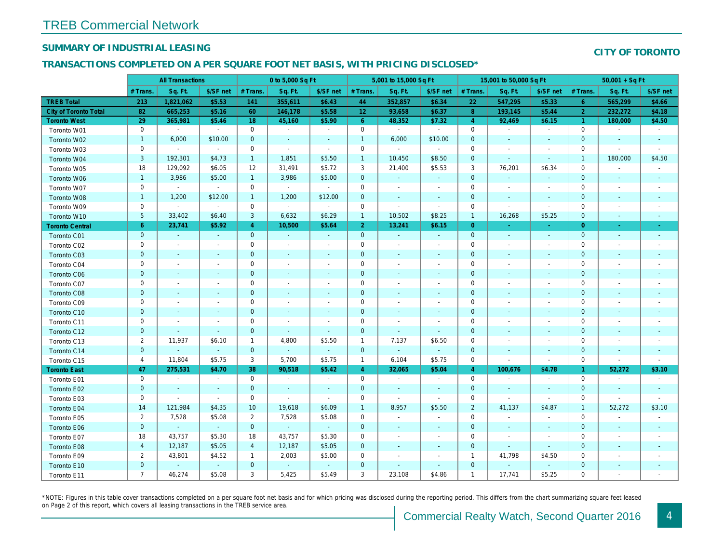## SUMMARY OF INDUSTRIAL LEASING

#### TRANSACTIONS COMPLETED ON A PER SQUARE FOOT NET BASIS, WITH PRICING DISCLOSED\*

|                              |                | <b>All Transactions</b>  |                |                | 0 to 5,000 Sq Ft |                          |                 | 5,001 to 15,000 Sq Ft    |                          |                | 15,001 to 50,000 Sq Ft   |                          |
|------------------------------|----------------|--------------------------|----------------|----------------|------------------|--------------------------|-----------------|--------------------------|--------------------------|----------------|--------------------------|--------------------------|
|                              | # Trans.       | Sq. Ft.                  | \$/SF net      | # Trans.       | Sq. Ft.          | \$/SF net                | # Trans.        | Sq. Ft.                  | \$/SF net                | # Trans.       | Sq. Ft.                  | \$/SF ne                 |
| <b>TREB Total</b>            | 213            | 1,821,062                | \$5.53         | 141            | 355,611          | \$6.43                   | 44              | 352,857                  | \$6.34                   | 22             | 547,295                  | \$5.33                   |
| <b>City of Toronto Total</b> | 82             | 665,253                  | \$5.16         | 60             | 146,178          | \$5.58                   | 12 <sub>1</sub> | 93,658                   | \$6.37                   | 8              | 193,145                  | \$5.44                   |
| <b>Toronto West</b>          | 29             | 365,981                  | \$5.46         | 18             | 45,160           | \$5.90                   | $6\phantom{1}6$ | 48,352                   | \$7.32                   | $\overline{4}$ | 92,469                   | \$6.15                   |
| Toronto W01                  | $\mathbf 0$    | $\sim$                   | $\blacksquare$ | $\mathbf 0$    | $\blacksquare$   | $\blacksquare$           | $\mathbf 0$     | $\blacksquare$           | $\blacksquare$           | $\mathbf 0$    | $\overline{\phantom{a}}$ | $\blacksquare$           |
| Toronto W02                  | $\mathbf{1}$   | 6,000                    | \$10.00        | $\mathbf 0$    | $\blacksquare$   | $\blacksquare$           | $\mathbf{1}$    | 6,000                    | \$10.00                  | $\mathbf 0$    | $\sim$                   | $\sim$                   |
| Toronto W03                  | $\mathbf 0$    | $\blacksquare$           | $\sim$         | $\mathbf 0$    | $\blacksquare$   | $\blacksquare$           | 0               | $\sim$                   | $\blacksquare$           | $\mathbf 0$    |                          | $\overline{\phantom{a}}$ |
| Toronto W04                  | $\mathsf 3$    | 192,301                  | \$4.73         | $\mathbf{1}$   | 1,851            | \$5.50                   | $\mathbf{1}$    | 10,450                   | \$8.50                   | $\mathbf 0$    | $\sim$                   | $\sim$                   |
| Toronto W05                  | 18             | 129,092                  | \$6.05         | 12             | 31,491           | \$5.72                   | 3               | 21,400                   | \$5.53                   | 3              | 76,201                   | \$6.34                   |
| Toronto W06                  | $\mathbf{1}$   | 3,986                    | \$5.00         | $\mathbf{1}$   | 3,986            | \$5.00                   | $\mathbf 0$     | $\blacksquare$           | $\blacksquare$           | $\mathbf 0$    | $\overline{\phantom{a}}$ | $\sim$                   |
| Toronto W07                  | $\mathbf 0$    | $\blacksquare$           | $\blacksquare$ | $\mathbf 0$    | $\blacksquare$   | $\blacksquare$           | $\mathbf 0$     | $\blacksquare$           | $\blacksquare$           | 0              | $\overline{\phantom{a}}$ | $\overline{\phantom{a}}$ |
| Toronto W08                  | $\mathbf{1}$   | 1,200                    | \$12.00        | $\mathbf{1}$   | 1,200            | \$12.00                  | $\mathbf 0$     | $\sim$                   | $\blacksquare$           | $\mathbf 0$    | $\blacksquare$           | $\sim$                   |
| Toronto W09                  | $\mathbf 0$    | $\blacksquare$           | $\sim$         | $\mathbf 0$    | $\blacksquare$   | $\blacksquare$           | $\mathbf 0$     | $\blacksquare$           | $\blacksquare$           | 0              | $\overline{\phantom{a}}$ | $\blacksquare$           |
| Toronto W10                  | 5              | 33,402                   | \$6.40         | 3              | 6,632            | \$6.29                   | $\mathbf{1}$    | 10,502                   | \$8.25                   | $\overline{1}$ | 16,268                   | \$5.25                   |
| <b>Toronto Central</b>       | $6\phantom{.}$ | 23,741                   | \$5.92         | $\overline{4}$ | 10,500           | \$5.64                   | $\overline{2}$  | 13,241                   | \$6.15                   | $\overline{0}$ | $\sim$                   | $\sim$                   |
| Toronto C01                  | $\pmb{0}$      | ◆                        | $\sim$         | $\mathbf{0}$   | $\blacksquare$   | $\blacksquare$           | $\mathbf 0$     | $\blacksquare$           | $\blacksquare$           | $\mathbf{0}$   | $\blacksquare$           | $\sim$                   |
| Toronto C02                  | 0              | $\blacksquare$           | $\blacksquare$ | $\mathbf 0$    | $\overline{a}$   | $\overline{\phantom{a}}$ | $\mathbf 0$     | $\blacksquare$           | $\blacksquare$           | 0              |                          | $\overline{\phantom{a}}$ |
| Toronto C03                  | $\pmb{0}$      | $\blacksquare$           | ٠              | $\mathbf 0$    | $\blacksquare$   | $\blacksquare$           | $\pmb{0}$       | $\blacksquare$           | $\overline{\phantom{a}}$ | $\mathbf 0$    | $\sim$                   | $\sim$                   |
| Toronto C04                  | $\mathbf 0$    | $\overline{\phantom{a}}$ | $\overline{a}$ | $\mathbf 0$    | $\blacksquare$   | $\blacksquare$           | $\mathbf 0$     | $\blacksquare$           | $\overline{a}$           | 0              |                          | $\overline{\phantom{a}}$ |
| Toronto C06                  | $\pmb{0}$      | $\blacksquare$           | $\sim$         | $\mathbf 0$    | $\blacksquare$   | $\blacksquare$           | $\pmb{0}$       | $\blacksquare$           | $\blacksquare$           | $\mathbf 0$    | $\blacksquare$           | $\overline{\phantom{a}}$ |
| Toronto C07                  | 0              | $\blacksquare$           | $\overline{a}$ | $\mathbf 0$    | $\blacksquare$   | $\blacksquare$           | $\mathbf 0$     | $\blacksquare$           | $\blacksquare$           | 0              |                          | $\overline{\phantom{a}}$ |
| Toronto C08                  | $\pmb{0}$      | $\blacksquare$           | ٠              | $\mathbf 0$    | $\blacksquare$   | $\blacksquare$           | $\mathbf 0$     | $\blacksquare$           | $\overline{\phantom{a}}$ | $\mathbf 0$    |                          | $\overline{\phantom{a}}$ |
| Toronto C09                  | 0              | $\overline{\phantom{a}}$ | ٠              | $\mathbf 0$    | $\overline{a}$   | $\overline{\phantom{a}}$ | $\mathbf 0$     | $\overline{\phantom{a}}$ |                          | 0              |                          |                          |
| Toronto C10                  | $\pmb{0}$      | $\blacksquare$           | $\blacksquare$ | $\mathbf 0$    | $\blacksquare$   | $\blacksquare$           | $\mathbf 0$     | $\blacksquare$           | $\blacksquare$           | $\mathbf 0$    | $\blacksquare$           | $\overline{\phantom{a}}$ |
| Toronto C11                  | 0              | $\sim$                   | $\overline{a}$ | $\mathbf 0$    | $\blacksquare$   | $\blacksquare$           | $\mathbf 0$     | $\blacksquare$           | $\blacksquare$           | 0              |                          | $\overline{\phantom{a}}$ |
| Toronto C12                  | $\pmb{0}$      | $\blacksquare$           | $\sim$         | $\mathbf 0$    | $\blacksquare$   | $\blacksquare$           | 0               | $\blacksquare$           | $\blacksquare$           | $\mathbf 0$    | $\overline{\phantom{a}}$ |                          |
| Toronto C13                  | $\overline{2}$ | 11,937                   | \$6.10         | $\mathbf{1}$   | 4,800            | \$5.50                   | $\overline{1}$  | 7,137                    | \$6.50                   | 0              |                          | $\overline{\phantom{a}}$ |
| Toronto C14                  | $\pmb{0}$      | $\blacksquare$           | $\omega$       | $\mathbf{0}$   | $\omega$         | $\blacksquare$           | $\pmb{0}$       | $\blacksquare$           | $\blacksquare$           | $\pmb{0}$      | $\overline{\phantom{a}}$ | $\overline{\phantom{a}}$ |
| Toronto C15                  | 4              | 11,804                   | \$5.75         | 3              | 5,700            | \$5.75                   | $\mathbf{1}$    | 6,104                    | \$5.75                   | 0              | $\overline{\phantom{a}}$ | $\blacksquare$           |
| <b>Toronto East</b>          | 47             | 275,531                  | \$4.70         | 38             | 90,518           | \$5.42                   | $\overline{4}$  | 32,065                   | \$5.04                   | 4              | 100,676                  | \$4.78                   |
| Toronto E01                  | 0              | $\sim$                   | $\sim$         | $\mathbf 0$    | $\blacksquare$   | $\blacksquare$           | $\mathbf 0$     | $\sim$                   | $\blacksquare$           | $\mathbf 0$    | $\overline{\phantom{a}}$ | $\sim$                   |
| Toronto E02                  | $\pmb{0}$      | $\sim$                   | $\sim$         | $\mathbf{0}$   | $\blacksquare$   | $\blacksquare$           | $\mathbf 0$     | $\blacksquare$           | $\blacksquare$           | $\mathbf 0$    | $\blacksquare$           | $\blacksquare$           |
| Toronto E03                  | $\mathbf 0$    | $\blacksquare$           | $\blacksquare$ | $\mathbf 0$    | ÷,               | $\blacksquare$           | $\mathbf 0$     | $\sim$                   | $\blacksquare$           | 0              |                          | $\overline{\phantom{a}}$ |
| Toronto E04                  | 14             | 121,984                  | \$4.35         | 10             | 19,618           | \$6.09                   | $\mathbf{1}$    | 8,957                    | \$5.50                   | $\overline{2}$ | 41,137                   | \$4.87                   |
| Toronto E05                  | $\overline{2}$ | 7,528                    | \$5.08         | $\overline{2}$ | 7,528            | \$5.08                   | 0               | $\overline{\phantom{a}}$ | $\overline{\phantom{a}}$ | $\mathbf 0$    |                          | $\overline{\phantom{a}}$ |
| Toronto E06                  | $\pmb{0}$      | $\omega$                 | $\sim$         | $\mathbf{0}$   | $\omega_{\rm c}$ | $\blacksquare$           | $\pmb{0}$       | $\blacksquare$           | $\blacksquare$           | $\mathbf 0$    | $\blacksquare$           | $\blacksquare$           |
| Toronto E07                  | 18             | 43,757                   | \$5.30         | 18             | 43,757           | \$5.30                   | $\mathbf 0$     | $\blacksquare$           | $\blacksquare$           | 0              |                          | $\overline{\phantom{a}}$ |
| Toronto E08                  | $\overline{4}$ | 12,187                   | \$5.05         | $\overline{4}$ | 12,187           | \$5.05                   | 0               | $\blacksquare$           | $\blacksquare$           | $\mathbf 0$    | $\overline{\phantom{a}}$ | $\overline{\phantom{a}}$ |
| Toronto E09                  | $\overline{2}$ | 43,801                   | \$4.52         | $\mathbf{1}$   | 2,003            | \$5.00                   | 0               | $\overline{\phantom{a}}$ | $\blacksquare$           | $\overline{1}$ | 41,798                   | \$4.50                   |
| Toronto E10                  | $\mathbf 0$    | $\omega$                 | $\blacksquare$ | $\mathbf 0$    | $\omega$         | $\blacksquare$           | $\pmb{0}$       | $\blacksquare$           | $\blacksquare$           | $\mathbf 0$    | $\blacksquare$           |                          |
| Toronto E11                  | $\overline{7}$ | 46,274                   | \$5.08         | 3              | 5,425            | \$5.49                   | 3               | 23,108                   | \$4.86                   | $\mathbf{1}$   | 17,741                   | \$5.25                   |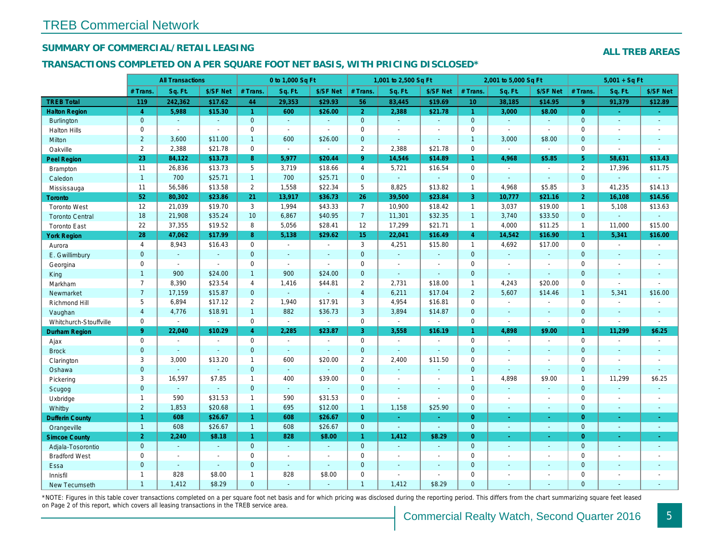## SUMMARY OF COMMERCIAL/RETAIL LEASING

#### TRANSACTIONS COMPLETED ON A PER SQUARE FOOT NET BASIS, WITH PRICING DISCLOSED\*

|                        |                | <b>All Transactions</b> |                          | 0 to 1,000 Sq Ft        |                |                |                | 1,001 to 2,500 Sq Ft     |                  |                      | 2,001 to 5,000 Sq Ft |                |
|------------------------|----------------|-------------------------|--------------------------|-------------------------|----------------|----------------|----------------|--------------------------|------------------|----------------------|----------------------|----------------|
|                        | # Trans.       | Sq. Ft.                 | \$/SF Net                | # Trans.                | Sq. Ft.        | \$/SF Net      | # Trans.       | Sq. Ft.                  | \$/SF Net        | # Trans.             | Sq. Ft.              | \$/SF Ne       |
| <b>TREB Total</b>      | 119            | 242,362                 | \$17.62                  | 44                      | 29,353         | \$29.93        | 56             | 83,445                   | \$19.69          | 10 <sup>°</sup>      | 38,185               | \$14.95        |
| <b>Halton Region</b>   | $\overline{4}$ | 5,988                   | \$15.30                  | $\blacktriangleleft$    | 600            | \$26.00        | 2 <sup>1</sup> | 2,388                    | \$21.78          | $\blacktriangleleft$ | 3,000                | \$8.00         |
| <b>Burlington</b>      | $\mathbf{0}$   | $\omega$                | $\mathbf{r}$             | $\mathbf{0}$            | $\omega$       | $\blacksquare$ | $\mathbf{0}$   | $\omega_{\rm c}$         | $\blacksquare$   | $\mathbf{0}$         | $\omega$             | $\blacksquare$ |
| <b>Halton Hills</b>    | $\mathbf 0$    | $\blacksquare$          | $\sim$                   | 0                       | $\sim$         | $\overline{a}$ | $\mathbf 0$    | $\overline{a}$           | $\overline{a}$   | $\mathbf 0$          | $\overline{a}$       | $\overline{a}$ |
| Milton                 | $\overline{2}$ | 3,600                   | \$11.00                  | $\mathbf{1}$            | 600            | \$26.00        | $\mathbf 0$    | $\blacksquare$           | $\mathbf{r}$     | $\overline{1}$       | 3,000                | \$8.00         |
| Oakville               | $\overline{2}$ | 2,388                   | \$21.78                  | $\mathbf 0$             | $\blacksquare$ | $\blacksquare$ | $\overline{2}$ | 2,388                    | \$21.78          | $\mathbf 0$          | $\blacksquare$       | $\blacksquare$ |
| <b>Peel Region</b>     | 23             | 84,122                  | \$13.73                  | 8                       | 5,977          | \$20.44        | 9 <sup>°</sup> | 14,546                   | \$14.89          | $\mathbf{1}$         | 4,968                | \$5.85         |
| <b>Brampton</b>        | 11             | 26,836                  | \$13.73                  | 5                       | 3,719          | \$18.66        | $\overline{4}$ | 5,721                    | \$16.54          | $\mathbf 0$          | $\sim$               | $\blacksquare$ |
| Caledon                | $\mathbf{1}$   | 700                     | \$25.71                  | $\mathbf{1}$            | 700            | \$25.71        | $\overline{0}$ | $\omega$                 | $\omega$         | $\mathbf{0}$         | $\Delta$             | $\blacksquare$ |
| Mississauga            | 11             | 56,586                  | \$13.58                  | $\mathbf{2}$            | 1,558          | \$22.34        | 5              | 8,825                    | \$13.82          | $\mathbf{1}$         | 4,968                | \$5.85         |
| <b>Toronto</b>         | 52             | 80,302                  | \$23.86                  | 21                      | 13,917         | \$36.73        | 26             | 39,500                   | \$23.84          | $\mathbf{3}$         | 10,777               | \$21.16        |
| <b>Toronto West</b>    | 12             | 21,039                  | \$19.70                  | 3                       | 1,994          | \$43.33        | $\overline{7}$ | 10,900                   | \$18.42          | $\mathbf{1}$         | 3,037                | \$19.00        |
| <b>Toronto Central</b> | 18             | 21,908                  | \$35.24                  | 10                      | 6.867          | \$40.95        | 7 <sup>7</sup> | 11,301                   | \$32.35          | $\overline{1}$       | 3,740                | \$33.50        |
| <b>Toronto East</b>    | 22             | 37,355                  | \$19.52                  | 8                       | 5,056          | \$28.41        | 12             | 17,299                   | \$21.71          | $\mathbf{1}$         | 4,000                | \$11.25        |
| <b>York Region</b>     | 28             | 47,062                  | \$17.99                  | 8                       | 5,138          | \$29.62        | 15             | 22,041                   | \$16.49          | $\overline{4}$       | 14,542               | \$16.90        |
| Aurora                 | $\overline{4}$ | 8,943                   | \$16.43                  | 0                       | $\omega$       | $\sim$         | 3              | 4,251                    | \$15.80          | $\mathbf{1}$         | 4,692                | \$17.00        |
| E. Gwillimbury         | $\mathbf 0$    | $\omega$                | $\omega$                 | $\overline{0}$          | $\mathbf{r}$   | $\blacksquare$ | $\mathbf{0}$   | $\omega$                 | $\omega$         | $\mathbf{0}$         | $\omega$             | $\sim$         |
| Georgina               | 0              | $\blacksquare$          | $\blacksquare$           | $\mathbf 0$             | $\sim$         | $\sim$         | $\mathsf 0$    | $\blacksquare$           | ä,               | $\mathbf 0$          | $\blacksquare$       | $\blacksquare$ |
| King                   | $\mathbf{1}$   | 900                     | \$24.00                  | $\mathbf{1}$            | 900            | \$24.00        | $\mathbf{0}$   | $\blacksquare$           | $\blacksquare$   | $\mathbf{0}$         | $\Delta$             | $\blacksquare$ |
| Markham                | $\overline{7}$ | 8,390                   | \$23.54                  | $\overline{\mathbf{4}}$ | 1,416          | \$44.81        | $\overline{2}$ | 2,731                    | \$18.00          | $\mathbf{1}$         | 4,243                | \$20.00        |
| Newmarket              | $\overline{7}$ | 17,159                  | \$15.87                  | $\mathbf{0}$            | $\omega$       |                | $\overline{4}$ | 6,211                    | \$17.04          | $\overline{2}$       | 5,607                | \$14.46        |
| Richmond Hill          | 5              | 6,894                   | \$17.12                  | $\overline{2}$          | 1,940          | \$17.91        | 3              | 4,954                    | \$16.81          | $\Omega$             | $\sim$               |                |
| Vaughan                | $\overline{4}$ | 4,776                   | \$18.91                  | $\mathbf{1}$            | 882            | \$36.73        | $\mathbf{3}$   | 3,894                    | \$14.87          | $\mathbf 0$          | $\omega$             | $\blacksquare$ |
| Whitchurch-Stouffville | 0              | $\blacksquare$          | $\sim$                   | 0                       | $\omega$       | $\blacksquare$ | $\mathsf{O}$   | $\sim$                   | $\sim$           | $\mathbf 0$          | $\sim$               | $\blacksquare$ |
| Durham Region          | 9 <sup>°</sup> | 22,040                  | \$10.29                  | $\overline{4}$          | 2,285          | \$23.87        | 3              | 3,558                    | \$16.19          | $\mathbf{1}$         | 4,898                | \$9.00         |
| Ajax                   | 0              | $\blacksquare$          | $\overline{\phantom{a}}$ | 0                       | $\sim$         | $\blacksquare$ | $\mathsf{O}$   | $\blacksquare$           | $\overline{a}$   | $\mathbf 0$          | $\blacksquare$       | $\blacksquare$ |
| <b>Brock</b>           | $\mathbf{0}$   | $\sim$                  | $\sim$                   | $\mathbf 0$             | $\sim$         | $\sim$         | $\overline{0}$ | $\blacksquare$           | $\sim$           | $\mathbf{0}$         | $\blacksquare$       | $\sim$         |
| Clarington             | 3              | 3,000                   | \$13.20                  | $\mathbf{1}$            | 600            | \$20.00        | $\overline{2}$ | 2,400                    | \$11.50          | $\mathbf 0$          | $\overline{a}$       | $\blacksquare$ |
| Oshawa                 | $\mathbf{0}$   |                         | $\sim$                   | $\mathbf 0$             | $\sim$         |                | $\mathbf 0$    | $\blacksquare$           | ÷.               | $\mathbf{0}$         | $\mathbf{r}$         | $\sim$         |
| Pickering              | 3              | 16,597                  | \$7.85                   | $\mathbf{1}$            | 400            | \$39.00        | $\mathbf 0$    | $\blacksquare$           | $\blacksquare$   | $\mathbf{1}$         | 4,898                | \$9.00         |
| Scugog                 | $\mathbf{0}$   | $\mathbf{r}$            | $\omega$                 | $\mathbf{0}$            | $\omega$       | $\blacksquare$ | $\mathbf{0}$   | $\blacksquare$           | $\blacksquare$   | $\mathbf{0}$         | $\blacksquare$       | $\blacksquare$ |
| Uxbridge               | $\mathbf{1}$   | 590                     | \$31.53                  | $\mathbf{1}$            | 590            | \$31.53        | $\mathbf 0$    | ä,                       | $\blacksquare$   | $\mathbf 0$          | $\blacksquare$       | $\blacksquare$ |
| Whitby                 | $\overline{2}$ | 1,853                   | \$20.68                  | $\mathbf{1}$            | 695            | \$12.00        | $\mathbf{1}$   | 1,158                    | \$25.90          | $\mathbf{0}$         | $\blacksquare$       | $\sim$         |
| <b>Dufferin County</b> | $\mathbf{1}$   | 608                     | \$26.67                  | $\mathbf{1}$            | 608            | \$26.67        | $\overline{0}$ | $\omega$                 | $\omega_{\rm c}$ | $\overline{0}$       | $\omega$             | $\sim$         |
| Orangeville            | $\overline{1}$ | 608                     | \$26.67                  | $\mathbf{1}$            | 608            | \$26.67        | $\overline{0}$ | $\omega$                 | $\omega$         | $\mathbf{0}$         | $\omega$             | $\blacksquare$ |
| <b>Simcoe County</b>   | $\overline{2}$ | 2,240                   | \$8.18                   | $\mathbf{1}$            | 828            | \$8.00         | $\mathbf{1}$   | 1,412                    | \$8.29           | $\overline{0}$       | $\blacksquare$       | ÷              |
| Adjala-Tosorontio      | $\overline{0}$ | $\sim$                  | $\sim$                   | $\mathbf{0}$            | $\Delta$       | $\sim$         | $\overline{0}$ | $\omega$                 | $\omega$         | $\mathbf{0}$         | $\sim$               | $\sim$         |
| <b>Bradford West</b>   | 0              | $\blacksquare$          | $\sim$                   | 0                       | $\sim$         | $\blacksquare$ | $\mathbf 0$    | $\blacksquare$           | $\blacksquare$   | $\mathbf 0$          | $\blacksquare$       | $\blacksquare$ |
| Essa                   | $\mathbf{0}$   | $\blacksquare$          | $\sim$                   | $\mathbf 0$             | $\sim$         | $\blacksquare$ | $\mathbf 0$    | $\overline{\phantom{a}}$ | $\sim$           | $\mathbf{0}$         | $\sim$               | $\blacksquare$ |
| Innisfil               | $\mathbf{1}$   | 828                     | \$8.00                   | $\mathbf{1}$            | 828            | \$8.00         | $\mathbf 0$    | $\blacksquare$           | $\blacksquare$   | $\mathbf 0$          | $\blacksquare$       | $\blacksquare$ |
| <b>New Tecumseth</b>   | $\mathbf{1}$   | 1,412                   | \$8.29                   | $\Omega$                | $\sim$         | $\sim$         | $\overline{1}$ | 1,412                    | \$8.29           | $\Omega$             | $\sim$               | $\sim$         |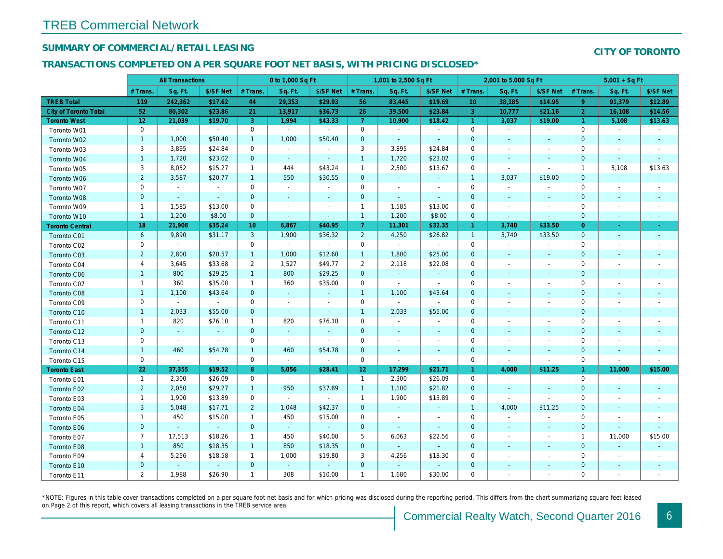## SUMMARY OF COMMERCIAL/RETAIL LEASING

## TRANSACTIONS COMPLETED ON A PER SQUARE FOOT NET BASIS, WITH PRICING DISCLOSED\*

|                              |                 | <b>All Transactions</b> |                |                | 0 to 1,000 Sq Ft |                          |                 | 1,001 to 2,500 Sq Ft |                          |                 | 2,001 to 5,000 Sq Ft     |                          |
|------------------------------|-----------------|-------------------------|----------------|----------------|------------------|--------------------------|-----------------|----------------------|--------------------------|-----------------|--------------------------|--------------------------|
|                              | # Trans.        | Sq. Ft.                 | \$/SF Net      | # Trans.       | Sq. Ft.          | \$/SF Net                | # Trans.        | Sq. Ft.              | \$/SF Net                | # Trans.        | Sq. Ft.                  | \$/SF Ne                 |
| <b>TREB Total</b>            | 119             | 242,362                 | \$17.62        | 44             | 29,353           | \$29.93                  | 56              | 83,445               | \$19.69                  | 10 <sup>°</sup> | 38,185                   | \$14.95                  |
| <b>City of Toronto Total</b> | 52              | 80,302                  | \$23.86        | 21             | 13,917           | \$36.73                  | 26              | 39,500               | \$23.84                  | $\mathbf{3}$    | 10,777                   | \$21.16                  |
| <b>Toronto West</b>          | 12 <sub>2</sub> | 21,039                  | \$19.70        | 3              | 1,994            | \$43.33                  | 7 <sup>1</sup>  | 10,900               | \$18.42                  | $\overline{1}$  | 3,037                    | \$19.00                  |
| Toronto W01                  | $\mathbf 0$     | $\blacksquare$          | $\sim$         | $\mathbf 0$    | $\sim$           | $\sim$                   | $\mathbf 0$     | $\omega$             | $\sim$                   | $\mathbf 0$     | $\blacksquare$           | $\blacksquare$           |
| Toronto W02                  | $\mathbf{1}$    | 1,000                   | \$50.40        | $\mathbf{1}$   | 1,000            | \$50.40                  | $\mathbf 0$     | $\blacksquare$       | $\sim$                   | $\mathbf{0}$    | $\sim$                   | $\sim$                   |
| Toronto W03                  | 3               | 3,895                   | \$24.84        | $\mathbf 0$    | $\sim$           | $\blacksquare$           | 3               | 3,895                | \$24.84                  | 0               | $\blacksquare$           | $\blacksquare$           |
| Toronto W04                  | $\mathbf{1}$    | 1,720                   | \$23.02        | $\mathbf{0}$   | $\sim$           | $\blacksquare$           | $\mathbf{1}$    | 1,720                | \$23.02                  | $\mathbf 0$     | $\blacksquare$           | $\blacksquare$           |
| Toronto W05                  | 3               | 8,052                   | \$15.27        | $\mathbf{1}$   | 444              | \$43.24                  | $\mathbf{1}$    | 2,500                | \$13.67                  | 0               | $\blacksquare$           | $\blacksquare$           |
| Toronto W06                  | $\overline{2}$  | 3,587                   | \$20.77        | $\mathbf{1}$   | 550              | \$30.55                  | $\mathbf 0$     | $\sim$               | $\sim$                   | $\overline{1}$  | 3,037                    | \$19.00                  |
| Toronto W07                  | $\mathbf 0$     | $\blacksquare$          | $\sim$         | $\mathbf 0$    | $\sim$           | $\blacksquare$           | $\mathbf 0$     | $\blacksquare$       | $\blacksquare$           | $\mathbf 0$     | $\blacksquare$           | $\blacksquare$           |
| Toronto W08                  | $\mathbf{0}$    | $\blacksquare$          | $\omega$       | $\mathbf 0$    | $\blacksquare$   | $\blacksquare$           | $\mathbf 0$     | $\blacksquare$       | $\blacksquare$           | $\mathbf{0}$    | $\blacksquare$           | $\blacksquare$           |
| Toronto W09                  | $\mathbf{1}$    | 1,585                   | \$13.00        | $\mathbf 0$    | $\blacksquare$   | $\blacksquare$           | $\mathbf{1}$    | 1,585                | \$13.00                  | 0               | $\blacksquare$           | $\blacksquare$           |
| Toronto W10                  | $\mathbf{1}$    | 1,200                   | \$8.00         | $\mathbf{0}$   | $\blacksquare$   | $\blacksquare$           | $\mathbf{1}$    | 1,200                | \$8.00                   | $\mathbf 0$     | $\blacksquare$           | $\sim$                   |
| <b>Toronto Central</b>       | 18              | 21,908                  | \$35.24        | 10             | 6,867            | \$40.95                  | 7 <sup>1</sup>  | 11,301               | \$32.35                  | $\mathbf{1}$    | 3,740                    | \$33.50                  |
| Toronto C01                  | 6               | 9,890                   | \$31.17        | 3              | 1,900            | \$36.32                  | $2^{\circ}$     | 4,250                | \$26.82                  | $\overline{1}$  | 3,740                    | \$33.50                  |
| Toronto C02                  | 0               | $\blacksquare$          | $\sim$         | $\mathbf 0$    | $\omega$         | $\blacksquare$           | $\mathbf 0$     | $\blacksquare$       | $\blacksquare$           | $\mathbf 0$     | $\blacksquare$           | $\blacksquare$           |
| Toronto C03                  | $\overline{2}$  | 2,800                   | \$20.57        | $\mathbf{1}$   | 1,000            | \$12.60                  | $\mathbf{1}$    | 1,800                | \$25.00                  | $\mathbf 0$     | $\blacksquare$           | $\blacksquare$           |
| Toronto C04                  | 4               | 3,645                   | \$33.68        | $\overline{2}$ | 1,527            | \$49.77                  | $\overline{2}$  | 2,118                | \$22.08                  | 0               | $\blacksquare$           | $\blacksquare$           |
| Toronto C06                  | $\mathbf{1}$    | 800                     | \$29.25        | $\mathbf{1}$   | 800              | \$29.25                  | $\mathbf 0$     | $\omega$             | $\omega$                 | $\mathbf 0$     | $\blacksquare$           | $\blacksquare$           |
| Toronto C07                  | $\mathbf{1}$    | 360                     | \$35.00        | $\mathbf{1}$   | 360              | \$35.00                  | $\mathbf 0$     | $\omega$             | $\blacksquare$           | $\mathbf 0$     | $\blacksquare$           | $\blacksquare$           |
| Toronto C08                  | $\mathbf{1}$    | 1,100                   | \$43.64        | $\mathbf{0}$   | $\sim$           | $\blacksquare$           | $\mathbf{1}$    | 1,100                | \$43.64                  | $\mathbf 0$     | $\sim$                   | $\blacksquare$           |
| Toronto C09                  | 0               | $\blacksquare$          | $\sim$         | 0              | $\blacksquare$   | $\blacksquare$           | $\mathbf 0$     | $\blacksquare$       | $\sim$                   | 0               | $\blacksquare$           | $\overline{\phantom{a}}$ |
| Toronto C10                  | $\mathbf{1}$    | 2,033                   | \$55.00        | $\mathbf{0}$   | $\sim$           | $\sim$                   | $\mathbf{1}$    | 2,033                | \$55.00                  | $\mathbf 0$     | $\blacksquare$           | $\blacksquare$           |
| Toronto C11                  | $\mathbf{1}$    | 820                     | \$76.10        | $\mathbf{1}$   | 820              | \$76.10                  | $\mathbf 0$     | $\omega$             | $\omega$                 | 0               | $\blacksquare$           | $\overline{\phantom{a}}$ |
| Toronto C12                  | $\mathbf 0$     | $\sim$                  | $\sim$         | $\mathbf{0}$   | $\omega$         | $\blacksquare$           | $\mathbf 0$     | $\blacksquare$       | $\blacksquare$           | $\mathbf 0$     | $\sim$                   | $\sim$                   |
| Toronto C13                  | 0               | $\sim$                  | $\blacksquare$ | $\mathbf 0$    | $\mathbf{r}$     | $\blacksquare$           | $\mathbf 0$     | $\blacksquare$       | $\overline{\phantom{a}}$ | $\mathbf 0$     | $\blacksquare$           | $\overline{\phantom{a}}$ |
| Toronto C14                  | $\mathbf{1}$    | 460                     | \$54.78        | $\mathbf{1}$   | 460              | \$54.78                  | $\mathbf 0$     | $\blacksquare$       | $\blacksquare$           | $\mathbf{0}$    | $\blacksquare$           | $\blacksquare$           |
| Toronto C15                  | 0               | $\omega$                | $\omega$       | 0              | $\omega$         | $\sim$                   | 0               | $\blacksquare$       | $\blacksquare$           | $\mathbf 0$     | $\blacksquare$           | $\blacksquare$           |
| <b>Toronto East</b>          | 22              | 37,355                  | \$19.52        | 8              | 5,056            | \$28.41                  | 12 <sub>2</sub> | 17,299               | \$21.71                  | $\mathbf{1}$    | 4,000                    | \$11.25                  |
| Toronto E01                  | $\mathbf{1}$    | 2,300                   | \$26.09        | $\mathbf 0$    | $\sim$           | $\overline{\phantom{a}}$ | $\mathbf{1}$    | 2,300                | \$26.09                  | $\mathbf 0$     | $\sim$                   | $\sim$                   |
| Toronto E02                  | $\overline{2}$  | 2,050                   | \$29.27        | $\mathbf{1}$   | 950              | \$37.89                  | $\mathbf{1}$    | 1,100                | \$21.82                  | $\mathbf{0}$    | $\blacksquare$           | $\blacksquare$           |
| Toronto E03                  | $\mathbf{1}$    | 1,900                   | \$13.89        | 0              | $\mathbf{r}$     | $\sim$                   | $\mathbf{1}$    | 1,900                | \$13.89                  | $\mathbf 0$     | $\blacksquare$           | $\blacksquare$           |
| Toronto E04                  | 3               | 5,048                   | \$17.71        | $\overline{2}$ | 1,048            | \$42.37                  | $\mathbf 0$     | $\blacksquare$       | $\blacksquare$           | $\mathbf{1}$    | 4,000                    | \$11.25                  |
| Toronto E05                  | $\mathbf{1}$    | 450                     | \$15.00        | $\mathbf{1}$   | 450              | \$15.00                  | $\mathbf 0$     | $\blacksquare$       | $\blacksquare$           | $\mathbf 0$     | $\blacksquare$           | $\blacksquare$           |
| Toronto E06                  | $\mathbf 0$     | $\omega$                | $\omega$       | $\mathbf{0}$   | $\omega$         | $\omega$                 | $\mathbf 0$     | $\blacksquare$       | $\blacksquare$           | $\mathbf{0}$    | $\blacksquare$           | $\blacksquare$           |
| Toronto E07                  | $\overline{7}$  | 17,513                  | \$18.26        | $\mathbf{1}$   | 450              | \$40.00                  | 5               | 6,063                | \$22.56                  | $\mathbf 0$     | $\sim$                   | $\blacksquare$           |
| Toronto E08                  | $\mathbf{1}$    | 850                     | \$18.35        | $\mathbf{1}$   | 850              | \$18.35                  | $\mathbf 0$     | $\omega$             | $\blacksquare$           | $\mathbf{0}$    | $\blacksquare$           | $\blacksquare$           |
| Toronto E09                  | 4               | 5,256                   | \$18.58        | $\mathbf{1}$   | 1,000            | \$19.80                  | 3               | 4,256                | \$18.30                  | 0               | $\overline{\phantom{a}}$ | $\overline{\phantom{a}}$ |
| Toronto E10                  | $\mathbf{0}$    | $\omega$                | $\omega$       | $\mathbf{0}$   | $\omega$         | $\blacksquare$           | $\mathbf 0$     | $\omega$             | $\omega$                 | $\mathbf{0}$    | $\blacksquare$           | $\overline{\phantom{a}}$ |
| Toronto E11                  | $\overline{2}$  | 1,988                   | \$26.90        | $\mathbf{1}$   | 308              | \$10.00                  | $\mathbf{1}$    | 1,680                | \$30.00                  | 0               | $\blacksquare$           |                          |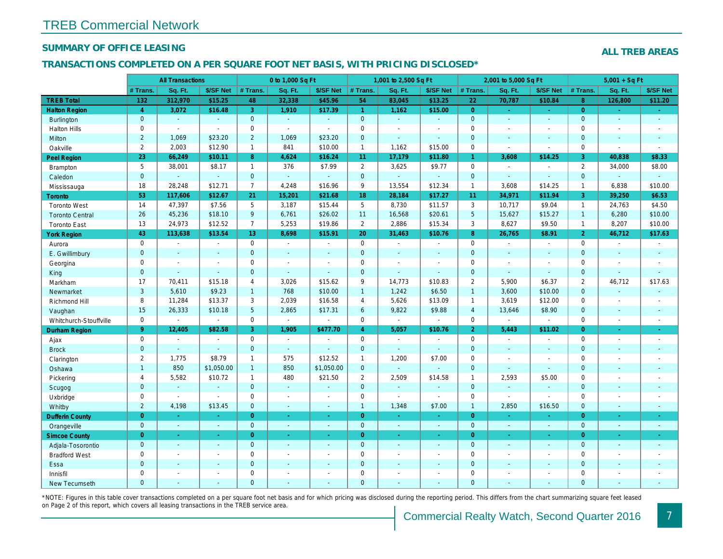### SUMMARY OF OFFICE LEASING

### TRANSACTIONS COMPLETED ON A PER SQUARE FOOT NET BASIS, WITH PRICING DISCLOSED\*

|                        |                | <b>All Transactions</b> |                |                 | 0 to 1,000 Sq Ft      |                |                     | 1,001 to 2,500 Sq Ft |                          |                 | 2,001 to 5,000 Sq Ft |                          |
|------------------------|----------------|-------------------------|----------------|-----------------|-----------------------|----------------|---------------------|----------------------|--------------------------|-----------------|----------------------|--------------------------|
|                        | # Trans.       | Sq. Ft.                 | \$/SF Net      | # Trans.        | Sq. Ft.               | \$/SF Net      | # Trans.            | Sq. Ft.              | \$/SF Net                | # Trans.        | Sq. Ft.              | \$/SF Ne                 |
| <b>TREB Total</b>      | 132            | 312,970                 | \$15.25        | 48              | 32,338                | \$45.96        | 54                  | 83,045               | \$13.25                  | 22              | 70,787               | \$10.84                  |
| <b>Halton Region</b>   | $\overline{4}$ | 3,072                   | \$16.48        | 3               | 1,910                 | \$17.39        | $\mathbf{1}$        | 1,162                | \$15.00                  | $\overline{0}$  | $\omega$             | $\omega_{\rm c}$         |
| <b>Burlington</b>      | $\mathbf{0}$   | $\omega$                | $\omega$       | $\mathbf{0}$    | $\sim$                | $\Delta$       | $\mathbf{0}$        | $\blacksquare$       | $\sim$                   | $\overline{0}$  | $\omega$             | $\sim$                   |
| <b>Halton Hills</b>    | 0              | $\sim$                  | $\omega$       | $\mathbf 0$     | $\omega$              | $\blacksquare$ | $\mathbf 0$         | $\blacksquare$       | $\blacksquare$           | $\mathbf 0$     | $\blacksquare$       | $\sim$                   |
| Milton                 | $\overline{2}$ | 1,069                   | \$23.20        | $\overline{2}$  | 1,069                 | \$23.20        | $\mathbf{0}$        | $\Delta$             | $\Delta$                 | $\mathbf{0}$    | $\Delta$             | $\blacksquare$           |
| Oakville               | $\overline{2}$ | 2,003                   | \$12.90        | $\mathbf{1}$    | 841                   | \$10.00        | $\mathbf{1}$        | 1,162                | \$15.00                  | $\mathbf 0$     | $\blacksquare$       | $\blacksquare$           |
| Peel Region            | 23             | 66,249                  | \$10.11        | 8               | 4,624                 | \$16.24        | 11                  | 17,179               | \$11.80                  | $\mathbf{1}$    | 3,608                | \$14.25                  |
| Brampton               | 5              | 38,001                  | \$8.17         | $\mathbf{1}$    | 376                   | \$7.99         | $\overline{2}$      | 3,625                | \$9.77                   | $\mathbf 0$     | $\blacksquare$       | $\sim$                   |
| Caledon                | $\mathbf{0}$   |                         | $\omega$       | $\mathbf{0}$    | $\omega$              | $\omega$       | $\mathbf{0}$        | ä,                   | $\omega$                 | $\mathbf{0}$    | $\Delta$             | $\sim$                   |
| Mississauga            | 18             | 28,248                  | \$12.71        | $\overline{7}$  | 4,248                 | \$16.96        | 9                   | 13,554               | \$12.34                  | $\mathbf{1}$    | 3,608                | \$14.25                  |
| <b>Toronto</b>         | 53             | 117,606                 | \$12.67        | 21              | 15,201                | \$21.68        | 18                  | 28,184               | \$17.27                  | 11              | 34,971               | \$11.94                  |
| <b>Toronto West</b>    | 14             | 47,397                  | \$7.56         | 5               | 3,187                 | \$15.44        | 5                   | 8,730                | \$11.57                  | 3               | 10,717               | \$9.04                   |
| <b>Toronto Central</b> | 26             | 45,236                  | \$18.10        | 9               | 6,761                 | \$26.02        | 11                  | 16,568               | \$20.61                  | $5\overline{5}$ | 15,627               | \$15.27                  |
| <b>Toronto East</b>    | 13             | 24,973                  | \$12.52        | $\overline{7}$  | 5,253                 | \$19.86        | $\overline{2}$      | 2,886                | \$15.34                  | 3               | 8,627                | \$9.50                   |
| <b>York Region</b>     | 43             | 113,638                 | \$13.54        | 13              | 8,698                 | \$15.91        | 20                  | 31,463               | \$10.76                  | 8               | 26,765               | \$8.91                   |
| Aurora                 | $\mathbf 0$    | $\blacksquare$          | $\Delta$       | $\mathbf 0$     | $\sim$                | $\blacksquare$ | $\mathbf 0$         | $\blacksquare$       | $\sim$                   | $\mathbf 0$     | $\mathbf{r}$         | $\sim$                   |
| E. Gwillimbury         | $\mathbf{0}$   | $\sim$                  | $\sim$         | $\overline{0}$  | $\mathbf{r}$          | $\sim$         | $\mathbf{0}$        | ÷.                   | ÷.                       | $\mathbf{0}$    | $\sim$               | $\sim$                   |
| Georgina               | $\mathbf 0$    | $\sim$                  | $\sim$         | $\pmb{0}$       | $\tilde{\phantom{a}}$ | $\sim$         | $\mathsf{O}\xspace$ | $\blacksquare$       | $\blacksquare$           | $\mathbf 0$     | $\blacksquare$       | $\blacksquare$           |
| King                   | $\mathbf{0}$   | $\sim$                  | $\omega$       | $\mathbf{0}$    | $\sim$                | $\blacksquare$ | $\mathbf{0}$        | $\omega$             | $\Delta$                 | $\mathbf{0}$    | $\omega$             | $\blacksquare$           |
| Markham                | 17             | 70,411                  | \$15.18        | $\overline{4}$  | 3,026                 | \$15.62        | 9                   | 14,773               | \$10.83                  | $\overline{2}$  | 5,900                | \$6.37                   |
| Newmarket              | 3              | 5,610                   | \$9.23         | $\mathbf{1}$    | 768                   | \$10.00        | $\mathbf{1}$        | 1,242                | \$6.50                   | $\mathbf{1}$    | 3,600                | \$10.00                  |
| Richmond Hill          | 8              | 11,284                  | \$13.37        | 3               | 2,039                 | \$16.58        | $\overline{4}$      | 5,626                | \$13.09                  | $\mathbf{1}$    | 3,619                | \$12.00                  |
| Vaughan                | 15             | 26,333                  | \$10.18        | $5\phantom{.0}$ | 2,865                 | \$17.31        | $6\phantom{1}$      | 9,822                | \$9.88                   | $\overline{4}$  | 13,646               | \$8.90                   |
| Whitchurch-Stouffville | 0              | $\blacksquare$          | $\blacksquare$ | $\mathbf 0$     | $\blacksquare$        | $\sim$         | $\mathbf 0$         | $\omega$             | $\blacksquare$           | $\mathbf 0$     | $\blacksquare$       | $\omega$                 |
| Durham Region          | 9 <sup>°</sup> | 12,405                  | \$82.58        | 3               | 1,905                 | \$477.70       | $\overline{4}$      | 5,057                | \$10.76                  | $\overline{2}$  | 5,443                | \$11.02                  |
| Ajax                   | $\mathbf 0$    | $\blacksquare$          | $\blacksquare$ | $\mathbf 0$     | $\sim$                | $\blacksquare$ | $\mathbf 0$         | $\blacksquare$       | $\blacksquare$           | $\mathbf 0$     | $\blacksquare$       | $\blacksquare$           |
| <b>Brock</b>           | $\mathbf{0}$   | $\omega$                | $\omega$       | $\mathbf{0}$    | $\omega$              | $\blacksquare$ | $\mathbf{0}$        | $\blacksquare$       | $\blacksquare$           | $\mathbf{0}$    | $\blacksquare$       | $\blacksquare$           |
| Clarington             | $\overline{2}$ | 1,775                   | \$8.79         | $\mathbf{1}$    | 575                   | \$12.52        | $\mathbf{1}$        | 1,200                | \$7.00                   | $\mathbf 0$     | $\blacksquare$       | $\blacksquare$           |
| Oshawa                 | $\mathbf{1}$   | 850                     | \$1,050.00     | $\mathbf{1}$    | 850                   | \$1,050.00     | $\mathbf{0}$        | $\blacksquare$       | $\Delta$                 | $\mathbf{0}$    | $\Delta$             | $\blacksquare$           |
| Pickering              | 4              | 5,582                   | \$10.72        | $\mathbf{1}$    | 480                   | \$21.50        | $\overline{2}$      | 2,509                | \$14.58                  | $\overline{1}$  | 2,593                | \$5.00                   |
| Scugog                 | $\mathbf{0}$   | $\sim$                  | $\sim$         | $\mathbf{0}$    | $\omega$              | $\blacksquare$ | $\mathbf 0$         | $\blacksquare$       | $\blacksquare$           | $\mathbf{0}$    | $\blacksquare$       | $\blacksquare$           |
| Uxbridge               | $\mathbf 0$    | $\sim$                  | $\blacksquare$ | $\mathbf 0$     | $\sim$                | $\blacksquare$ | $\mathbf 0$         | $\blacksquare$       | $\overline{\phantom{a}}$ | $\mathbf{0}$    | $\sim$               | $\blacksquare$           |
| Whitby                 | $\overline{2}$ | 4,198                   | \$13.45        | $\mathbf{0}$    | $\Delta$              | $\omega$       | $\mathbf{1}$        | 1,348                | \$7.00                   | $\mathbf{1}$    | 2,850                | \$16.50                  |
| <b>Dufferin County</b> | $\overline{0}$ | $\sim$                  | $\sim$         | $\overline{0}$  | $\omega$              | $\blacksquare$ | $\overline{0}$      | $\sim$               | $\sim$                   | $\overline{0}$  | $\sim$               | $\sim$                   |
| Orangeville            | $\mathbf 0$    | $\omega$                | $\omega$       | $\overline{0}$  | $\omega$              | $\omega$       | $\mathbf{0}$        | $\omega$             | $\omega$                 | $\overline{0}$  | $\omega$             | $\bullet$ .              |
| <b>Simcoe County</b>   | $\overline{0}$ | $\omega$                | $\Delta \tau$  | $\overline{0}$  | $\omega$              | ÷.             | $\overline{0}$      | $\omega$             | $\omega$                 | $\overline{0}$  | $\omega$             | $\omega_{\rm c}$         |
| Adjala-Tosorontio      | $\mathbf{0}$   | $\omega$                | $\sim$         | $\mathbf{0}$    | $\Delta$              | $\Delta$       | $\mathbf{0}$        | $\Delta$             | $\Delta$                 | $\overline{0}$  | $\Delta$             | $\sim$                   |
| <b>Bradford West</b>   | 0              | $\blacksquare$          | $\sim$         | $\mathbf 0$     | $\sim$                | $\blacksquare$ | $\mathbf 0$         | $\blacksquare$       | $\sim$                   | $\mathbf 0$     | $\blacksquare$       | $\blacksquare$           |
| Essa                   | $\mathbf{0}$   |                         |                | $\overline{0}$  | $\sim$                | $\blacksquare$ | $\mathbf{0}$        | ä,                   | $\omega$                 | $\mathbf{0}$    | $\blacksquare$       | $\overline{\phantom{a}}$ |
| Innisfil               | $\mathbf 0$    | $\blacksquare$          | $\sim$         | $\mathbf 0$     | $\blacksquare$        | $\blacksquare$ | $\mathbf 0$         | ä,                   | $\blacksquare$           | $\mathbf 0$     | $\blacksquare$       | $\blacksquare$           |
| <b>New Tecumseth</b>   | $\Omega$       |                         |                | $\Omega$        | ä,                    |                | $\mathbf{0}$        |                      |                          | $\Omega$        |                      |                          |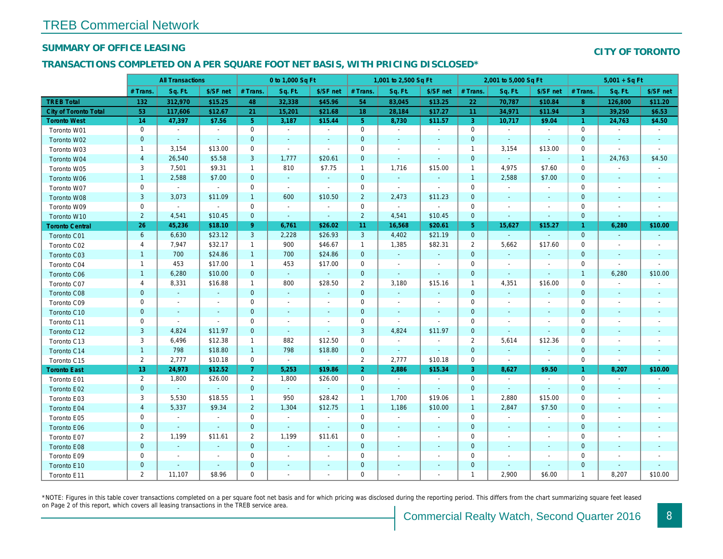### SUMMARY OF OFFICE LEASING

### TRANSACTIONS COMPLETED ON A PER SQUARE FOOT NET BASIS, WITH PRICING DISCLOSED\*

|                              |                         | <b>All Transactions</b> |                          |                | 0 to 1,000 Sq Ft |                          |                | 1,001 to 2,500 Sq Ft     |                          |                | 2,001 to 5,000 Sq Ft     |                          |
|------------------------------|-------------------------|-------------------------|--------------------------|----------------|------------------|--------------------------|----------------|--------------------------|--------------------------|----------------|--------------------------|--------------------------|
|                              | # Trans.                | Sq. Ft.                 | \$/SF net                | # Trans.       | Sq. Ft.          | \$/SF net                | # Trans.       | Sq. Ft.                  | \$/SF net                | # Trans.       | Sq. Ft.                  | \$/SF ne                 |
| <b>TREB Total</b>            | 132                     | 312,970                 | \$15.25                  | 48             | 32,338           | \$45.96                  | 54             | 83,045                   | \$13.25                  | 22             | 70,787                   | \$10.84                  |
| <b>City of Toronto Total</b> | 53                      | 117,606                 | \$12.67                  | 21             | 15,201           | \$21.68                  | 18             | 28,184                   | \$17.27                  | 11             | 34,971                   | \$11.94                  |
| <b>Toronto West</b>          | 14                      | 47,397                  | \$7.56                   | 5 <sub>5</sub> | 3,187            | \$15.44                  | 5 <sub>5</sub> | 8,730                    | \$11.57                  | 3              | 10,717                   | \$9.04                   |
| Toronto W01                  | 0                       | $\sim$                  | $\sim$                   | $\mathbf 0$    | $\sim$           | $\blacksquare$           | $\mathbf 0$    | $\blacksquare$           | $\sim$                   | 0              | $\blacksquare$           | $\sim$                   |
| Toronto W02                  | $\mathbf 0$             | $\sim$                  | $\sim$                   | $\mathbf 0$    | $\sim$           | $\overline{\phantom{a}}$ | $\mathbf 0$    | $\sim$                   | $\blacksquare$           | $\mathbf 0$    | $\sim$                   | $\sim$                   |
| Toronto W03                  | $\mathbf{1}$            | 3,154                   | \$13.00                  | $\mathbf 0$    | $\blacksquare$   | $\blacksquare$           | $\mathbf 0$    | $\sim$                   | $\overline{a}$           | $\overline{1}$ | 3,154                    | \$13.00                  |
| Toronto W04                  | $\overline{4}$          | 26,540                  | \$5.58                   | 3              | 1,777            | \$20.61                  | $\mathbf 0$    | $\omega$                 | $\omega$                 | $\mathbf 0$    | $\blacksquare$           | $\sim$                   |
| Toronto W05                  | 3                       | 7,501                   | \$9.31                   | $\mathbf{1}$   | 810              | \$7.75                   | $\mathbf{1}$   | 1,716                    | \$15.00                  | $\overline{1}$ | 4,975                    | \$7.60                   |
| Toronto W06                  | $\mathbf{1}$            | 2,588                   | \$7.00                   | $\mathbf 0$    | $\sim$           | $\blacksquare$           | $\mathbf 0$    | $\sim$                   | $\blacksquare$           | $\overline{1}$ | 2,588                    | \$7.00                   |
| Toronto W07                  | 0                       | $\sim$                  | $\blacksquare$           | $\mathbf 0$    | $\sim$           | $\blacksquare$           | $\mathbf 0$    | $\blacksquare$           | $\blacksquare$           | 0              | $\blacksquare$           | $\blacksquare$           |
| Toronto W08                  | 3                       | 3,073                   | \$11.09                  | $\mathbf{1}$   | 600              | \$10.50                  | $\overline{2}$ | 2,473                    | \$11.23                  | $\mathbf 0$    | $\blacksquare$           | $\blacksquare$           |
| Toronto W09                  | 0                       | $\sim$                  | $\sim$                   | $\mathbf 0$    | $\blacksquare$   | $\overline{\phantom{a}}$ | $\mathbf 0$    | $\blacksquare$           | $\blacksquare$           | $\mathbf 0$    |                          | $\overline{\phantom{a}}$ |
| Toronto W10                  | $\overline{2}$          | 4,541                   | \$10.45                  | $\mathbf{0}$   | $\sim$           | $\blacksquare$           | $\overline{2}$ | 4,541                    | \$10.45                  | $\mathbf{0}$   |                          | $\blacksquare$           |
| <b>Toronto Central</b>       | 26                      | 45,236                  | \$18.10                  | 9 <sup>°</sup> | 6,761            | \$26.02                  | 11             | 16,568                   | \$20.61                  | $\sqrt{5}$     | 15,627                   | \$15.27                  |
| Toronto C01                  | $6\phantom{a}$          | 6,630                   | \$23.12                  | $\mathbf{3}$   | 2,228            | \$26.93                  | $\mathbf{3}$   | 4,402                    | \$21.19                  | $\mathbf 0$    | $\sim$                   | $\sim$                   |
| Toronto C02                  | 4                       | 7,947                   | \$32.17                  | $\mathbf{1}$   | 900              | \$46.67                  | $\mathbf{1}$   | 1,385                    | \$82.31                  | 2              | 5,662                    | \$17.60                  |
| Toronto C03                  | $\mathbf{1}$            | 700                     | \$24.86                  | $\mathbf{1}$   | 700              | \$24.86                  | $\mathbf 0$    | $\blacksquare$           | $\blacksquare$           | $\mathbf 0$    | $\blacksquare$           |                          |
| Toronto C04                  | $\mathbf{1}$            | 453                     | \$17.00                  | $\mathbf{1}$   | 453              | \$17.00                  | $\mathbf 0$    | $\blacksquare$           | $\overline{\phantom{a}}$ | $\mathbf 0$    | $\overline{\phantom{a}}$ | $\overline{\phantom{a}}$ |
| <b>Toronto C06</b>           | $\mathbf{1}$            | 6,280                   | \$10.00                  | $\mathbf{0}$   | $\omega$         | $\omega$                 | $\mathbf 0$    | $\blacksquare$           | $\blacksquare$           | $\mathbf 0$    | $\blacksquare$           | $\blacksquare$           |
| Toronto C07                  | 4                       | 8,331                   | \$16.88                  | $\mathbf{1}$   | 800              | \$28.50                  | $\overline{2}$ | 3,180                    | \$15.16                  | $\mathbf{1}$   | 4,351                    | \$16.00                  |
| <b>Toronto C08</b>           | $\mathbf 0$             | $\sim$                  | $\omega$                 | $\mathbf{0}$   | $\omega$         | $\blacksquare$           | $\mathbf 0$    | $\omega$                 | $\blacksquare$           | $\mathbf 0$    | $\omega$                 | $\blacksquare$           |
| Toronto C09                  | 0                       | $\blacksquare$          | $\sim$                   | $\mathbf 0$    | $\sim$           | $\blacksquare$           | $\mathbf 0$    | $\blacksquare$           | L.                       | $\mathbf 0$    | $\sim$                   | $\sim$                   |
| Toronto C10                  | $\mathbf 0$             | $\blacksquare$          | $\blacksquare$           | $\mathbf 0$    | $\sim$           | $\blacksquare$           | $\mathbf 0$    | $\sim$                   | $\blacksquare$           | $\mathbf 0$    | $\blacksquare$           | $\sim$                   |
| Toronto C11                  | 0                       | $\blacksquare$          | $\sim$                   | $\mathbf 0$    | $\blacksquare$   | $\overline{\phantom{a}}$ | $\mathbf 0$    | $\sim$                   | $\blacksquare$           | $\mathbf 0$    | $\overline{\phantom{a}}$ | $\overline{\phantom{a}}$ |
| Toronto C12                  | $\mathsf 3$             | 4,824                   | \$11.97                  | $\mathbf{0}$   | $\sim$           | $\blacksquare$           | 3              | 4,824                    | \$11.97                  | $\mathbf 0$    | $\blacksquare$           | $\overline{\phantom{a}}$ |
| Toronto C13                  | 3                       | 6,496                   | \$12.38                  | $\mathbf{1}$   | 882              | \$12.50                  | 0              | $\blacksquare$           | $\overline{\phantom{a}}$ | $\overline{2}$ | 5,614                    | \$12.36                  |
| Toronto C14                  | $\mathbf{1}$            | 798                     | \$18.80                  | $\mathbf{1}$   | 798              | \$18.80                  | $\mathbf 0$    | $\omega$                 | $\omega$                 | $\mathbf{0}$   | $\mathbf{r}$             | $\sim$                   |
| Toronto C15                  | $\mathbf{2}^{\prime}$   | 2,777                   | \$10.18                  | $\mathbf 0$    | $\omega$         | $\bullet$                | 2              | 2,777                    | \$10.18                  | $\mathbf 0$    | $\sim$                   | $\blacksquare$           |
| <b>Toronto East</b>          | 13                      | 24,973                  | \$12.52                  | 7 <sup>1</sup> | 5,253            | \$19.86                  | $\overline{2}$ | 2,886                    | \$15.34                  | 3              | 8,627                    | \$9.50                   |
| Toronto E01                  | $\overline{2}$          | 1,800                   | \$26.00                  | $\overline{2}$ | 1,800            | \$26.00                  | 0              | $\blacksquare$           | $\sim$                   | $\mathbf 0$    | $\blacksquare$           | $\sim$                   |
| Toronto E02                  | $\pmb{0}$               | $\omega$                | $\omega$                 | $\overline{0}$ | $\sim$           | $\omega$                 | $\mathbf 0$    | $\omega$                 | $\omega$                 | $\mathbf 0$    | $\omega$                 | $\blacksquare$           |
| Toronto E03                  | 3                       | 5,530                   | \$18.55                  | $\mathbf{1}$   | 950              | \$28.42                  | $\mathbf{1}$   | 1,700                    | \$19.06                  | $\mathbf{1}$   | 2,880                    | \$15.00                  |
| Toronto E04                  | $\overline{\mathbf{4}}$ | 5,337                   | \$9.34                   | $\overline{2}$ | 1,304            | \$12.75                  | $\mathbf{1}$   | 1,186                    | \$10.00                  | $\overline{1}$ | 2,847                    | \$7.50                   |
| Toronto E05                  | 0                       | $\blacksquare$          | $\blacksquare$           | $\mathbf 0$    | $\sim$           | $\blacksquare$           | $\mathbf 0$    | $\blacksquare$           | $\blacksquare$           | $\mathbf 0$    | $\blacksquare$           | $\blacksquare$           |
| Toronto E06                  | $\mathbf 0$             | $\sim$                  | $\omega$                 | $\mathbf{0}$   | $\omega$         | $\blacksquare$           | $\mathbf 0$    | $\sim$                   | $\sim$                   | $\mathbf 0$    | $\sim$                   | $\sim$                   |
| Toronto E07                  | $\overline{2}$          | 1,199                   | \$11.61                  | 2              | 1,199            | \$11.61                  | $\mathbf 0$    | $\blacksquare$           | $\blacksquare$           | 0              | $\overline{\phantom{a}}$ | $\blacksquare$           |
| Toronto E08                  | $\pmb{0}$               | $\omega$                | $\blacksquare$           | $\mathbf{0}$   | $\omega$         | $\blacksquare$           | $\mathbf 0$    | $\blacksquare$           | $\blacksquare$           | $\mathbf{0}$   | $\sim$                   | $\overline{\phantom{a}}$ |
| Toronto E09                  | 0                       | $\blacksquare$          | $\overline{\phantom{a}}$ | 0              | $\blacksquare$   | $\overline{\phantom{a}}$ | 0              | $\blacksquare$           | $\blacksquare$           | 0              | $\overline{\phantom{a}}$ | $\overline{\phantom{a}}$ |
| Toronto E10                  | $\pmb{0}$               | $\blacksquare$          | $\blacksquare$           | $\mathbf 0$    | $\blacksquare$   | $\blacksquare$           | $\mathbf 0$    | $\blacksquare$           | $\blacksquare$           | $\mathbf 0$    | $\blacksquare$           | $\overline{\phantom{a}}$ |
| Toronto E11                  | $\overline{2}$          | 11,107                  | \$8.96                   | $\mathbf 0$    | $\blacksquare$   | $\blacksquare$           | 0              | $\overline{\phantom{a}}$ | $\blacksquare$           | $\mathbf{1}$   | 2,900                    | \$6.00                   |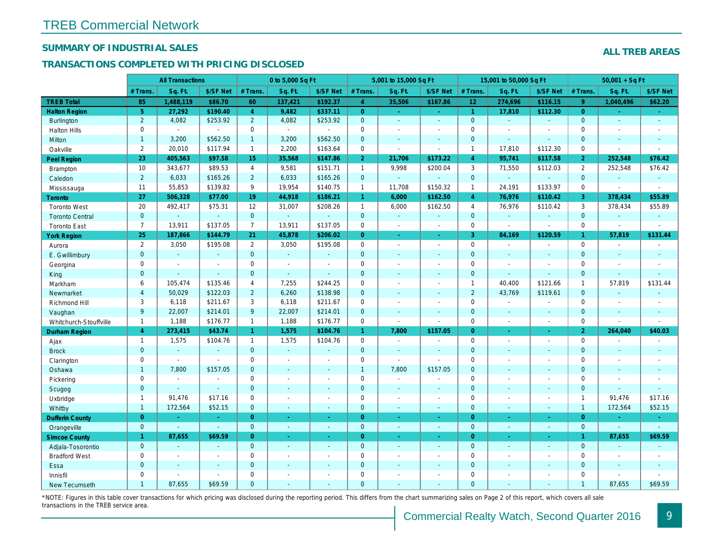## SUMMARY OF INDUSTRIAL SALES

## TRANSACTIONS COMPLETED WITH PRICING DISCLOSED

|                        |                       | <b>All Transactions</b>  |                          |                | 0 to 5,000 Sq Ft |                |                     | 5,001 to 15,000 Sq Ft    |                     |                      | 15,001 to 50,000 Sq Ft |                  |
|------------------------|-----------------------|--------------------------|--------------------------|----------------|------------------|----------------|---------------------|--------------------------|---------------------|----------------------|------------------------|------------------|
|                        | # Trans.              | Sq. Ft.                  | \$/SF Net                | # Trans.       | Sq. Ft.          | \$/SF Net      | # Trans.            | Sq. Ft.                  | \$/SF Net           | # Trans.             | Sq. Ft.                | \$/SF Ne         |
| <b>TREB Total</b>      | 85                    | 1,488,119                | \$86.70                  | 60             | 137,421          | \$192.37       | $\overline{4}$      | 35,506                   | \$167.86            | 12 <sup>°</sup>      | 274,696                | \$116.1!         |
| <b>Halton Region</b>   | 5 <sup>5</sup>        | 27,292                   | \$190.40                 | $\overline{4}$ | 9,482            | \$337.11       | $\overline{0}$      | $\omega_{\rm c}$         | $\omega_{\rm{eff}}$ | $\blacktriangleleft$ | 17,810                 | \$112.30         |
| <b>Burlington</b>      | $\overline{2}$        | 4,082                    | \$253.92                 | $\overline{2}$ | 4,082            | \$253.92       | $\overline{0}$      | $\blacksquare$           | $\blacksquare$      | $\mathbf{0}$         | $\omega$               | $\blacksquare$   |
| <b>Halton Hills</b>    | 0                     | $\blacksquare$           | $\blacksquare$           | $\mathbf 0$    | $\sim$           | $\sim$         | $\mathbf 0$         | $\blacksquare$           | $\blacksquare$      | $\mathbf 0$          | $\sim$                 | $\blacksquare$   |
| Milton                 | $\mathbf{1}$          | 3,200                    | \$562.50                 | 1              | 3,200            | \$562.50       | $\mathbf 0$         | $\blacksquare$           | $\blacksquare$      | $\mathbf{0}$         | $\blacksquare$         | $\blacksquare$   |
| Oakville               | $\mathbf{2}^{\prime}$ | 20,010                   | \$117.94                 | $\mathbf{1}$   | 2,200            | \$163.64       | 0                   | $\blacksquare$           | $\blacksquare$      | $\mathbf{1}$         | 17,810                 | \$112.30         |
| <b>Peel Region</b>     | 23                    | 405,563                  | \$97.58                  | 15             | 35,568           | \$147.86       | $\overline{2}$      | 21,706                   | \$173.22            | $\overline{4}$       | 95,741                 | \$117.58         |
| <b>Brampton</b>        | 10                    | 343,677                  | \$89.53                  | $\overline{4}$ | 9,581            | \$151.71       | $\mathbf{1}$        | 9,998                    | \$200.04            | 3                    | 71,550                 | \$112.03         |
| Caledon                | $\overline{2}$        | 6,033                    | \$165.26                 | $2^{\circ}$    | 6,033            | \$165.26       | $\mathbf 0$         | $\omega_{\rm c}$         | $\omega$            | $\mathbf 0$          | $\omega$               | $\blacksquare$   |
| Mississauga            | 11                    | 55,853                   | \$139.82                 | 9              | 19,954           | \$140.75       | $\mathbf{1}$        | 11,708                   | \$150.32            | $\mathbf{1}$         | 24,191                 | \$133.97         |
| <b>Toronto</b>         | 27                    | 506,328                  | \$77.00                  | 19             | 44,918           | \$186.21       | $\mathbf{1}$        | 6,000                    | \$162.50            | $\overline{4}$       | 76,976                 | \$110.42         |
| <b>Toronto West</b>    | 20                    | 492,417                  | \$75.31                  | 12             | 31,007           | \$208.26       | $\mathbf{1}$        | 6,000                    | \$162.50            | $\overline{4}$       | 76,976                 | \$110.42         |
| <b>Toronto Central</b> | $\mathbf{0}$          |                          | $\sim$                   | $\mathbf{0}$   | ä,               |                | $\mathbf{0}$        | $\omega$                 | $\blacksquare$      | $\mathbf{0}$         | $\omega$               | $\blacksquare$   |
| <b>Toronto East</b>    | $\overline{7}$        | 13,911                   | \$137.05                 | $\overline{7}$ | 13,911           | \$137.05       | $\mathbf 0$         | $\blacksquare$           | $\blacksquare$      | $\mathbf 0$          | $\blacksquare$         | $\blacksquare$   |
| <b>York Region</b>     | 25                    | 187,866                  | \$144.79                 | 21             | 45,878           | \$206.02       | $\overline{0}$      | $\blacksquare$           | $\blacksquare$      | $\overline{3}$       | 84,169                 | \$120.59         |
| Aurora                 | $\overline{2}$        | 3,050                    | \$195.08                 | 2              | 3,050            | \$195.08       | $\mathsf{O}$        | $\blacksquare$           | $\blacksquare$      | $\mathbf 0$          | $\blacksquare$         | $\sim$           |
| E. Gwillimbury         | $\mathbf{0}$          | $\omega$                 | $\omega$                 | $\overline{0}$ | $\omega$         | $\blacksquare$ | $\overline{0}$      | $\blacksquare$           | $\blacksquare$      | $\mathbf{0}$         | $\omega$               | $\blacksquare$   |
| Georgina               | 0                     | $\blacksquare$           | $\blacksquare$           | 0              | $\blacksquare$   | $\blacksquare$ | $\mathbf 0$         | $\blacksquare$           | $\blacksquare$      | $\mathbf 0$          | $\blacksquare$         | $\blacksquare$   |
| King                   | $\mathbf{0}$          | $\sim$                   | $\sim$                   | $\mathbf{0}$   | $\mathbf{r}$     | $\sim$         | $\mathbf 0$         | $\sim$                   | $\blacksquare$      | $\mathbf{0}$         | $\blacksquare$         | $\blacksquare$   |
| Markham                | 6                     | 105,474                  | \$135.46                 | 4              | 7,255            | \$244.25       | $\mathbf 0$         | $\blacksquare$           | $\blacksquare$      | $\mathbf{1}$         | 40,400                 | \$121.66         |
| Newmarket              | $\overline{4}$        | 50,029                   | \$122.03                 | $\overline{2}$ | 6,260            | \$138.98       | $\mathbf{0}$        | ä,                       | $\blacksquare$      | $\overline{2}$       | 43,769                 | \$119.6'         |
| Richmond Hill          | 3                     | 6,118                    | \$211.67                 | 3              | 6,118            | \$211.67       | $\mathbf 0$         | $\blacksquare$           | $\blacksquare$      | 0                    | $\blacksquare$         | $\blacksquare$   |
| Vaughan                | 9                     | 22,007                   | \$214.01                 | 9              | 22,007           | \$214.01       | $\mathbf{0}$        | ä,                       | ä,                  | $\mathbf{0}$         | $\omega$               | $\sim$           |
| Whitchurch-Stouffville | $\mathbf{1}$          | 1,188                    | \$176.77                 | $\mathbf{1}$   | 1,188            | \$176.77       | $\mathbf 0$         | $\sim$                   | $\blacksquare$      | $\mathbf 0$          | $\blacksquare$         | $\blacksquare$   |
| <b>Durham Region</b>   | $\overline{4}$        | 273,415                  | \$43.74                  | $\mathbf{1}$   | 1,575            | \$104.76       | $\mathbf{1}$        | 7,800                    | \$157.05            | $\overline{0}$       | $\blacksquare$         | $\sigma_{\rm c}$ |
| Ajax                   | $\mathbf{1}$          | 1,575                    | \$104.76                 | $\mathbf{1}$   | 1,575            | \$104.76       | $\mathbf 0$         | $\blacksquare$           | $\overline{a}$      | $\mathbf 0$          | $\blacksquare$         | $\sim$           |
| <b>Brock</b>           | $\overline{0}$        | $\mathbf{r}$             | $\sim$                   | $\mathbf{0}$   | $\omega$         | $\blacksquare$ | $\overline{0}$      | $\omega$                 | ä,                  | $\mathbf{0}$         | $\omega$               | $\blacksquare$   |
| Clarington             | 0                     | $\sim$                   | $\sim$                   | 0              | $\sim$           | $\blacksquare$ | $\mathsf{O}\xspace$ | $\overline{\phantom{a}}$ | ÷,                  | $\mathbf 0$          | $\ddot{\phantom{0}}$   | $\blacksquare$   |
| Oshawa                 | $\mathbf{1}$          | 7,800                    | \$157.05                 | $\mathbf{0}$   | $\blacksquare$   | ٠              | $\mathbf{1}$        | 7,800                    | \$157.05            | $\mathbf{0}$         | $\blacksquare$         | $\blacksquare$   |
| Pickering              | 0                     | $\overline{\phantom{a}}$ | $\overline{\phantom{a}}$ | 0              | $\sim$           | $\blacksquare$ | $\mathbf 0$         | $\blacksquare$           | $\blacksquare$      | $\mathbf 0$          | $\sim$                 | $\blacksquare$   |
| Scugog                 | $\overline{0}$        | $\sim$                   | $\omega$                 | $\overline{0}$ | $\mathbf{r}$     | $\blacksquare$ | $\mathbf{0}$        | $\omega$                 | $\blacksquare$      | $\mathbf{0}$         | $\blacksquare$         | $\blacksquare$   |
| Uxbridge               | $\mathbf{1}$          | 91,476                   | \$17.16                  | 0              | $\blacksquare$   | $\blacksquare$ | 0                   | $\overline{a}$           | $\overline{a}$      | $\mathbf 0$          | $\blacksquare$         | $\blacksquare$   |
| Whitby                 | $\mathbf{1}$          | 172,564                  | \$52.15                  | $\mathbf 0$    | $\sim$           | $\sim$         | $\mathbf{0}$        | $\blacksquare$           | $\sim$              | $\mathbf{0}$         | $\blacksquare$         | $\sim$           |
| <b>Dufferin County</b> | $\overline{0}$        | $\sim$                   | $\sim$                   | $\overline{0}$ | ÷.               | $\sim$         | $\overline{0}$      | ÷.                       | ×.                  | $\overline{0}$       | $\sim$                 | $\sim$           |
| Orangeville            | $\mathbf{0}$          | $\blacksquare$           | $\omega$                 | $\overline{0}$ | $\omega$         | $\omega$       | $\mathbf{0}$        | $\omega$                 | $\omega_{\rm c}$    | $\mathbf{0}$         | $\omega$               | $\sim$           |
| <b>Simcoe County</b>   | $\mathbf{1}$          | 87,655                   | \$69.59                  | $\overline{0}$ | $\omega$         | $\omega$       | $\overline{0}$      | ä,                       | $\omega$            | $\overline{0}$       | $\blacksquare$         | $\sim$           |
| Adjala-Tosorontio      | $\mathbf{0}$          | $\sim$                   | $\sim$                   | $\overline{0}$ | $\mathbf{r}$     | $\blacksquare$ | $\mathbf{0}$        | $\blacksquare$           | $\blacksquare$      | $\mathbf{0}$         | $\Delta$               | $\sim$           |
| <b>Bradford West</b>   | 0                     | $\blacksquare$           | $\sim$                   | 0              | $\sim$           | $\sim$         | $\mathsf{O}\xspace$ | $\blacksquare$           | $\blacksquare$      | $\mathbf 0$          | $\blacksquare$         | $\blacksquare$   |
| Essa                   | $\mathbf 0$           |                          | $\sim$                   | $\mathbf 0$    | $\blacksquare$   | $\blacksquare$ | $\mathbf 0$         | ä,                       | ä,                  | $\mathbf 0$          | $\sim$                 |                  |
| Innisfil               | 0                     | $\sim$                   | $\sim$                   | 0              | $\blacksquare$   | $\blacksquare$ | $\mathsf 0$         | ä,                       | $\blacksquare$      | $\mathbf 0$          | $\sim$                 | $\blacksquare$   |
| <b>New Tecumseth</b>   | $\overline{1}$        | 87.655                   | \$69.59                  | $\Omega$       |                  |                | $\mathbf{0}$        |                          |                     | $\Omega$             |                        |                  |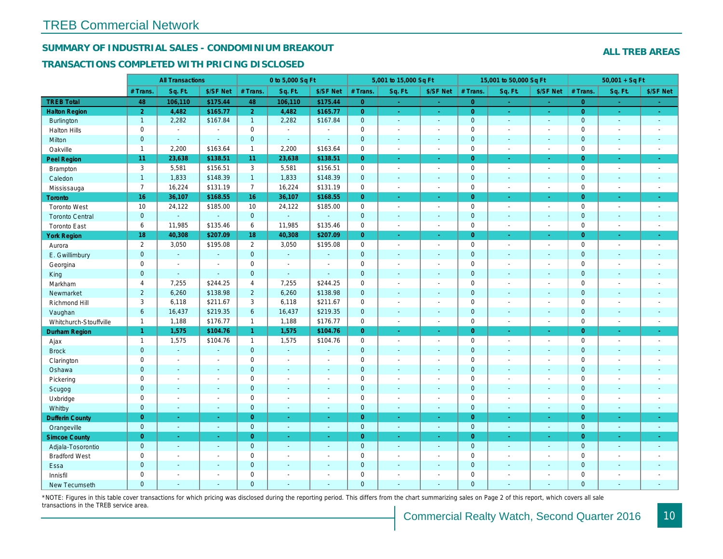## SUMMARY OF INDUSTRIAL SALES - CONDOMINIUM BREAKOUT

#### TRANSACTIONS COMPLETED WITH PRICING DISCLOSED

|                        |                | <b>All Transactions</b> |                |                | 0 to 5,000 Sq Ft |                |                | 5,001 to 15,000 Sq Ft    |                          |                | 15,001 to 50,000 Sq Ft |                  |
|------------------------|----------------|-------------------------|----------------|----------------|------------------|----------------|----------------|--------------------------|--------------------------|----------------|------------------------|------------------|
|                        | # Trans.       | Sq. Ft.                 | \$/SF Net      | # Trans.       | Sq. Ft.          | \$/SF Net      | # Trans.       | Sq. Ft.                  | \$/SF Net                | # Trans.       | Sq. Ft.                | \$/SF Ne         |
| <b>TREB Total</b>      | 48             | 106,110                 | \$175.44       | 48             | 106,110          | \$175.44       | $\overline{0}$ | $\sim$                   | ×.                       | $\overline{0}$ | $\sim$                 | $\sim$           |
| <b>Halton Region</b>   | $\overline{2}$ | 4,482                   | \$165.77       | 2 <sup>1</sup> | 4,482            | \$165.77       | $\overline{0}$ | $\sim$                   | $\omega_{\rm c}$         | $\overline{0}$ | $\sim$                 | $\sim$           |
| Burlington             | $\mathbf{1}$   | 2,282                   | \$167.84       | $\mathbf{1}$   | 2,282            | \$167.84       | $\mathbf{0}$   | $\omega$                 | $\blacksquare$           | $\mathbf 0$    | $\omega$               | $\sim$           |
| <b>Halton Hills</b>    | $\mathbf 0$    | $\blacksquare$          | $\blacksquare$ | $\mathbf 0$    | $\sim$           |                | $\pmb{0}$      | $\overline{a}$           | $\blacksquare$           | $\mathbf 0$    | L.                     | $\blacksquare$   |
| Milton                 | $\mathbf{0}$   | $\sim$                  | $\omega$       | $\mathbf{0}$   | $\sim$           | $\sim$         | $\pmb{0}$      | $\blacksquare$           | $\blacksquare$           | $\mathbf{0}$   | $\blacksquare$         | $\sim$           |
| Oakville               | $\mathbf{1}$   | 2,200                   | \$163.64       | $\mathbf{1}$   | 2,200            | \$163.64       | 0              | $\blacksquare$           | $\blacksquare$           | $\mathbf 0$    | $\blacksquare$         | $\sim$           |
| Peel Region            | 11             | 23,638                  | \$138.51       | 11             | 23,638           | \$138.51       | $\overline{0}$ | $\blacksquare$           | $\blacksquare$           | $\overline{0}$ | $\blacksquare$         | $\sim$           |
| Brampton               | 3              | 5,581                   | \$156.51       | 3              | 5,581            | \$156.51       | 0              | $\blacksquare$           | $\blacksquare$           | $\mathbf 0$    | $\blacksquare$         | $\sim$           |
| Caledon                | $\mathbf{1}$   | 1,833                   | \$148.39       | $\mathbf{1}$   | 1,833            | \$148.39       | $\mathbf{0}$   | $\mathbf{r}$             | $\blacksquare$           | $\mathbf 0$    | $\omega$               | $\sim$           |
| Mississauga            | $\overline{7}$ | 16,224                  | \$131.19       | $\overline{7}$ | 16,224           | \$131.19       | 0              | $\blacksquare$           | $\sim$                   | $\mathbf 0$    | $\blacksquare$         | $\sim$           |
| Toronto                | 16             | 36,107                  | \$168.55       | 16             | 36,107           | \$168.55       | $\overline{0}$ | $\blacksquare$           | ä,                       | $\overline{0}$ | ×.                     | $\omega_{\rm c}$ |
| <b>Toronto West</b>    | 10             | 24,122                  | \$185.00       | 10             | 24,122           | \$185.00       | 0              | $\blacksquare$           | $\blacksquare$           | $\mathbf 0$    | $\blacksquare$         | $\sim$           |
| <b>Toronto Central</b> | $\mathbf{0}$   | $\mathbf{u}$            | $\blacksquare$ | $\mathbf{0}$   | $\Delta$         | $\sim$         | $\pmb{0}$      | $\blacksquare$           | $\blacksquare$           | $\mathbf 0$    | $\blacksquare$         | $\blacksquare$   |
| <b>Toronto East</b>    | 6              | 11,985                  | \$135.46       | 6              | 11,985           | \$135.46       | $\mathbf 0$    | $\blacksquare$           | $\blacksquare$           | $\mathbf 0$    | $\blacksquare$         | $\sim$           |
| <b>York Region</b>     | 18             | 40,308                  | \$207.09       | 18             | 40,308           | \$207.09       | $\overline{0}$ | ÷.                       | ÷.                       | $\overline{0}$ | ÷.                     | $\sim$           |
| Aurora                 | $\overline{2}$ | 3,050                   | \$195.08       | $\overline{2}$ | 3,050            | \$195.08       | 0              | $\blacksquare$           | $\blacksquare$           | $\mathbf 0$    | $\blacksquare$         | $\sim$           |
| E. Gwillimbury         | $\overline{0}$ | $\omega$                | $\blacksquare$ | $\mathbf{0}$   | $\omega$         | $\sim$         | $\mathbf{0}$   | $\sim$                   | $\blacksquare$           | $\mathbf{0}$   | $\blacksquare$         | $\sim$           |
| Georgina               | $\mathbf 0$    | $\sim$                  | $\blacksquare$ | $\mathbf 0$    | $\sim$           | $\overline{a}$ | $\pmb{0}$      | $\blacksquare$           | $\overline{a}$           | $\mathbf 0$    | $\blacksquare$         | $\sim$           |
| King                   | $\mathbf{0}$   | $\sim$                  | $\Delta$       | $\mathbf{0}$   | $\omega$         | $\sim$         | $\mathbf 0$    | $\mathbf{r}$             | $\blacksquare$           | $\mathbf{0}$   | $\blacksquare$         | $\sim$           |
| Markham                | 4              | 7,255                   | \$244.25       | $\overline{4}$ | 7,255            | \$244.25       | $\pmb{0}$      | $\tilde{\phantom{a}}$    | $\blacksquare$           | $\mathbf 0$    | $\blacksquare$         | $\blacksquare$   |
| Newmarket              | $\overline{2}$ | 6,260                   | \$138.98       | $\overline{2}$ | 6,260            | \$138.98       | $\pmb{0}$      | $\blacksquare$           | $\blacksquare$           | $\mathbf{0}$   | $\blacksquare$         | $\blacksquare$   |
| Richmond Hill          | 3              | 6,118                   | \$211.67       | 3              | 6,118            | \$211.67       | $\pmb{0}$      | $\blacksquare$           | $\blacksquare$           | $\mathbf 0$    | $\blacksquare$         | $\blacksquare$   |
| Vaughan                | $6\phantom{a}$ | 16,437                  | \$219.35       | 6              | 16,437           | \$219.35       | $\mathbf 0$    | $\omega$                 | $\blacksquare$           | $\mathbf 0$    | $\omega$               | $\sim$           |
| Whitchurch-Stouffville | $\mathbf{1}$   | 1,188                   | \$176.77       | $\mathbf{1}$   | 1,188            | \$176.77       | $\mathsf{O}$   | $\blacksquare$           | $\sim$                   | $\mathbf 0$    | $\overline{a}$         | $\blacksquare$   |
| <b>Durham Region</b>   | $\mathbf{1}$   | 1,575                   | \$104.76       | $\mathbf{1}$   | 1,575            | \$104.76       | $\overline{0}$ | $\blacksquare$           | $\omega$                 | $\overline{0}$ | $\blacksquare$         | $\sigma_{\rm c}$ |
| Ajax                   | $\overline{1}$ | 1,575                   | \$104.76       | $\mathbf{1}$   | 1,575            | \$104.76       | 0              | $\blacksquare$           | $\blacksquare$           | $\mathbf 0$    | $\blacksquare$         | $\blacksquare$   |
| <b>Brock</b>           | $\mathbf{0}$   | $\blacksquare$          | $\blacksquare$ | $\mathbf{0}$   | $\omega$         | $\blacksquare$ | $\pmb{0}$      | $\blacksquare$           | $\blacksquare$           | $\mathbf 0$    | $\blacksquare$         | $\blacksquare$   |
| Clarington             | $\mathbf 0$    | $\blacksquare$          | $\blacksquare$ | $\mathbf 0$    | $\sim$           |                | $\mathbf 0$    | $\blacksquare$           | $\blacksquare$           | $\mathbf 0$    | ÷.                     | $\blacksquare$   |
| Oshawa                 | $\mathbf{0}$   | $\sim$                  | $\sim$         | $\mathbf{0}$   | $\sim$           | $\sim$         | $\mathbf 0$    | $\blacksquare$           | $\blacksquare$           | $\mathbf 0$    | $\blacksquare$         | $\sim$           |
| Pickering              | $\mathbf 0$    | $\blacksquare$          | $\blacksquare$ | $\mathbf 0$    | $\sim$           | $\sim$         | $\pmb{0}$      | $\blacksquare$           | $\blacksquare$           | $\mathsf 0$    | ÷,                     | $\sim$           |
| Scugog                 | $\mathbf{0}$   | $\sim$                  | $\sim$         | $\mathbf{0}$   | $\sim$           | $\sim$         | $\mathbf 0$    | $\mathbf{r}$             | $\blacksquare$           | $\mathbf 0$    | $\blacksquare$         | $\blacksquare$   |
| Uxbridge               | $\mathbf 0$    | $\blacksquare$          | $\blacksquare$ | $\mathbf 0$    | $\sim$           | $\sim$         | $\pmb{0}$      | $\blacksquare$           | $\blacksquare$           | $\mathbf 0$    | $\blacksquare$         | $\blacksquare$   |
| Whitby                 | $\mathbf{0}$   | $\blacksquare$          | $\blacksquare$ | $\mathbf 0$    | $\blacksquare$   | $\blacksquare$ | $\pmb{0}$      | $\omega$                 | $\blacksquare$           | $\mathbf 0$    | $\blacksquare$         | $\sim$           |
| <b>Dufferin County</b> | $\overline{0}$ | $\sim$                  | $\omega$       | $\overline{0}$ | $\sim$           | $\sim$         | $\overline{0}$ | $\omega$                 | $\omega$                 | $\overline{0}$ | $\omega$               | $\sim$           |
| Orangeville            | $\mathbf{0}$   | $\omega$                | $\blacksquare$ | $\mathbf{0}$   | $\blacksquare$   | $\omega$       | $\mathbf{0}$   | $\omega$                 | $\omega$                 | $\mathbf 0$    | $\omega$               | $\sim$           |
| <b>Simcoe County</b>   | $\overline{0}$ | $\bullet$               | $\bullet$      | $\overline{0}$ | $\blacksquare$   | $\bullet$      | $\overline{0}$ | $\blacksquare$           | $\blacksquare$           | $\overline{0}$ | $\blacksquare$         | $\sigma_{\rm c}$ |
| Adjala-Tosorontio      | $\mathbf{0}$   | $\sim$                  | $\sim$         | $\mathbf{0}$   | $\sim$           | $\sim$         | $\mathbf 0$    | $\blacksquare$           | $\blacksquare$           | $\mathbf{0}$   | $\blacksquare$         | $\sim$           |
| <b>Bradford West</b>   | $\mathbf 0$    | $\blacksquare$          | $\blacksquare$ | $\mathbf 0$    | $\sim$           | $\blacksquare$ | $\pmb{0}$      | $\blacksquare$           | $\blacksquare$           | $\mathbf 0$    | $\blacksquare$         | $\blacksquare$   |
| Essa                   | $\mathbf{0}$   | $\sim$                  | $\sim$         | $\mathbf{0}$   | $\sim$           | $\sim$         | $\pmb{0}$      | $\blacksquare$           | $\blacksquare$           | $\mathbf 0$    | $\blacksquare$         | $\blacksquare$   |
| Innisfil               | $\mathbf 0$    | $\blacksquare$          | $\blacksquare$ | $\mathbf 0$    | $\sim$           | $\sim$         | $\mathbf 0$    | $\overline{\phantom{a}}$ | $\blacksquare$           | $\mathbf 0$    | $\blacksquare$         | $\blacksquare$   |
| <b>New Tecumseth</b>   | $\Omega$       | $\sim$                  | $\sim$         | $\Omega$       | $\sim$           | $\sim$         | $\overline{0}$ | ÷.                       | $\overline{\phantom{a}}$ | $\mathbf{0}$   | ÷.                     | $\sim$           |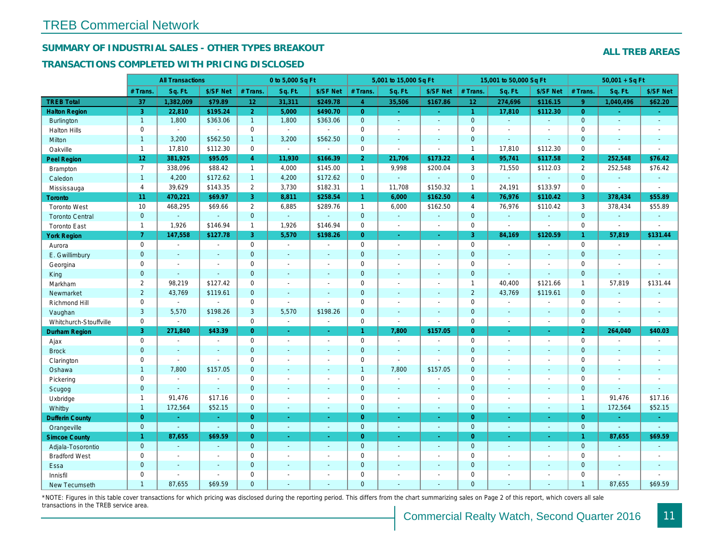## SUMMARY OF INDUSTRIAL SALES - OTHER TYPES BREAKOUT

#### TRANSACTIONS COMPLETED WITH PRICING DISCLOSED

|                        |                 | <b>All Transactions</b> |                |                 | 0 to 5,000 Sq Ft         |                          |                | 5,001 to 15,000 Sq Ft    |                  |                      | 15,001 to 50,000 Sq Ft   |                |
|------------------------|-----------------|-------------------------|----------------|-----------------|--------------------------|--------------------------|----------------|--------------------------|------------------|----------------------|--------------------------|----------------|
|                        | # Trans         | Sq. Ft.                 | \$/SF Net      | # Trans.        | Sq. Ft.                  | \$/SF Net                | # Trans.       | Sq. Ft.                  | \$/SF Net        | # Trans.             | Sq. Ft.                  | \$/SF Ne       |
| <b>TREB Total</b>      | 37              | 1,382,009               | \$79.89        | 12 <sub>2</sub> | 31,311                   | \$249.78                 | $\overline{4}$ | 35,506                   | \$167.86         | 12 <sub>1</sub>      | 274,696                  | \$116.15       |
| <b>Halton Region</b>   | 3               | 22,810                  | \$195.24       | 2 <sup>1</sup>  | 5,000                    | \$490.70                 | $\overline{0}$ | $\sim$                   | $\omega_{\rm c}$ | $\blacktriangleleft$ | 17,810                   | \$112.30       |
| <b>Burlington</b>      | $\mathbf{1}$    | 1,800                   | \$363.06       | 1               | 1,800                    | \$363.06                 | $\mathbf 0$    | $\blacksquare$           | $\mathbf{u}$     | $\mathbf{0}$         | $\omega$                 | $\omega$       |
| <b>Halton Hills</b>    | 0               | $\sim$                  | $\blacksquare$ | $\mathbf 0$     | $\sim$                   | $\sim$                   | $\mathbf 0$    | $\blacksquare$           | $\sim$           | $\mathbf 0$          | L.                       | $\sim$         |
| Milton                 | $\mathbf{1}$    | 3,200                   | \$562.50       | $\mathbf{1}$    | 3,200                    | \$562.50                 | $\overline{0}$ | $\omega$                 | $\sim$           | $\overline{0}$       | $\omega$                 | $\blacksquare$ |
| Oakville               | $\mathbf{1}$    | 17,810                  | \$112.30       | $\mathbf 0$     | $\blacksquare$           | $\blacksquare$           | 0              | $\blacksquare$           | $\blacksquare$   | $\mathbf{1}$         | 17,810                   | \$112.30       |
| Peel Region            | 12 <sub>1</sub> | 381,925                 | \$95.05        | $\overline{4}$  | 11,930                   | \$166.39                 | 2 <sub>1</sub> | 21,706                   | \$173.22         | $\overline{4}$       | 95,741                   | \$117.58       |
| <b>Brampton</b>        | $\overline{7}$  | 338,096                 | \$88.42        | $\mathbf{1}$    | 4,000                    | \$145.00                 | $\mathbf{1}$   | 9,998                    | \$200.04         | 3                    | 71,550                   | \$112.03       |
| Caledon                | $\mathbf{1}$    | 4,200                   | \$172.62       | 1               | 4,200                    | \$172.62                 | $\mathbf{0}$   | $\omega_{\rm c}$         | ä,               | $\mathbf{0}$         | $\omega$                 | $\sim$         |
| Mississauga            | $\overline{4}$  | 39,629                  | \$143.35       | $\overline{2}$  | 3,730                    | \$182.31                 | $\mathbf{1}$   | 11,708                   | \$150.32         | $\overline{1}$       | 24,191                   | \$133.97       |
| Toronto                | 11              | 470,221                 | \$69.97        | 3               | 8,811                    | \$258.54                 | $\mathbf{1}$   | 6,000                    | \$162.50         | $\overline{4}$       | 76,976                   | \$110.42       |
| <b>Toronto West</b>    | 10              | 468,295                 | \$69.66        | $\mathbf{2}$    | 6,885                    | \$289.76                 | $\mathbf{1}$   | 6,000                    | \$162.50         | $\overline{4}$       | 76,976                   | \$110.42       |
| <b>Toronto Central</b> | $\mathbf{0}$    |                         | $\blacksquare$ | $\overline{0}$  | $\omega$                 |                          | $\mathbf 0$    | $\omega$                 | $\mathbf{r}$     | $\mathbf{0}$         | ä,                       | $\blacksquare$ |
| <b>Toronto East</b>    | $\overline{1}$  | 1,926                   | \$146.94       | $\mathbf{1}$    | 1,926                    | \$146.94                 | $\mathbf 0$    | $\overline{\phantom{a}}$ | $\blacksquare$   | $\mathbf 0$          | $\sim$                   | $\blacksquare$ |
| <b>York Region</b>     | $\overline{7}$  | 147,558                 | \$127.78       | 3               | 5,570                    | \$198.26                 | $\overline{0}$ | ÷.                       | ÷.               | 3                    | 84,169                   | \$120.59       |
| Aurora                 | $\mathbf 0$     | $\blacksquare$          | $\blacksquare$ | 0               | $\blacksquare$           | $\blacksquare$           | $\mathbf 0$    | $\blacksquare$           | $\blacksquare$   | $\mathbf 0$          | $\blacksquare$           | $\blacksquare$ |
| E. Gwillimbury         | $\mathbf{0}$    | $\blacksquare$          | $\blacksquare$ | $\overline{0}$  | $\sim$                   | $\overline{a}$           | $\mathbf 0$    | $\sim$                   | $\blacksquare$   | $\mathbf{0}$         | $\overline{\phantom{a}}$ | $\blacksquare$ |
| Georgina               | $\mathbf 0$     | $\sim$                  | $\blacksquare$ | $\mathbf 0$     | $\sim$                   | $\overline{\phantom{a}}$ | $\mathbf 0$    | $\blacksquare$           | $\sim$           | $\mathbf 0$          | $\blacksquare$           | $\sim$         |
| King                   | $\mathbf{0}$    | $\sim$                  | $\mathbf{r}$   | $\overline{0}$  | $\sim$                   | $\sim$                   | $\mathbf 0$    | $\sim$                   | $\sim$           | $\mathbf{0}$         | $\blacksquare$           | $\blacksquare$ |
| Markham                | $\overline{2}$  | 98,219                  | \$127.42       | $\mathbf 0$     | $\sim$                   | $\overline{\phantom{a}}$ | $\pmb{0}$      | $\sim$                   | $\blacksquare$   | $\mathbf{1}$         | 40,400                   | \$121.66       |
| Newmarket              | $\overline{2}$  | 43,769                  | \$119.61       | $\overline{0}$  | $\omega$                 | $\sim$                   | $\mathbf 0$    | $\blacksquare$           | $\blacksquare$   | $\overline{2}$       | 43,769                   | \$119.6'       |
| Richmond Hill          | 0               | $\blacksquare$          | $\overline{a}$ | $\mathbf 0$     | $\sim$                   | $\sim$                   | $\pmb{0}$      | $\blacksquare$           | $\sim$           | $\mathbf 0$          | $\sim$                   | $\blacksquare$ |
| Vaughan                | 3               | 5,570                   | \$198.26       | 3               | 5,570                    | \$198.26                 | $\mathbf 0$    | $\mathbf{u}$             | $\sim$           | $\mathbf{0}$         | $\omega$                 | $\sim$         |
| Whitchurch-Stouffville | $\mathbf 0$     | $\blacksquare$          | $\blacksquare$ | $\mathbf 0$     | $\blacksquare$           | $\blacksquare$           | $\mathbf 0$    | $\sim$                   | $\blacksquare$   | $\mathbf 0$          | $\blacksquare$           | $\blacksquare$ |
| <b>Durham Region</b>   | 3               | 271,840                 | \$43.39        | $\overline{0}$  | $\bullet$                | $\blacksquare$           | $\mathbf{1}$   | 7,800                    | \$157.05         | $\overline{0}$       | $\blacksquare$           | ÷              |
| Ajax                   | $\mathbf 0$     | $\blacksquare$          | $\blacksquare$ | 0               | $\sim$                   | $\sim$                   | $\mathbf 0$    | $\blacksquare$           | $\blacksquare$   | $\mathbf 0$          | $\blacksquare$           | $\sim$         |
| <b>Brock</b>           | $\mathbf{0}$    | $\blacksquare$          | $\blacksquare$ | $\mathbf 0$     | $\sim$                   | $\sim$                   | $\mathbf 0$    | $\blacksquare$           | $\sim$           | $\mathbf{0}$         | $\blacksquare$           | $\sim$         |
| Clarington             | $\mathbf 0$     | $\blacksquare$          | ä,             | $\mathbf 0$     | $\sim$                   | $\sim$                   | $\mathbf 0$    | $\mathbf{r}$             | $\blacksquare$   | $\mathbf 0$          | L.                       | $\blacksquare$ |
| Oshawa                 | $\mathbf{1}$    | 7,800                   | \$157.05       | $\mathbf 0$     | $\sim$                   | $\sim$                   | $\mathbf{1}$   | 7,800                    | \$157.05         | $\mathbf 0$          | $\blacksquare$           | $\sim$         |
| Pickering              | 0               | $\blacksquare$          | $\blacksquare$ | $\mathbf 0$     | $\sim$                   | $\overline{\phantom{a}}$ | $\mathbf 0$    | $\sim$                   | $\blacksquare$   | $\mathbf 0$          | ÷,                       | $\blacksquare$ |
| Scugog                 | $\overline{0}$  | $\blacksquare$          | $\mathbf{r}$   | $\overline{0}$  | $\sim$                   | $\sim$                   | $\mathbf 0$    | $\sim$                   | $\sim$           | $\overline{0}$       | ä,                       | $\blacksquare$ |
| Uxbridge               | $\mathbf{1}$    | 91,476                  | \$17.16        | 0               | $\blacksquare$           | $\blacksquare$           | $\mathbf 0$    | $\blacksquare$           | $\blacksquare$   | $\mathbf 0$          | $\blacksquare$           | $\blacksquare$ |
| Whitby                 | $\overline{1}$  | 172,564                 | \$52.15        | $\mathbf{0}$    | $\sim$                   | $\sim$                   | $\mathbf 0$    | $\sim$                   | $\sim$           | $\mathbf{0}$         | $\blacksquare$           | $\blacksquare$ |
| <b>Dufferin County</b> | $\overline{0}$  | $\bullet$               | ÷.             | $\overline{0}$  | $\bullet$                | $\bullet$                | $\overline{0}$ | $\sim$                   | $\omega$         | $\overline{0}$       | $\blacksquare$           | $\bullet$      |
| Orangeville            | $\mathbf{0}$    | $\sim$                  | $\omega$       | $\overline{0}$  | $\omega$                 | $\sim$                   | $\mathbf{0}$   | $\sim$                   | $\sim$           | $\mathbf{0}$         | $\blacksquare$           | $\sim$         |
| <b>Simcoe County</b>   | $\mathbf{1}$    | 87,655                  | \$69.59        | $\overline{0}$  | $\sim$                   | $\sim$                   | $\overline{0}$ | $\omega$                 | $\omega$         | $\overline{0}$       | $\blacksquare$           | ÷              |
| Adjala-Tosorontio      | $\mathbf{0}$    | $\sim$                  | $\sim$         | $\mathbf 0$     | $\sim$                   | $\sim$                   | $\mathbf{0}$   | $\sim$                   | $\sim$           | $\mathbf{0}$         | $\blacksquare$           | $\sim$         |
| <b>Bradford West</b>   | 0               | $\blacksquare$          | $\blacksquare$ | $\mathbf 0$     | $\overline{\phantom{a}}$ | $\overline{\phantom{a}}$ | $\mathbf 0$    | $\blacksquare$           | $\sim$           | $\mathbf 0$          | $\blacksquare$           | $\blacksquare$ |
| Essa                   | $\mathbf{0}$    | $\blacksquare$          | $\blacksquare$ | $\mathbf 0$     |                          | $\sim$                   | $\mathbf 0$    | $\sim$                   | $\blacksquare$   | $\mathbf 0$          | ä,                       | $\blacksquare$ |
| Innisfil               | $\mathbf 0$     | L,                      | $\blacksquare$ | $\mathbf 0$     | $\overline{\phantom{a}}$ | $\overline{\phantom{a}}$ | $\mathbf 0$    | $\sim$                   | $\sim$           | $\mathbf 0$          | $\blacksquare$           | $\blacksquare$ |
| <b>New Tecumseth</b>   | 1               | 87,655                  | \$69.59        | $\Omega$        | $\sim$                   | $\sim$                   | $\Omega$       | ä,                       | $\blacksquare$   | $\mathbf{0}$         | ä,                       | $\sim$         |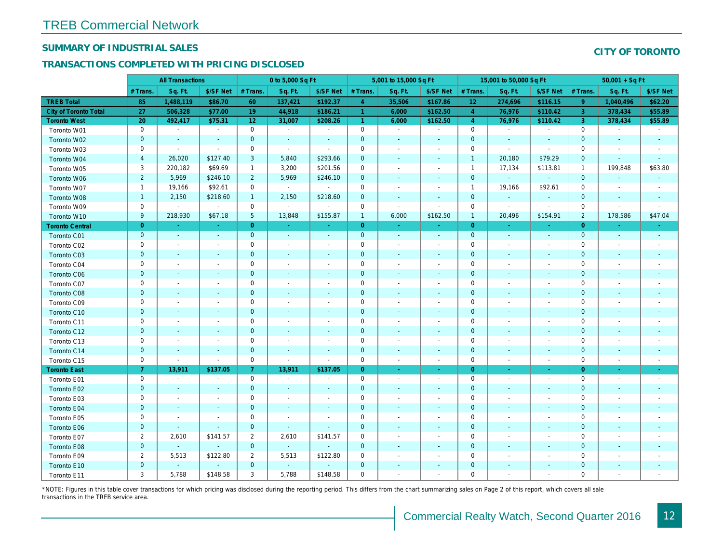## SUMMARY OF INDUSTRIAL SALES

## TRANSACTIONS COMPLETED WITH PRICING DISCLOSED

|                        |                  | <b>All Transactions</b>  |                          |                 | 0 to 5,000 Sq Ft         |                          |                | 5,001 to 15,000 Sq Ft    |                          |                 | 15,001 to 50,000 Sq Ft   |                          |
|------------------------|------------------|--------------------------|--------------------------|-----------------|--------------------------|--------------------------|----------------|--------------------------|--------------------------|-----------------|--------------------------|--------------------------|
|                        | # Trans          | Sq. Ft.                  | \$/SF Net                | # Trans.        | Sq. Ft.                  | \$/SF Net                | # Trans.       | Sq. Ft.                  | \$/SF Net                | # Trans.        | Sq. Ft.                  | \$/SF Ne                 |
| <b>TREB Total</b>      | 85               | 1,488,119                | \$86.70                  | 60              | 137,421                  | \$192.37                 | $\overline{4}$ | 35,506                   | \$167.86                 | 12 <sub>2</sub> | 274,696                  | \$116.1!                 |
| City of Toronto Total  | 27               | 506,328                  | \$77.00                  | 19              | 44,918                   | \$186.21                 | $\overline{1}$ | 6,000                    | \$162.50                 | $\overline{4}$  | 76,976                   | \$110.42                 |
| <b>Toronto West</b>    | 20               | 492,417                  | \$75.31                  | 12              | 31,007                   | \$208.26                 | $\mathbf{1}$   | 6,000                    | \$162.50                 | $\overline{4}$  | 76,976                   | \$110.42                 |
| Toronto W01            | 0                | $\blacksquare$           | $\blacksquare$           | 0               | $\sim$                   | $\blacksquare$           | $\mathbf 0$    | $\blacksquare$           | $\blacksquare$           | $\mathbf 0$     | $\blacksquare$           | $\blacksquare$           |
| Toronto W02            | $\mathbf 0$      | $\sim$                   | $\sim$                   | $\mathbf{0}$    | $\sim$                   | $\sim$                   | $\mathbf{0}$   | $\sim$                   | $\blacksquare$           | $\mathbf 0$     | $\sim$                   | $\blacksquare$           |
| Toronto W03            | 0                | $\sim$                   | $\sim$                   | $\mathbf 0$     | $\sim$                   | $\blacksquare$           | $\mathbf 0$    | $\blacksquare$           | $\blacksquare$           | 0               | $\blacksquare$           | $\sim$                   |
| Toronto W04            | $\overline{4}$   | 26,020                   | \$127.40                 | 3               | 5,840                    | \$293.66                 | $\mathbf 0$    | $\blacksquare$           | $\omega$                 | $\overline{1}$  | 20,180                   | \$79.29                  |
| Toronto W05            | 3                | 220,182                  | \$69.69                  | $\mathbf{1}$    | 3,200                    | \$201.56                 | 0              | $\blacksquare$           | $\blacksquare$           | $\overline{1}$  | 17,134                   | \$113.8'                 |
| Toronto W06            | $\overline{2}$   | 5,969                    | \$246.10                 | $\overline{2}$  | 5,969                    | \$246.10                 | $\mathbf 0$    | ä,                       | ٠                        | $\mathbf{0}$    | $\omega$                 |                          |
| Toronto W07            | $\mathbf{1}$     | 19,166                   | \$92.61                  | $\mathbf 0$     | $\omega$                 | $\blacksquare$           | $\mathbf 0$    | $\blacksquare$           | $\blacksquare$           | $\overline{1}$  | 19,166                   | \$92.61                  |
| Toronto W08            | $\mathbf{1}$     | 2,150                    | \$218.60                 | $\mathbf{1}$    | 2,150                    | \$218.60                 | $\mathbf 0$    | $\blacksquare$           | $\blacksquare$           | $\mathbf{0}$    | $\blacksquare$           |                          |
| Toronto W09            | $\mathbf 0$      | $\blacksquare$           | $\sim$                   | $\mathbf 0$     | $\blacksquare$           | $\blacksquare$           | $\mathbf 0$    | $\blacksquare$           | $\overline{\phantom{a}}$ | $\mathbf 0$     | $\blacksquare$           | $\sim$                   |
| Toronto W10            | $\boldsymbol{9}$ | 218,930                  | \$67.18                  | $5\phantom{.0}$ | 13,848                   | \$155.87                 | $\mathbf{1}$   | 6,000                    | \$162.50                 | $\mathbf{1}$    | 20,496                   | \$154.9'                 |
| <b>Toronto Central</b> | $\mathbf{0}$     | $\sim$                   | $\sim$                   | $\overline{0}$  | $\omega$                 | $\blacksquare$           | $\overline{0}$ | $\omega$                 | ÷.                       | $\overline{0}$  | ÷.                       | $\blacksquare$           |
| Toronto C01            | $\mathbf 0$      | $\blacksquare$           | $\blacksquare$           | $\mathbf{0}$    | $\blacksquare$           | $\blacksquare$           | $\mathbf 0$    | $\blacksquare$           | $\blacksquare$           | $\mathbf{0}$    | $\blacksquare$           | $\sim$                   |
| Toronto C02            | 0                | $\sim$                   |                          | $\mathbf 0$     | $\blacksquare$           | $\blacksquare$           | $\mathbf 0$    | $\sim$                   | $\sim$                   | 0               | $\blacksquare$           | $\blacksquare$           |
| Toronto C03            | $\mathbf{0}$     | $\sim$                   | $\omega$                 | $\overline{0}$  | ä,                       | $\blacksquare$           | $\mathbf 0$    | $\blacksquare$           | $\blacksquare$           | $\mathbf{0}$    | $\blacksquare$           | $\blacksquare$           |
| Toronto C04            | 0                | $\overline{\phantom{a}}$ | $\overline{\phantom{a}}$ | $\mathbf 0$     | $\blacksquare$           | $\blacksquare$           | $\mathbf 0$    | $\blacksquare$           | $\blacksquare$           | 0               | $\blacksquare$           | $\blacksquare$           |
| Toronto C06            | $\mathbf{0}$     | $\sim$                   | $\sim$                   | $\mathbf 0$     | $\blacksquare$           | $\blacksquare$           | $\mathbf{0}$   | $\blacksquare$           | $\blacksquare$           | $\mathbf 0$     | $\blacksquare$           | $\blacksquare$           |
| Toronto C07            | 0                | $\overline{\phantom{a}}$ | $\overline{\phantom{a}}$ | $\mathbf 0$     | $\sim$                   | $\blacksquare$           | $\mathbf 0$    | $\blacksquare$           | $\blacksquare$           | $\mathbf 0$     | $\blacksquare$           | $\blacksquare$           |
| Toronto C08            | $\mathbf{0}$     | $\sim$                   | $\sim$                   | $\mathbf 0$     | $\sim$                   | $\blacksquare$           | $\mathbf 0$    | $\sim$                   | $\sim$                   | $\mathbf{0}$    | $\sim$                   | $\blacksquare$           |
| Toronto C09            | 0                | $\overline{\phantom{a}}$ | $\overline{\phantom{a}}$ | 0               | $\blacksquare$           | $\overline{\phantom{a}}$ | 0              | $\overline{\phantom{a}}$ | $\blacksquare$           | 0               | $\blacksquare$           | $\overline{\phantom{a}}$ |
| Toronto C10            | $\mathbf{0}$     | $\sim$                   | $\sim$                   | $\mathbf 0$     | $\sim$                   | $\blacksquare$           | $\mathbf 0$    | $\sim$                   | $\sim$                   | $\mathbf 0$     | $\sim$                   | $\sim$                   |
| Toronto C11            | 0                | $\blacksquare$           | $\overline{\phantom{a}}$ | $\mathbf 0$     | $\blacksquare$           | $\overline{\phantom{a}}$ | $\mathbf 0$    | $\blacksquare$           | $\overline{\phantom{a}}$ | $\mathbf 0$     | $\blacksquare$           | $\blacksquare$           |
| Toronto C12            | $\mathbf 0$      | $\sim$                   | $\sim$                   | $\mathbf 0$     | $\sim$                   | $\sim$                   | $\mathbf 0$    | $\sim$                   | $\sim$                   | $\mathbf{0}$    | $\sim$                   | $\sim$                   |
| Toronto C13            | 0                | $\overline{\phantom{a}}$ | $\overline{\phantom{a}}$ | $\mathbf 0$     | $\overline{\phantom{a}}$ | $\overline{\phantom{a}}$ | $\mathbf 0$    | $\overline{\phantom{a}}$ | $\overline{\phantom{a}}$ | 0               | $\overline{\phantom{a}}$ | $\overline{\phantom{a}}$ |
| Toronto C14            | $\mathbf 0$      |                          | $\sim$                   | $\mathbf 0$     | $\blacksquare$           | $\blacksquare$           | $\mathbf 0$    | $\blacksquare$           | $\sim$                   | $\mathbf{0}$    | $\blacksquare$           | $\blacksquare$           |
| Toronto C15            | 0                | $\blacksquare$           | $\blacksquare$           | $\mathbf 0$     | $\blacksquare$           | $\blacksquare$           | $\mathbf 0$    | $\blacksquare$           | $\blacksquare$           | $\mathbf 0$     | $\blacksquare$           | $\blacksquare$           |
| <b>Toronto East</b>    | 7 <sup>1</sup>   | 13,911                   | \$137.05                 | $\mathbf{7}$    | 13,911                   | \$137.05                 | $\overline{0}$ | $\blacksquare$           | $\blacksquare$           | $\overline{0}$  | $\blacksquare$           | $\bullet$                |
| Toronto E01            | 0                | $\blacksquare$           | $\sim$                   | $\mathbf 0$     | $\sim$                   | $\blacksquare$           | $\mathbf 0$    | $\blacksquare$           | $\blacksquare$           | $\mathbf 0$     | $\blacksquare$           | $\sim$                   |
| Toronto E02            | $\pmb{0}$        |                          |                          | $\mathbf 0$     | ٠                        | $\blacksquare$           | $\mathbf 0$    |                          | ٠                        | $\mathbf 0$     | $\sim$                   | $\blacksquare$           |
| Toronto E03            | 0                | $\overline{\phantom{a}}$ | $\overline{\phantom{a}}$ | $\mathbf 0$     | $\blacksquare$           | $\blacksquare$           | $\pmb{0}$      | $\blacksquare$           | $\blacksquare$           | 0               | $\blacksquare$           | $\blacksquare$           |
| Toronto E04            | $\mathbf 0$      | $\sim$                   | $\sim$                   | $\mathbf 0$     | $\blacksquare$           | $\blacksquare$           | $\mathbf 0$    | $\blacksquare$           | $\blacksquare$           | $\mathbf 0$     | $\blacksquare$           | $\sim$                   |
| Toronto E05            | 0                | $\sim$                   | $\sim$                   | $\mathbf 0$     | $\sim$                   | $\sim$                   | $\mathbf 0$    | $\sim$                   | $\blacksquare$           | $\mathbf 0$     | $\sim$                   | $\blacksquare$           |
| Toronto E06            | $\mathbf{0}$     | $\sim$                   | $\sim$                   | $\mathbf 0$     | $\omega$                 | ٠                        | $\mathbf 0$    | $\blacksquare$           | $\blacksquare$           | $\mathbf 0$     | $\sim$                   | $\sim$                   |
| Toronto E07            | $\overline{2}$   | 2,610                    | \$141.57                 | $\overline{2}$  | 2,610                    | \$141.57                 | 0              | $\blacksquare$           | $\overline{\phantom{a}}$ | 0               | ٠                        | $\overline{\phantom{a}}$ |
| Toronto E08            | $\mathbf{0}$     | $\sim$                   | $\sim$                   | $\mathbf{0}$    | $\omega$                 | $\blacksquare$           | $\mathbf{0}$   | $\blacksquare$           | $\sim$                   | $\mathbf 0$     | $\sim$                   | ٠                        |
| Toronto E09            | $\overline{2}$   | 5,513                    | \$122.80                 | $\overline{2}$  | 5,513                    | \$122.80                 | $\mathbf 0$    |                          | $\blacksquare$           | $\mathbf 0$     |                          | $\overline{\phantom{a}}$ |
| Toronto E10            | $\mathbf 0$      |                          | $\blacksquare$           | $\mathbf 0$     | $\blacksquare$           |                          | $\mathbf 0$    |                          | $\blacksquare$           | $\mathbf 0$     | $\overline{\phantom{a}}$ |                          |
| Toronto E11            | 3                | 5,788                    | \$148.58                 | 3               | 5,788                    | \$148.58                 | 0              | $\blacksquare$           | $\blacksquare$           | 0               |                          | $\sim$                   |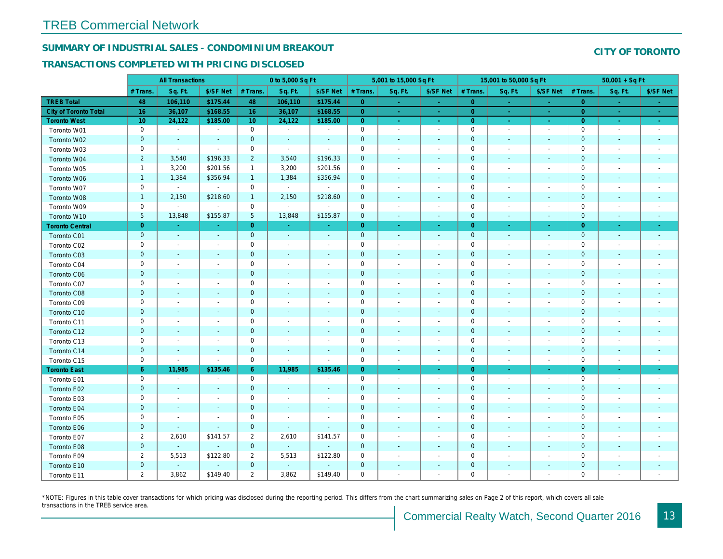## SUMMARY OF INDUSTRIAL SALES - CONDOMINIUM BREAKOUT

#### TRANSACTIONS COMPLETED WITH PRICING DISCLOSED

|                        |                | <b>All Transactions</b>  |                          |                | 0 to 5,000 Sq Ft |                          |                     | 5,001 to 15,000 Sq Ft    |                          |                | 15,001 to 50,000 Sq Ft   |                          |
|------------------------|----------------|--------------------------|--------------------------|----------------|------------------|--------------------------|---------------------|--------------------------|--------------------------|----------------|--------------------------|--------------------------|
|                        | # Trans        | Sq. Ft.                  | \$/SF Net                | # Trans.       | Sq. Ft.          | \$/SF Net                | # Trans.            | Sq. Ft.                  | \$/SF Net                | # Trans.       | Sq. Ft.                  | \$/SF Ne                 |
| <b>TREB Total</b>      | 48             | 106,110                  | \$175.44                 | 48             | 106,110          | \$175.44                 | $\overline{0}$      | $\bullet$                | $\blacksquare$           | $\overline{0}$ | $\blacksquare$           | $\sim$                   |
| City of Toronto Total  | 16             | 36,107                   | \$168.55                 | 16             | 36,107           | \$168.55                 | $\overline{0}$      | $\sim$                   | ÷.                       | $\overline{0}$ | $\sim$                   | $\omega_{\rm c}$         |
| <b>Toronto West</b>    | 10             | 24,122                   | \$185.00                 | 10             | 24,122           | \$185.00                 | $\overline{0}$      | $\sim$                   | $\sim$                   | $\overline{0}$ | $\sim$                   | $\omega_{\rm{eff}}$      |
| Toronto W01            | 0              | $\blacksquare$           | $\blacksquare$           | $\mathbf 0$    | $\sim$           | $\blacksquare$           | $\mathbf 0$         | $\blacksquare$           | $\blacksquare$           | $\mathbf 0$    | $\blacksquare$           | $\blacksquare$           |
| Toronto W02            | $\mathbf{0}$   | $\blacksquare$           |                          | $\mathbf 0$    | $\blacksquare$   | $\frac{1}{2}$            | $\mathbf 0$         | $\overline{\phantom{a}}$ | ÷,                       | $\mathbf 0$    | $\blacksquare$           | $\blacksquare$           |
| Toronto W03            | 0              | $\sim$                   | $\sim$                   | $\mathsf 0$    | $\blacksquare$   | $\blacksquare$           | $\mathsf 0$         | $\blacksquare$           | $\blacksquare$           | $\mathbf 0$    | $\blacksquare$           | $\blacksquare$           |
| Toronto W04            | $\overline{2}$ | 3,540                    | \$196.33                 | $\overline{2}$ | 3,540            | \$196.33                 | $\mathbf 0$         | $\blacksquare$           | $\blacksquare$           | $\mathbf 0$    | $\blacksquare$           | $\blacksquare$           |
| Toronto W05            | $\mathbf{1}$   | 3,200                    | \$201.56                 | $\mathbf{1}$   | 3,200            | \$201.56                 | 0                   | $\blacksquare$           | $\blacksquare$           | 0              | $\blacksquare$           | $\blacksquare$           |
| Toronto W06            | $\mathbf{1}$   | 1,384                    | \$356.94                 | $\mathbf{1}$   | 1,384            | \$356.94                 | $\mathbf 0$         | $\blacksquare$           | ٠                        | $\mathbf 0$    | $\sim$                   | $\sim$                   |
| Toronto W07            | 0              | $\sim$                   | $\sim$                   | $\mathbf 0$    | $\sim$           | $\mathbf{r}$             | $\mathbf 0$         | $\blacksquare$           | $\blacksquare$           | $\mathbf 0$    | $\sim$                   | $\blacksquare$           |
| Toronto W08            | $\mathbf{1}$   | 2,150                    | \$218.60                 | $\mathbf{1}$   | 2,150            | \$218.60                 | $\mathbf 0$         | $\blacksquare$           | $\blacksquare$           | $\mathbf 0$    | $\blacksquare$           | $\blacksquare$           |
| Toronto W09            | 0              | $\blacksquare$           | $\blacksquare$           | $\mathbf 0$    | $\blacksquare$   | $\blacksquare$           | $\mathbf 0$         | $\overline{\phantom{a}}$ | $\blacksquare$           | $\mathbf 0$    | $\overline{a}$           | $\overline{\phantom{a}}$ |
| Toronto W10            | 5 <sup>5</sup> | 13,848                   | \$155.87                 | 5              | 13,848           | \$155.87                 | $\overline{0}$      | $\blacksquare$           | $\blacksquare$           | $\mathbf{0}$   | $\blacksquare$           | $\blacksquare$           |
| <b>Toronto Central</b> | $\overline{0}$ | $\sim$                   | $\sim$                   | $\overline{0}$ | $\sim$           | $\blacksquare$           | $\overline{0}$      | $\blacksquare$           | $\blacksquare$           | $\overline{0}$ | $\sim$                   | $\sim$                   |
| Toronto C01            | $\mathbf 0$    | $\sim$                   | $\blacksquare$           | $\mathbf 0$    | $\sim$           | $\blacksquare$           | $\mathbf{0}$        | $\sim$                   | $\sim$                   | $\mathbf 0$    | $\blacksquare$           | $\sim$                   |
| Toronto C02            | 0              | $\sim$                   |                          | $\mathbf 0$    | $\sim$           | $\blacksquare$           | $\mathbf 0$         | $\blacksquare$           | $\blacksquare$           | $\mathbf 0$    | ÷,                       | $\blacksquare$           |
| Toronto C03            | $\mathbf 0$    | $\blacksquare$           | $\sim$                   | $\mathbf{0}$   | $\blacksquare$   | $\blacksquare$           | $\mathbf 0$         | $\blacksquare$           | $\blacksquare$           | $\mathbf 0$    | $\blacksquare$           | $\blacksquare$           |
| Toronto C04            | 0              | $\overline{\phantom{a}}$ |                          | $\mathsf 0$    | $\blacksquare$   | $\overline{\phantom{a}}$ | $\mathbf 0$         | $\overline{a}$           | $\overline{a}$           | $\mathbf 0$    | $\overline{a}$           | $\blacksquare$           |
| Toronto C06            | $\pmb{0}$      | $\blacksquare$           | $\overline{\phantom{a}}$ | $\mathbf 0$    | $\blacksquare$   | $\blacksquare$           | $\mathbf 0$         | $\blacksquare$           | $\blacksquare$           | $\mathbf 0$    | $\blacksquare$           | $\sim$                   |
| Toronto C07            | 0              | $\blacksquare$           | $\overline{\phantom{a}}$ | $\mathsf 0$    | $\sim$           | $\blacksquare$           | $\mathsf{O}\xspace$ | $\overline{a}$           | $\overline{a}$           | $\mathbf 0$    | $\blacksquare$           | $\blacksquare$           |
| Toronto C08            | $\mathbf 0$    | $\sim$                   | $\sim$                   | $\mathbf 0$    | $\blacksquare$   | $\blacksquare$           | $\mathbf 0$         | $\blacksquare$           | $\blacksquare$           | $\mathbf 0$    | $\blacksquare$           | $\blacksquare$           |
| Toronto C09            | 0              | $\overline{\phantom{a}}$ | $\overline{\phantom{a}}$ | $\mathbf 0$    | $\sim$           | $\blacksquare$           | $\mathbf 0$         | $\overline{\phantom{a}}$ | $\blacksquare$           | 0              | $\overline{\phantom{a}}$ | $\blacksquare$           |
| Toronto C10            | $\mathbf{0}$   | $\sim$                   | $\sim$                   | $\mathbf{0}$   | $\sim$           | $\sim$                   | $\mathbf 0$         | $\sim$                   | $\blacksquare$           | $\mathbf 0$    | $\sim$                   | $\sim$                   |
| Toronto C11            | 0              | $\overline{\phantom{a}}$ | $\overline{\phantom{a}}$ | $\mathbf 0$    | $\blacksquare$   | $\blacksquare$           | $\mathbf 0$         | $\overline{a}$           | $\blacksquare$           | $\mathbf 0$    | $\overline{\phantom{a}}$ | $\overline{\phantom{a}}$ |
| Toronto C12            | $\mathbf{0}$   | $\sim$                   | $\sim$                   | $\mathbf 0$    | $\sim$           | $\blacksquare$           | $\pmb{0}$           | $\blacksquare$           | $\blacksquare$           | $\mathbf{0}$   | $\blacksquare$           | $\blacksquare$           |
| Toronto C13            | 0              | $\sim$                   | $\overline{\phantom{a}}$ | 0              | $\blacksquare$   | $\blacksquare$           | $\mathbf 0$         | $\overline{\phantom{a}}$ | $\overline{\phantom{a}}$ | 0              | $\overline{\phantom{a}}$ | $\overline{\phantom{a}}$ |
| Toronto C14            | $\mathbf 0$    | $\sim$                   | $\sim$                   | $\mathbf 0$    | $\sim$           | $\sim$                   | $\mathbf 0$         | $\sim$                   | $\blacksquare$           | $\mathbf{0}$   | $\sim$                   | $\sim$                   |
| Toronto C15            | 0              | $\blacksquare$           | $\blacksquare$           | $\mathsf 0$    | $\blacksquare$   | $\blacksquare$           | $\mathbf 0$         | $\blacksquare$           | $\blacksquare$           | $\mathbf 0$    | $\overline{\phantom{a}}$ | $\sim$                   |
| <b>Toronto East</b>    | 6              | 11,985                   | \$135.46                 | $6^{\circ}$    | 11,985           | \$135.46                 | $\overline{0}$      | $\blacksquare$           | $\blacksquare$           | $\overline{0}$ | $\blacksquare$           | $\sim$                   |
| Toronto E01            | 0              | $\sim$                   | $\overline{\phantom{a}}$ | $\mathbf 0$    | $\sim$           | $\overline{\phantom{a}}$ | $\mathbf 0$         | $\sim$                   | $\sim$                   | $\mathbf 0$    | $\blacksquare$           | $\sim$                   |
| Toronto E02            | $\mathbf 0$    | $\blacksquare$           | $\sim$                   | $\mathbf 0$    | $\sim$           | $\blacksquare$           | $\pmb{0}$           | $\blacksquare$           | $\sim$                   | $\mathbf{0}$   | $\blacksquare$           | $\blacksquare$           |
| Toronto E03            | 0              | $\overline{\phantom{a}}$ | $\overline{\phantom{a}}$ | $\mathbf 0$    | $\blacksquare$   | $\blacksquare$           | $\mathbf 0$         | $\blacksquare$           | $\blacksquare$           | $\mathbf 0$    | $\blacksquare$           | $\blacksquare$           |
| Toronto E04            | $\mathbf 0$    | $\blacksquare$           |                          | $\mathbf 0$    | $\blacksquare$   | $\blacksquare$           | $\mathbf 0$         | $\overline{\phantom{a}}$ | $\blacksquare$           | $\mathbf 0$    | $\blacksquare$           |                          |
| Toronto E05            | 0              | $\blacksquare$           | $\sim$                   | $\mathsf 0$    | $\sim$           | $\sim$                   | $\mathbf 0$         | $\overline{a}$           | $\blacksquare$           | $\mathbf 0$    | $\sim$                   | $\blacksquare$           |
| Toronto E06            | $\mathbf 0$    | $\sim$                   | $\sim$                   | $\mathbf 0$    | $\sim$           | $\blacksquare$           | $\pmb{0}$           | $\blacksquare$           | ٠                        | $\mathbf 0$    | $\sim$                   |                          |
| Toronto E07            | $\overline{2}$ | 2,610                    | \$141.57                 | $\overline{2}$ | 2,610            | \$141.57                 | $\mathbf 0$         | $\blacksquare$           | $\blacksquare$           | $\mathbf 0$    | $\blacksquare$           | $\overline{\phantom{a}}$ |
| Toronto E08            | $\mathbf{0}$   | $\sim$                   | $\sim$                   | $\mathbf 0$    | $\sim$           | $\blacksquare$           | $\mathbf 0$         | $\blacksquare$           | $\blacksquare$           | $\mathbf 0$    | $\sim$                   | ٠                        |
| Toronto E09            | $\overline{2}$ | 5,513                    | \$122.80                 | $\overline{2}$ | 5,513            | \$122.80                 | $\mathbf 0$         | $\blacksquare$           | $\blacksquare$           | $\mathbf 0$    | $\sim$                   | $\blacksquare$           |
| Toronto E10            | $\mathbf 0$    | $\sim$                   | $\sim$                   | $\mathbf 0$    | $\sim$           |                          | $\mathbf 0$         | ٠                        | ٠                        | $\mathbf 0$    | $\sim$                   |                          |
| Toronto E11            | $\overline{2}$ | 3,862                    | \$149.40                 | $\overline{2}$ | 3,862            | \$149.40                 | $\mathbf 0$         | ä,                       | $\blacksquare$           | $\mathbf 0$    | $\ddot{\phantom{1}}$     | $\blacksquare$           |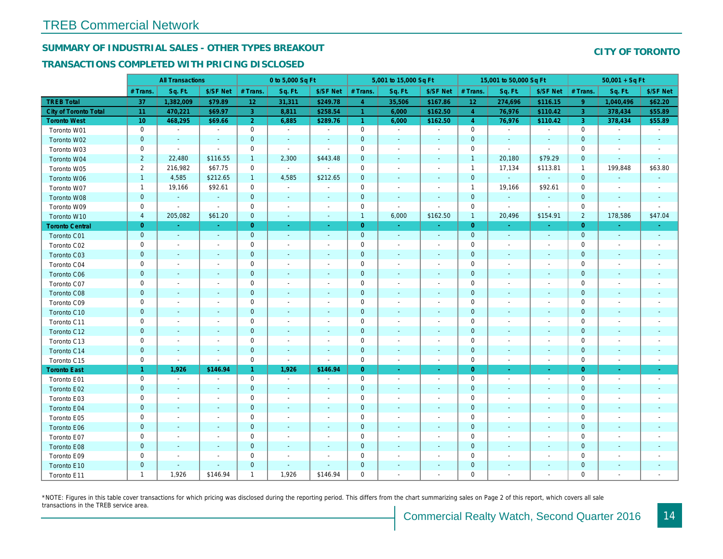# SUMMARY OF INDUSTRIAL SALES - OTHER TYPES BREAKOUT

## TRANSACTIONS COMPLETED WITH PRICING DISCLOSED

|                              |                | <b>All Transactions</b>  |                          |                | 0 to 5,000 Sq Ft         |                          |                      | 5,001 to 15,000 Sq Ft    |                          |                 | 15,001 to 50,000 Sq Ft   |                          |
|------------------------------|----------------|--------------------------|--------------------------|----------------|--------------------------|--------------------------|----------------------|--------------------------|--------------------------|-----------------|--------------------------|--------------------------|
|                              | # Trans        | Sq. Ft.                  | \$/SF Net                | # Trans.       | Sq. Ft.                  | \$/SF Net                | # Trans.             | Sq. Ft.                  | \$/SF Net                | # Trans.        | Sq. Ft.                  | \$/SF Ne                 |
| <b>TREB Total</b>            | 37             | 1,382,009                | \$79.89                  | 12             | 31,311                   | \$249.78                 | $\overline{4}$       | 35,506                   | \$167.86                 | 12 <sub>2</sub> | 274,696                  | \$116.1!                 |
| <b>City of Toronto Total</b> | 11             | 470,221                  | \$69.97                  | 3              | 8,811                    | \$258.54                 | $\blacktriangleleft$ | 6,000                    | \$162.50                 | $\overline{4}$  | 76,976                   | \$110.42                 |
| <b>Toronto West</b>          | 10             | 468,295                  | \$69.66                  | $\overline{2}$ | 6,885                    | \$289.76                 | $\mathbf{1}$         | 6,000                    | \$162.50                 | $\overline{4}$  | 76,976                   | \$110.42                 |
| Toronto W01                  | 0              | $\blacksquare$           | $\blacksquare$           | $\mathbf 0$    | $\sim$                   | $\blacksquare$           | $\mathsf{O}\xspace$  | $\sim$                   | $\blacksquare$           | $\mathbf 0$     | $\blacksquare$           | $\blacksquare$           |
| Toronto W02                  | $\mathbf 0$    | $\blacksquare$           | $\sim$                   | $\mathbf 0$    | $\blacksquare$           | $\blacksquare$           | $\mathbf 0$          | $\overline{\phantom{a}}$ | $\sim$                   | $\mathbf 0$     | $\blacksquare$           | $\blacksquare$           |
| Toronto W03                  | 0              | $\blacksquare$           | $\sim$                   | $\mathbf 0$    | $\sim$                   | $\blacksquare$           | $\mathbf 0$          | $\blacksquare$           | $\blacksquare$           | 0               | $\blacksquare$           | $\blacksquare$           |
| Toronto W04                  | $\overline{2}$ | 22,480                   | \$116.55                 | $\mathbf{1}$   | 2,300                    | \$443.48                 | $\mathbf 0$          | $\blacksquare$           | $\blacksquare$           | $\overline{1}$  | 20,180                   | \$79.29                  |
| Toronto W05                  | $\overline{2}$ | 216,982                  | \$67.75                  | 0              | $\sim$                   | $\sim$                   | $\mathbf 0$          | $\blacksquare$           | $\blacksquare$           | $\mathbf{1}$    | 17,134                   | \$113.8'                 |
| Toronto W06                  | $\mathbf{1}$   | 4,585                    | \$212.65                 | $\mathbf{1}$   | 4,585                    | \$212.65                 | $\mathbf 0$          | $\blacksquare$           | $\blacksquare$           | $\mathbf 0$     | $\omega$                 |                          |
| Toronto W07                  | $\mathbf{1}$   | 19,166                   | \$92.61                  | $\mathbf 0$    | $\sim$                   | $\blacksquare$           | $\mathsf 0$          | $\blacksquare$           | $\blacksquare$           | $\mathbf{1}$    | 19,166                   | \$92.61                  |
| Toronto W08                  | $\mathbf{0}$   | $\sim$                   | $\sim$                   | $\mathbf 0$    | $\sim$                   | $\blacksquare$           | $\pmb{0}$            | $\blacksquare$           | $\blacksquare$           | $\mathbf{0}$    |                          |                          |
| Toronto W09                  | 0              | $\overline{\phantom{a}}$ | $\blacksquare$           | $\mathbf 0$    | $\sim$                   | $\overline{\phantom{a}}$ | $\mathbf 0$          | ÷,                       | $\blacksquare$           | $\mathbf 0$     | $\blacksquare$           | $\blacksquare$           |
| Toronto W10                  | 4              | 205,082                  | \$61.20                  | $\mathbf 0$    | $\blacksquare$           | $\blacksquare$           | $\mathbf{1}$         | 6,000                    | \$162.50                 | $\mathbf{1}$    | 20,496                   | \$154.9'                 |
| <b>Toronto Central</b>       | $\overline{0}$ | a.                       | $\sim$                   | $\overline{0}$ | $\sim$                   | $\sim$                   | $\overline{0}$       | $\omega$                 | ÷.                       | $\overline{0}$  | $\sim$                   | $\sim$                   |
| Toronto C01                  | $\mathbf 0$    | $\sim$                   | $\sim$                   | $\mathbf 0$    | $\sim$                   | $\sim$                   | $\mathbf{0}$         | $\sim$                   | $\sim$                   | $\mathbf 0$     | $\omega$                 | $\sim$                   |
| Toronto C02                  | 0              | $\overline{\phantom{a}}$ | $\overline{a}$           | $\mathbf 0$    | $\sim$                   | $\blacksquare$           | $\mathbf 0$          | $\overline{a}$           | $\blacksquare$           | $\mathbf 0$     | $\blacksquare$           | $\blacksquare$           |
| Toronto C03                  | $\mathbf 0$    | $\overline{\phantom{a}}$ | $\overline{\phantom{a}}$ | $\mathbf 0$    | $\blacksquare$           | $\blacksquare$           | $\mathbf 0$          | $\blacksquare$           | $\blacksquare$           | 0               | $\blacksquare$           | ٠                        |
| Toronto C04                  | 0              | $\overline{\phantom{a}}$ |                          | $\mathsf 0$    | $\sim$                   | $\blacksquare$           | $\mathbf 0$          | $\overline{a}$           | $\blacksquare$           | $\mathbf 0$     | $\overline{\phantom{a}}$ | $\blacksquare$           |
| Toronto C06                  | $\mathbf 0$    | $\sim$                   | $\blacksquare$           | $\mathbf 0$    | $\blacksquare$           | $\blacksquare$           | $\mathbf 0$          | $\blacksquare$           | $\blacksquare$           | $\mathbf 0$     | $\blacksquare$           | $\blacksquare$           |
| Toronto C07                  | 0              | $\overline{\phantom{a}}$ | $\overline{\phantom{a}}$ | $\mathbf 0$    | $\blacksquare$           | $\frac{1}{2}$            | $\mathbf 0$          | $\overline{a}$           | $\overline{a}$           | $\mathbf 0$     | ÷,                       | $\blacksquare$           |
| Toronto C08                  | $\mathbf{0}$   | $\blacksquare$           |                          | $\mathbf{0}$   | $\blacksquare$           | $\blacksquare$           | $\mathbf 0$          | ÷,                       | $\overline{\phantom{a}}$ | $\mathbf{0}$    | $\blacksquare$           | ٠                        |
| Toronto C09                  | 0              | $\sim$                   | $\overline{\phantom{a}}$ | $\mathsf 0$    | $\sim$                   | $\blacksquare$           | $\mathbf 0$          | $\blacksquare$           | $\blacksquare$           | $\mathbf 0$     | ÷,                       | $\blacksquare$           |
| Toronto C10                  | $\mathbf 0$    | $\sim$                   | $\sim$                   | $\mathbf 0$    | $\blacksquare$           | $\blacksquare$           | $\mathbf 0$          | $\blacksquare$           | $\blacksquare$           | $\mathbf 0$     | $\blacksquare$           | $\blacksquare$           |
| Toronto C11                  | 0              | $\overline{\phantom{a}}$ | $\overline{\phantom{a}}$ | $\mathbf 0$    | $\blacksquare$           | $\overline{\phantom{a}}$ | $\mathbf 0$          | $\overline{a}$           | $\overline{a}$           | $\mathbf 0$     | $\overline{\phantom{a}}$ | $\blacksquare$           |
| Toronto C12                  | $\mathbf 0$    | $\sim$                   | $\sim$                   | $\mathbf{0}$   | $\blacksquare$           | $\blacksquare$           | $\mathbf 0$          | $\blacksquare$           | $\blacksquare$           | $\mathbf 0$     | $\sim$                   | $\sim$                   |
| Toronto C13                  | 0              | $\overline{\phantom{a}}$ | $\overline{\phantom{a}}$ | $\mathbf 0$    | $\sim$                   | $\blacksquare$           | $\mathbf 0$          | $\blacksquare$           | $\blacksquare$           | $\mathbf 0$     | $\sim$                   | $\overline{\phantom{a}}$ |
| Toronto C14                  | $\mathbf 0$    | $\sim$                   | $\sim$                   | $\mathbf 0$    | $\sim$                   | $\sim$                   | $\mathbf 0$          | $\blacksquare$           | $\sim$                   | $\mathbf 0$     | $\omega$                 | $\sim$                   |
| Toronto C15                  | 0              | $\blacksquare$           | $\blacksquare$           | $\mathsf 0$    | $\blacksquare$           | $\sim$                   | $\mathsf{O}\xspace$  | $\blacksquare$           | $\blacksquare$           | $\mathbf 0$     | $\blacksquare$           | $\sim$                   |
| <b>Toronto East</b>          | $\mathbf{1}$   | 1,926                    | \$146.94                 | $\mathbf{1}$   | 1,926                    | \$146.94                 | $\overline{0}$       | $\sim$                   | ÷                        | $\overline{0}$  | $\sim$                   | $\sim$                   |
| Toronto E01                  | 0              | $\blacksquare$           | $\blacksquare$           | $\mathbf 0$    | $\sim$                   | $\overline{\phantom{a}}$ | $\mathbf 0$          | $\sim$                   | $\blacksquare$           | $\mathbf 0$     | $\sim$                   | $\sim$                   |
| Toronto E02                  | $\mathbf 0$    | $\sim$                   | $\sim$                   | $\mathbf 0$    | $\sim$                   | $\blacksquare$           | $\mathbf 0$          | $\blacksquare$           | $\blacksquare$           | $\mathbf{0}$    | $\sim$                   | $\sim$                   |
| Toronto E03                  | 0              | $\overline{\phantom{a}}$ | $\overline{\phantom{a}}$ | $\mathbf 0$    | $\overline{\phantom{a}}$ | $\blacksquare$           | $\mathbf 0$          | $\blacksquare$           | $\blacksquare$           | 0               | $\blacksquare$           | $\blacksquare$           |
| Toronto E04                  | $\mathbf{0}$   | $\sim$                   | $\sim$                   | $\mathbf 0$    | $\sim$                   | $\sim$                   | $\mathbf 0$          | $\blacksquare$           | $\omega$                 | $\mathbf{0}$    | $\omega$                 | $\blacksquare$           |
| Toronto E05                  | 0              | $\overline{\phantom{a}}$ | $\overline{\phantom{a}}$ | $\mathbf 0$    | $\blacksquare$           | $\blacksquare$           | $\mathbf 0$          | $\blacksquare$           | $\blacksquare$           | $\mathbf 0$     | $\blacksquare$           | $\blacksquare$           |
| Toronto E06                  | $\mathbf 0$    |                          |                          | $\mathbf 0$    | $\sim$                   |                          | $\mathbf 0$          | $\overline{\phantom{a}}$ | $\overline{\phantom{a}}$ | $\mathbf 0$     | $\blacksquare$           |                          |
| Toronto E07                  | 0              | $\blacksquare$           | $\overline{\phantom{a}}$ | $\mathbf 0$    | $\blacksquare$           | $\overline{\phantom{a}}$ | $\mathbf 0$          | $\overline{\phantom{a}}$ | $\blacksquare$           | $\mathbf 0$     | $\blacksquare$           | $\blacksquare$           |
| Toronto E08                  | $\mathbf{0}$   | $\sim$                   | $\sim$                   | $\mathbf 0$    | $\sim$                   | $\blacksquare$           | $\mathbf 0$          | ÷,                       | $\blacksquare$           | $\mathbf 0$     | $\sim$                   |                          |
| Toronto E09                  | 0              | $\blacksquare$           | $\overline{\phantom{a}}$ | $\mathbf 0$    | $\blacksquare$           | $\blacksquare$           | $\mathbf 0$          | $\blacksquare$           | $\blacksquare$           | $\mathbf 0$     | $\blacksquare$           | $\blacksquare$           |
| Toronto E10                  | $\mathbf 0$    | $\sim$                   | $\sim$                   | $\mathbf 0$    | $\sim$                   | $\blacksquare$           | $\mathbf 0$          | ٠                        |                          | $\mathbf 0$     | $\blacksquare$           |                          |
| Toronto E11                  | $\mathbf{1}$   | 1,926                    | \$146.94                 | $\mathbf{1}$   | 1,926                    | \$146.94                 | $\mathbf 0$          | $\blacksquare$           | $\blacksquare$           | $\mathbf 0$     | $\blacksquare$           | $\blacksquare$           |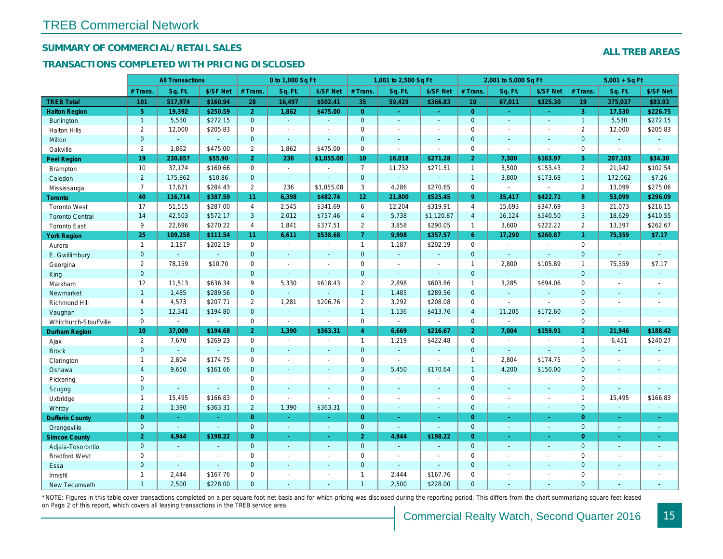## SUMMARY OF COMMERCIAL/RETAIL SALES

### TRANSACTIONS COMPLETED WITH PRICING DISCLOSED

|                        |                 | <b>All Transactions</b> |                |                       | 0 to 1,000 Sq Ft |                          |                     | 1,001 to 2,500 Sq Ft  |                          |                | 2,001 to 5,000 Sq Ft     |                |
|------------------------|-----------------|-------------------------|----------------|-----------------------|------------------|--------------------------|---------------------|-----------------------|--------------------------|----------------|--------------------------|----------------|
|                        | # Trans         | Sq. Ft.                 | \$/SF Net      | # Trans.              | Sq. Ft.          | \$/SF Net                | # Trans.            | Sq. Ft.               | \$/SF Net                | # Trans.       | Sq. Ft.                  | \$/SF Ne       |
| <b>TREB Total</b>      | 101             | 517,974                 | \$160.94       | 28                    | 16,497           | \$502.41                 | 35                  | 59,429                | \$366.83                 | 19             | 67,011                   | \$325.30       |
| <b>Halton Region</b>   | 5 <sup>5</sup>  | 19,392                  | \$250.59       | $\overline{2}$        | 1,862            | \$475.00                 | $\overline{0}$      | ÷.                    | $\omega_{\rm c}$         | $\overline{0}$ | $\omega$                 | $\sim$         |
| <b>Burlington</b>      | $\overline{1}$  | 5,530                   | \$272.15       | $\overline{0}$        | $\sim$           | $\blacksquare$           | $\overline{0}$      | ä,                    | $\mathbf{r}$             | $\mathbf{0}$   | $\mathbf{r}$             | $\omega$       |
| <b>Halton Hills</b>    | $\overline{2}$  | 12,000                  | \$205.83       | 0                     | $\blacksquare$   |                          | $\mathbf 0$         | $\blacksquare$        | ä,                       | $\mathbf 0$    | $\blacksquare$           | $\blacksquare$ |
| Milton                 | $\overline{0}$  | $\omega$                | $\mathbf{r}$   | $\mathbf{0}$          | $\omega$         | ä,                       | $\mathbf{0}$        | $\blacksquare$        | $\blacksquare$           | $\mathbf{0}$   | $\omega$                 | $\sim$         |
| Oakville               | $\overline{2}$  | 1,862                   | \$475.00       | $\mathbf{2}^{\prime}$ | 1.862            | \$475.00                 | $\mathsf{O}$        | ä,                    | $\overline{\phantom{a}}$ | $\mathbf 0$    | $\blacksquare$           | $\blacksquare$ |
| <b>Peel Region</b>     | 19              | 230,657                 | \$55.90        | 2 <sup>1</sup>        | 236              | \$1,055.08               | 10 <sub>1</sub>     | 16,018                | \$271.28                 | $\overline{2}$ | 7,300                    | \$163.97       |
| <b>Brampton</b>        | 10              | 37,174                  | \$160.66       | $\mathbf 0$           | $\sim$           | $\overline{\phantom{a}}$ | $\overline{7}$      | 11,732                | \$271.51                 | $\mathbf{1}$   | 3,500                    | \$153.43       |
| Caledon                | $\overline{2}$  | 175,862                 | \$10.86        | $\mathbf{0}$          | $\omega$         | $\blacksquare$           | $\mathbf{0}$        | $\omega_{\rm c}$      | $\omega_{\rm c}$         | $\overline{1}$ | 3,800                    | \$173.68       |
| Mississauga            | $\overline{7}$  | 17,621                  | \$284.43       | $\overline{2}$        | 236              | \$1,055.08               | 3                   | 4,286                 | \$270.65                 | $\mathbf 0$    | $\blacksquare$           | $\blacksquare$ |
| Toronto                | 40              | 116,714                 | \$387.59       | 11                    | 6,398            | \$482.74                 | 12 <sub>2</sub>     | 21,800                | \$525.45                 | $9^{\circ}$    | 35,417                   | \$422.7        |
| <b>Toronto West</b>    | 17              | 51,515                  | \$287.00       | $\overline{4}$        | 2,545            | \$341.69                 | 6                   | 12,204                | \$319.91                 | $\overline{4}$ | 15,693                   | \$347.69       |
| <b>Toronto Central</b> | 14              | 42,503                  | \$572.17       | 3                     | 2,012            | \$757.46                 | $\overline{4}$      | 5,738                 | \$1,120.87               | $\overline{4}$ | 16,124                   | \$540.50       |
| <b>Toronto East</b>    | 9               | 22,696                  | \$270.22       | $\overline{4}$        | 1,841            | \$377.51                 | $\overline{2}$      | 3,858                 | \$290.05                 | $\overline{1}$ | 3,600                    | \$222.22       |
| <b>York Region</b>     | 25              | 109,258                 | \$111.54       | 11                    | 6,611            | \$538.68                 | $\overline{7}$      | 9,998                 | \$357.57                 | 6              | 17,290                   | \$260.87       |
| Aurora                 | $\overline{1}$  | 1,187                   | \$202.19       | $\mathbf 0$           | $\sim$           | $\sim$                   | $\mathbf{1}$        | 1,187                 | \$202.19                 | $\mathbf 0$    | $\blacksquare$           | $\blacksquare$ |
| E. Gwillimbury         | $\mathbf{0}$    | $\omega$                | $\omega$       | $\mathbf{0}$          | $\blacksquare$   | $\blacksquare$           | $\mathbf{0}$        | $\Box$                | $\blacksquare$           | $\mathbf{0}$   | $\Delta$                 | $\blacksquare$ |
| Georgina               | $\overline{2}$  | 78,159                  | \$10.70        | 0                     | $\blacksquare$   | $\sim$                   | $\mathbf 0$         | $\blacksquare$        | ä,                       | $\mathbf{1}$   | 2,800                    | \$105.89       |
| King                   | $\mathbf{0}$    | $\sim$                  | $\sim$         | $\mathbf{0}$          | $\blacksquare$   | $\blacksquare$           | $\mathbf 0$         | $\blacksquare$        | ÷,                       | $\mathbf{0}$   | $\blacksquare$           | $\blacksquare$ |
| Markham                | 12              | 11,513                  | \$636.34       | 9                     | 5,330            | \$618.43                 | $\overline{2}$      | 2,898                 | \$603.86                 | $\mathbf{1}$   | 3,285                    | \$694.06       |
| Newmarket              | $\mathbf{1}$    | 1,485                   | \$289.56       | $\mathbf 0$           | $\mathbf{u}$     |                          | $\mathbf{1}$        | 1,485                 | \$289.56                 | $\mathbf{0}$   | $\omega$                 | $\blacksquare$ |
| Richmond Hill          | 4               | 4,573                   | \$207.71       | $\overline{2}$        | 1,281            | \$206.76                 | $\overline{2}$      | 3,292                 | \$208.08                 | $\mathbf 0$    | $\blacksquare$           | $\blacksquare$ |
| Vaughan                | 5 <sup>5</sup>  | 12,341                  | \$194.80       | $\overline{0}$        | $\Delta$         | $\sim$                   | $\mathbf{1}$        | 1,136                 | \$413.76                 | $\overline{4}$ | 11,205                   | \$172.60       |
| Whitchurch-Stouffville | 0               | $\blacksquare$          | $\sim$         | 0                     | $\blacksquare$   | $\sim$                   | $\mathsf 0$         | $\blacksquare$        | ÷,                       | $\mathbf 0$    | $\overline{\phantom{a}}$ | $\blacksquare$ |
| <b>Durham Region</b>   | 10 <sup>1</sup> | 37,009                  | \$194.68       | $\overline{2}$        | 1,390            | \$363.31                 | $\overline{4}$      | 6,669                 | \$216.67                 | $\overline{2}$ | 7,004                    | \$159.9        |
| Ajax                   | $\overline{2}$  | 7,670                   | \$269.23       | $\mathbf 0$           | $\sim$           | $\blacksquare$           | $\mathbf{1}$        | 1,219                 | \$422.48                 | $\mathbf 0$    | $\sim$                   | $\sim$         |
| <b>Brock</b>           | $\mathbf{0}$    | $\omega$                | $\omega$       | $\overline{0}$        | $\omega$         | $\blacksquare$           | $\mathbf{0}$        | ä,                    | $\omega$                 | $\mathbf{0}$   | $\omega$                 | $\omega$       |
| Clarington             | $\mathbf{1}$    | 2,804                   | \$174.75       | $\mathbf 0$           | $\sim$           | $\sim$                   | $\mathbf 0$         | $\blacksquare$        | $\sim$                   | $\mathbf{1}$   | 2,804                    | \$174.75       |
| Oshawa                 | $\overline{4}$  | 9,650                   | \$161.66       | $\mathbf{0}$          | $\blacksquare$   | ä,                       | 3                   | 5,450                 | \$170.64                 | $\mathbf{1}$   | 4,200                    | \$150.00       |
| Pickering              | 0               | $\blacksquare$          | $\blacksquare$ | 0                     | $\sim$           |                          | $\mathsf{O}\xspace$ | $\tilde{\phantom{a}}$ | $\overline{a}$           | $\mathbf 0$    | $\sim$                   | $\overline{a}$ |
| Scugog                 | $\mathbf{0}$    | $\blacksquare$          | $\omega$       | $\mathbf{0}$          | $\blacksquare$   | $\blacksquare$           | $\mathbf{0}$        | $\blacksquare$        | $\blacksquare$           | $\mathbf{0}$   | $\blacksquare$           | $\blacksquare$ |
| Uxbridge               | $\mathbf{1}$    | 15,495                  | \$166.83       | $\mathbf 0$           | $\sim$           | $\sim$                   | $\mathsf{O}$        | $\blacksquare$        | $\blacksquare$           | $\mathbf 0$    | $\blacksquare$           | $\blacksquare$ |
| Whitby                 | $\overline{2}$  | 1,390                   | \$363.31       | $\overline{2}$        | 1,390            | \$363.31                 | $\overline{0}$      | $\blacksquare$        | $\blacksquare$           | $\mathbf{0}$   | $\blacksquare$           | $\blacksquare$ |
| <b>Dufferin County</b> | $\overline{0}$  | $\sim$                  | $\sim$         | $\overline{0}$        | ÷.               | ×.                       | $\overline{0}$      | $\blacksquare$        | ×.                       | $\overline{0}$ | $\sim$                   | $\blacksquare$ |
| Orangeville            | $\overline{0}$  | $\omega$                | $\omega$       | $\overline{0}$        | ◆                | $\omega$                 | $\overline{0}$      | ä,                    | $\omega$                 | $\mathbf{0}$   | $\omega$                 | $\sim$         |
| <b>Simcoe County</b>   | 2 <sup>1</sup>  | 4,944                   | \$198.22       | $\overline{0}$        | $\omega$         | $\blacksquare$           | 2 <sup>1</sup>      | 4,944                 | \$198.22                 | $\overline{0}$ | $\sim$                   | $\sim$         |
| Adjala-Tosorontio      | $\mathbf{0}$    | $\sim$                  | $\sim$         | $\mathbf{0}$          | $\omega$         | $\blacksquare$           | $\mathbf{0}$        | $\omega$              | ä,                       | $\mathbf{0}$   | $\Delta$                 | $\sim$         |
| <b>Bradford West</b>   | $\mathbf 0$     | $\blacksquare$          | $\sim$         | $\mathbf 0$           | $\blacksquare$   | $\blacksquare$           | $\mathbf 0$         | $\blacksquare$        | $\blacksquare$           | $\mathbf 0$    | $\blacksquare$           | $\blacksquare$ |
| Essa                   | $\mathbf 0$     | $\sim$                  | $\sim$         | $\mathbf 0$           | $\blacksquare$   | $\blacksquare$           | $\mathbf{0}$        | $\omega$              | $\blacksquare$           | $\mathbf{0}$   | $\blacksquare$           |                |
| Innisfil               | $\mathbf{1}$    | 2,444                   | \$167.76       | $\mathbf 0$           | $\blacksquare$   | $\blacksquare$           | $\mathbf{1}$        | 2,444                 | \$167.76                 | $\mathbf 0$    | $\blacksquare$           | $\blacksquare$ |
| New Tecumseth          | $\overline{1}$  | 2,500                   | \$228.00       | $\Omega$              |                  |                          | $\overline{1}$      | 2,500                 | \$228.00                 | $\Omega$       |                          |                |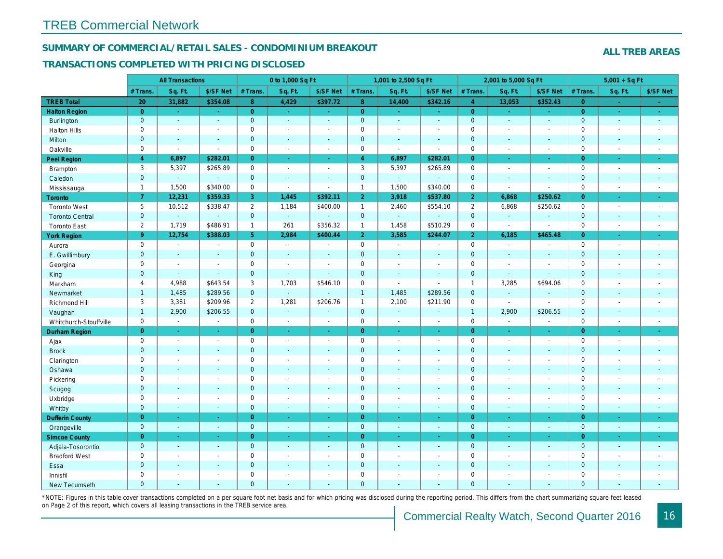#### SUMMARY OF COMMERCIAL/RETAIL SALES - CONDOMINIUM BREAKOUT

#### TRANSACTIONS COMPLETED WITH PRICING DISCLOSED

|                        |                     | <b>All Transactions</b> |                       |                | 0 to 1,000 Sq Ft |                |                | 1,001 to 2,500 Sq Ft  |                  |                | 2,001 to 5,000 Sq Ft |                |
|------------------------|---------------------|-------------------------|-----------------------|----------------|------------------|----------------|----------------|-----------------------|------------------|----------------|----------------------|----------------|
|                        | # Trans             | Sq. Ft.                 | \$/SF Net             | # Trans.       | Sq. Ft.          | \$/SF Net      | # Trans.       | Sq. Ft.               | \$/SF Net        | # Trans.       | Sq. Ft.              | \$/SF Ne       |
| <b>TREB Total</b>      | 20                  | 31,882                  | \$354.08              | 8              | 4,429            | \$397.72       | 8              | 14,400                | \$342.16         | $\overline{4}$ | 13,053               | \$352.43       |
| <b>Halton Region</b>   | $\overline{0}$      | $\sim$                  | $\sim$                | $\overline{0}$ | $\sim$           | $\sim$         | $\overline{0}$ | $\sim$                | $\omega_{\rm c}$ | $\overline{0}$ | $\sim$               | $\sim$         |
| <b>Burlington</b>      | $\mathbf{0}$        | $\omega$                | $\omega$              | $\mathbf{0}$   | $\Delta$         | $\mathbf{r}$   | $\mathbf{0}$   | $\omega$              | ÷.               | $\mathbf{0}$   | $\omega$             | $\sim$         |
| <b>Halton Hills</b>    | $\mathbf 0$         | $\blacksquare$          | $\blacksquare$        | 0              | $\sim$           | $\blacksquare$ | $\pmb{0}$      | $\blacksquare$        | $\blacksquare$   | $\mathbf 0$    | $\blacksquare$       | $\sim$         |
| Milton                 | $\mathbf{0}$        | $\sim$                  | $\sim$                | $\mathbf{0}$   | $\sim$           | $\sim$         | $\mathbf 0$    | $\Delta$              | $\sim$           | $\mathbf 0$    | $\mathbf{r}$         | $\sim$         |
| Oakville               | $\mathbf 0$         | $\blacksquare$          | $\blacksquare$        | $\mathsf 0$    | $\blacksquare$   | $\blacksquare$ | $\pmb{0}$      | $\blacksquare$        | $\sim$           | $\mathbf 0$    | $\sim$               | $\blacksquare$ |
| Peel Region            | $\overline{4}$      | 6,897                   | \$282.01              | $\overline{0}$ | $\sim$           | $\sim$         | $\overline{4}$ | 6,897                 | \$282.01         | $\overline{0}$ | $\blacksquare$       | $\bullet$      |
| Brampton               | 3                   | 5,397                   | \$265.89              | $\mathbf 0$    | $\sim$           | $\sim$         | 3              | 5,397                 | \$265.89         | $\mathbf 0$    | $\blacksquare$       | $\blacksquare$ |
| Caledon                | $\mathbf{0}$        | $\omega$                | $\blacksquare$        | $\mathbf 0$    | $\blacksquare$   | $\blacksquare$ | $\mathbf 0$    | ä,                    | $\Box$           | $\mathbf 0$    | $\blacksquare$       | $\omega$       |
| Mississauga            | $\mathbf{1}$        | 1,500                   | \$340.00              | $\mathbf 0$    | $\blacksquare$   | $\sim$         | $\mathbf{1}$   | 1,500                 | \$340.00         | $\mathbf 0$    | $\sim$               | $\blacksquare$ |
| Toronto                | $\overline{7}$      | 12,231                  | \$359.33              | 3              | 1,445            | \$392.11       | $\overline{2}$ | 3,918                 | \$537.80         | $\overline{2}$ | 6,868                | \$250.62       |
| <b>Toronto West</b>    | 5                   | 10,512                  | \$338.47              | $\overline{2}$ | 1,184            | \$400.00       | $\mathbf{1}$   | 2,460                 | \$554.10         | 2              | 6,868                | \$250.62       |
| <b>Toronto Central</b> | $\mathbf{0}$        | $\omega$                | $\omega$              | $\mathbf{0}$   | $\omega$         | $\sim$         | $\mathbf{0}$   | $\omega_{\rm c}$      | $\omega$         | $\mathbf 0$    | $\omega$             | $\sim$         |
| <b>Toronto East</b>    | $\overline{2}$      | 1,719                   | \$486.91              | $\mathbf{1}$   | 261              | \$356.32       | $\mathbf{1}$   | 1,458                 | \$510.29         | $\mathbf 0$    | $\sim$               | $\blacksquare$ |
| <b>York Region</b>     | 9 <sup>°</sup>      | 12,754                  | \$388.03              | 5 <sup>5</sup> | 2,984            | \$400.44       | 2 <sup>1</sup> | 3,585                 | \$244.07         | $\overline{2}$ | 6,185                | \$465.48       |
| Aurora                 | $\mathbf 0$         | $\sim$                  | $\blacksquare$        | $\mathbf 0$    | $\sim$           | $\sim$         | $\mathsf 0$    | $\omega$              | $\blacksquare$   | $\mathbf 0$    | $\blacksquare$       | $\sim$         |
| E. Gwillimbury         | $\mathbf 0$         | $\omega$                | $\blacksquare$        | $\mathbf 0$    | $\sim$           | $\sim$         | $\pmb{0}$      | $\omega$              | ä,               | $\mathbf 0$    | $\omega$             | $\blacksquare$ |
| Georgina               | $\mathbf 0$         | $\blacksquare$          | $\blacksquare$        | $\mathbf 0$    | $\sim$           | $\sim$         | $\mathbf 0$    | $\blacksquare$        | $\blacksquare$   | $\mathbf 0$    | $\overline{a}$       | $\blacksquare$ |
| King                   | $\mathbf{0}$        | $\sim$                  | $\sim$                | $\mathbf{0}$   | $\sim$           |                | $\mathbf 0$    | $\blacksquare$        | $\blacksquare$   | $\mathbf 0$    | $\blacksquare$       | $\blacksquare$ |
| Markham                | $\overline{4}$      | 4,988                   | \$643.54              | 3              | 1,703            | \$546.10       | $\pmb{0}$      | $\blacksquare$        | $\blacksquare$   | $\mathbf{1}$   | 3,285                | \$694.06       |
| Newmarket              | $\mathbf{1}$        | 1,485                   | \$289.56              | $\overline{0}$ | $\omega$         |                | $\overline{1}$ | 1,485                 | \$289.56         | $\mathbf 0$    | $\omega$             | $\blacksquare$ |
| Richmond Hill          | 3                   | 3,381                   | \$209.96              | 2              | 1,281            | \$206.76       | $\mathbf{1}$   | 2,100                 | \$211.90         | $\mathbf 0$    | $\blacksquare$       | $\blacksquare$ |
| Vaughan                | $\mathbf{1}$        | 2,900                   | \$206.55              | $\mathbf{0}$   | $\sim$           | $\sim$         | $\mathbf{0}$   | $\sim$                | $\sim$           | $\mathbf{1}$   | 2,900                | \$206.55       |
| Whitchurch-Stouffville | $\mathbf 0$         | $\blacksquare$          | $\blacksquare$        | $\mathbf 0$    | $\blacksquare$   | $\sim$         | 0              | $\blacksquare$        | $\blacksquare$   | $\mathbf 0$    | $\blacksquare$       | $\sim$         |
| <b>Durham Region</b>   | $\overline{0}$      | $\omega$                | $\omega$              | $\overline{0}$ | $\omega$         | $\omega$       | $\overline{0}$ | ä,                    | $\omega$         | $\overline{0}$ | $\blacksquare$       | $\omega$       |
| Ajax                   | $\mathbf 0$         | $\sim$                  | $\omega$              | $\mathbf 0$    | $\sim$           | $\sim$         | $\pmb{0}$      | $\blacksquare$        | $\blacksquare$   | $\mathbf 0$    | $\sim$               | $\sim$         |
| <b>Brock</b>           | $\mathbf{0}$        | $\sim$                  | $\sim$                | $\mathbf{0}$   | $\sim$           | $\sim$         | $\mathbf 0$    | $\omega$              | $\blacksquare$   | $\mathbf{0}$   | $\mathbf{r}$         | $\sim$         |
| Clarington             | $\mathsf{O}\xspace$ | $\tilde{\phantom{a}}$   | $\tilde{\phantom{a}}$ | $\mathsf 0$    | $\sim$           | $\sim$         | $\mathbf 0$    | $\tilde{\phantom{a}}$ | $\overline{a}$   | $\mathsf 0$    | $\overline{a}$       | $\blacksquare$ |
| Oshawa                 | $\overline{0}$      | $\blacksquare$          | $\blacksquare$        | $\mathbf{0}$   | $\sim$           | $\blacksquare$ | $\mathbf 0$    | $\blacksquare$        | $\blacksquare$   | $\mathbf{0}$   | $\blacksquare$       | $\blacksquare$ |
| Pickering              | $\mathbf 0$         | $\sim$                  | $\sim$                | $\mathbf 0$    | $\sim$           |                | $\pmb{0}$      | $\sim$                | $\blacksquare$   | $\mathbf 0$    | ÷,                   | $\blacksquare$ |
| Scugog                 | $\mathbf{0}$        | $\blacksquare$          | $\blacksquare$        | $\mathbf{0}$   | $\blacksquare$   | $\blacksquare$ | $\mathbf 0$    | $\blacksquare$        | $\blacksquare$   | $\mathbf 0$    | $\blacksquare$       | $\blacksquare$ |
| Uxbridge               | $\mathbf 0$         | $\blacksquare$          | $\blacksquare$        | $\mathbf 0$    | $\sim$           | $\sim$         | $\pmb{0}$      | $\blacksquare$        | $\blacksquare$   | $\mathbf 0$    | ÷,                   | $\blacksquare$ |
| Whitby                 | $\mathbf{0}$        | $\sim$                  | $\sim$                | $\mathbf{0}$   | $\sim$           | $\sim$         | $\pmb{0}$      | $\blacksquare$        | $\omega$         | $\mathbf{0}$   | $\blacksquare$       | $\sim$         |
| <b>Dufferin County</b> | $\overline{0}$      | $\sim$                  | $\sim$                | $\overline{0}$ | ÷.               | $\blacksquare$ | $\overline{0}$ | $\blacksquare$        | $\blacksquare$   | $\overline{0}$ | $\blacksquare$       | $\sim$         |
| Orangeville            | $\mathbf{0}$        | $\omega$                | $\sim$                | $\mathbf{0}$   | $\omega$         | $\sim$         | $\mathbf{0}$   | $\omega$              | $\sim$           | $\mathbf{0}$   | $\omega$             | $\sim$         |
| <b>Simcoe County</b>   | $\overline{0}$      | $\sim$                  | $\sim$                | $\overline{0}$ | $\omega$         | $\omega$       | $\overline{0}$ | Ξ                     | ä,               | $\overline{0}$ | $\blacksquare$       | $\bullet$      |
| Adjala-Tosorontio      | $\mathbf{0}$        | $\sim$                  | $\sim$                | $\mathbf 0$    | $\sim$           | $\sim$         | $\mathbf 0$    | $\blacksquare$        | $\blacksquare$   | $\mathbf 0$    | $\omega$             | $\sim$         |
| <b>Bradford West</b>   | $\mathbf 0$         | $\sim$                  | $\blacksquare$        | $\mathbf 0$    | $\sim$           | $\sim$         | $\pmb{0}$      | $\blacksquare$        | $\blacksquare$   | $\mathbf 0$    | $\blacksquare$       | $\sim$         |
| Essa                   | $\mathbf{0}$        | $\sim$                  | $\blacksquare$        | $\mathbf 0$    |                  | $\sim$         | $\pmb{0}$      | $\blacksquare$        | $\blacksquare$   | $\mathbf 0$    | $\blacksquare$       | $\blacksquare$ |
| Innisfil               | $\mathbf 0$         | $\blacksquare$          | $\blacksquare$        | $\mathbf 0$    | $\sim$           | $\sim$         | $\pmb{0}$      | $\blacksquare$        | $\blacksquare$   | $\mathbf 0$    | $\blacksquare$       | $\blacksquare$ |
| <b>New Tecumseth</b>   | $\Omega$            |                         |                       | $\Omega$       |                  |                | $\Omega$       |                       |                  | $\overline{0}$ |                      |                |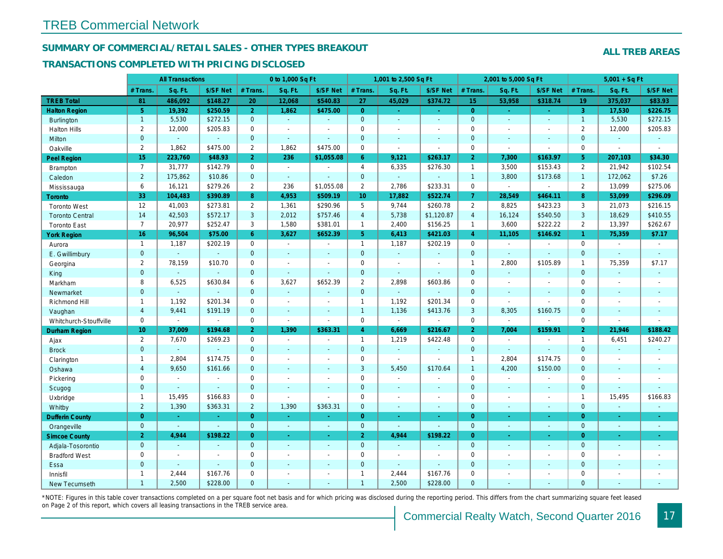#### SUMMARY OF COMMERCIAL/RETAIL SALES - OTHER TYPES BREAKOUT

#### TRANSACTIONS COMPLETED WITH PRICING DISCLOSED

|                        |                 | <b>All Transactions</b>  |                          |                | 0 to 1,000 Sq Ft |                          |                     | 1,001 to 2,500 Sq Ft |                          |                | 2,001 to 5,000 Sq Ft |                      |
|------------------------|-----------------|--------------------------|--------------------------|----------------|------------------|--------------------------|---------------------|----------------------|--------------------------|----------------|----------------------|----------------------|
|                        | # Trans.        | Sq. Ft.                  | \$/SF Net                | # Trans.       | Sq. Ft.          | \$/SF Net                | # Trans.            | Sq. Ft.              | \$/SF Net                | # Trans.       | Sq. Ft.              | \$/SF Ne             |
| <b>TREB Total</b>      | 81              | 486,092                  | \$148.27                 | 20             | 12,068           | \$540.83                 | 27                  | 45,029               | \$374.72                 | 15             | 53,958               | \$318.74             |
| <b>Halton Region</b>   | 5 <sup>5</sup>  | 19,392                   | \$250.59                 | 2 <sup>1</sup> | 1,862            | \$475.00                 | $\overline{0}$      | $\omega_{\rm c}$     | $\Delta \phi$            | $\overline{0}$ | $\sim$               | $\omega$             |
| <b>Burlington</b>      | $\mathbf{1}$    | 5,530                    | \$272.15                 | $\mathbf 0$    | $\omega$         | $\omega$                 | $\mathbf{0}$        | $\Box$               | $\blacksquare$           | $\mathbf{0}$   | $\Delta$             | $\sim$               |
| <b>Halton Hills</b>    | $\mathbf{2}$    | 12,000                   | \$205.83                 | $\mathbf 0$    | $\sim$           | $\sim$                   | $\mathbf 0$         | $\blacksquare$       | $\overline{a}$           | $\mathbf 0$    | $\blacksquare$       | $\sim$               |
| Milton                 | $\mathbf 0$     | $\omega$                 | $\mathbf{r}$             | $\mathbf{0}$   | $\omega$         | $\blacksquare$           | $\mathbf{0}$        | ä,                   | ä,                       | $\mathbf{0}$   | $\omega$             | $\sim$               |
| Oakville               | $\overline{2}$  | 1,862                    | \$475.00                 | $\overline{2}$ | 1.862            | \$475.00                 | $\mathbf 0$         | $\sim$               | $\overline{\phantom{a}}$ | $\mathbf 0$    | $\blacksquare$       | $\sim$               |
| <b>Peel Region</b>     | 15              | 223,760                  | \$48.93                  | $\overline{2}$ | 236              | \$1,055.08               | $6^{\circ}$         | 9,121                | \$263.17                 | $\overline{2}$ | 7,300                | \$163.97             |
| <b>Brampton</b>        | $\overline{7}$  | 31,777                   | \$142.79                 | $\mathbf 0$    | $\sim$           |                          | $\overline{4}$      | 6,335                | \$276.30                 | $\mathbf{1}$   | 3,500                | \$153.43             |
| Caledon                | $\overline{2}$  | 175,862                  | \$10.86                  | $\mathbf 0$    | $\omega$         |                          | $\mathbf{0}$        | ä,                   | ä,                       | $\overline{1}$ | 3,800                | \$173.68             |
| Mississauga            | 6               | 16,121                   | \$279.26                 | $\overline{2}$ | 236              | \$1,055.08               | $\overline{2}$      | 2,786                | \$233.31                 | $\mathbf 0$    | $\omega$             | $\blacksquare$       |
| Toronto                | 33              | 104,483                  | \$390.89                 | 8              | 4,953            | \$509.19                 | 10 <sup>°</sup>     | 17,882               | \$522.74                 | $\overline{7}$ | 28,549               | \$464.1              |
| <b>Toronto West</b>    | 12              | 41,003                   | \$273.81                 | $\overline{2}$ | 1,361            | \$290.96                 | 5                   | 9,744                | \$260.78                 | $\overline{2}$ | 8,825                | \$423.23             |
| <b>Toronto Central</b> | 14              | 42,503                   | \$572.17                 | 3              | 2,012            | \$757.46                 | $\overline{4}$      | 5,738                | \$1,120.87               | $\overline{4}$ | 16,124               | \$540.50             |
| <b>Toronto East</b>    | $\overline{7}$  | 20,977                   | \$252.47                 | 3              | 1,580            | \$381.01                 | $\mathbf{1}$        | 2,400                | \$156.25                 | $\mathbf{1}$   | 3,600                | \$222.22             |
| <b>York Region</b>     | 16              | 96,504                   | \$75.00                  | 6              | 3,627            | \$652.39                 | 5 <sup>5</sup>      | 6,413                | \$421.03                 | $\overline{4}$ | 11,105               | \$146.92             |
| Aurora                 | $\overline{1}$  | 1,187                    | \$202.19                 | $\mathbf 0$    | $\sim$           | $\sim$                   | $\mathbf{1}$        | 1,187                | \$202.19                 | $\mathbf 0$    | $\blacksquare$       | $\blacksquare$       |
| E. Gwillimbury         | $\overline{0}$  | $\mathbf{r}$             | $\omega$                 | $\mathbf{0}$   | $\blacksquare$   |                          | $\mathbf{0}$        | $\Box$               | $\blacksquare$           | $\mathbf{0}$   | $\Delta$             | $\omega$             |
| Georgina               | $\overline{2}$  | 78,159                   | \$10.70                  | $\mathbf 0$    | $\blacksquare$   | $\blacksquare$           | $\mathbf 0$         | $\blacksquare$       | $\blacksquare$           | $\mathbf{1}$   | 2,800                | \$105.89             |
| King                   | $\overline{0}$  | $\sim$                   | $\sim$                   | $\mathbf{0}$   | $\blacksquare$   | $\blacksquare$           | $\mathbf{0}$        | $\blacksquare$       | ä,                       | $\mathbf{0}$   | $\omega$             | $\omega$             |
| Markham                | 8               | 6,525                    | \$630.84                 | 6              | 3,627            | \$652.39                 | $\overline{2}$      | 2,898                | \$603.86                 | $\mathbf 0$    | $\blacksquare$       | $\blacksquare$       |
| Newmarket              | $\overline{0}$  | $\blacksquare$           | $\overline{\phantom{a}}$ | $\mathbf{0}$   | $\omega$         | $\sim$                   | $\mathbf{0}$        | $\Box$               | $\sim$                   | $\mathbf{0}$   | $\omega$             | $\sim$               |
| Richmond Hill          | $\mathbf{1}$    | 1,192                    | \$201.34                 | 0              | $\sim$           | $\overline{\phantom{a}}$ | $\mathbf{1}$        | 1,192                | \$201.34                 | $\mathbf 0$    | $\sim$               | $\blacksquare$       |
| Vaughan                | $\overline{4}$  | 9,441                    | \$191.19                 | $\mathbf{0}$   | $\mathbf{r}$     | $\overline{\phantom{a}}$ | $\mathbf{1}$        | 1,136                | \$413.76                 | 3              | 8,305                | \$160.75             |
| Whitchurch-Stouffville | 0               | $\blacksquare$           | $\sim$                   | 0              | $\blacksquare$   | $\sim$                   | $\mathsf{O}\xspace$ | $\blacksquare$       | $\sim$                   | $\mathbf 0$    | $\blacksquare$       | $\blacksquare$       |
| Durham Region          | 10 <sup>1</sup> | 37,009                   | \$194.68                 | $\overline{2}$ | 1,390            | \$363.31                 | $\overline{4}$      | 6,669                | \$216.67                 | $\overline{2}$ | 7,004                | \$159.9              |
| Ajax                   | $\overline{2}$  | 7,670                    | \$269.23                 | $\mathbf 0$    | $\sim$           | $\blacksquare$           | $\mathbf{1}$        | 1,219                | \$422.48                 | $\Omega$       | $\sim$               | $\blacksquare$       |
| <b>Brock</b>           | $\overline{0}$  | $\omega$                 | $\sim$                   | $\mathbf{0}$   | $\blacksquare$   | $\blacksquare$           | $\overline{0}$      | $\omega$             | $\omega$                 | $\mathbf{0}$   | $\omega$             | $\blacksquare$       |
| Clarington             | $\mathbf{1}$    | 2.804                    | \$174.75                 | $\mathbf 0$    | $\sim$           | $\blacksquare$           | $\mathbf 0$         | ä,                   | $\blacksquare$           | $\overline{1}$ | 2.804                | \$174.75             |
| Oshawa                 | $\overline{4}$  | 9,650                    | \$161.66                 | $\mathbf{0}$   | $\sim$           | $\blacksquare$           | 3                   | 5,450                | \$170.64                 | $\overline{1}$ | 4,200                | \$150.00             |
| Pickering              | $\mathbf 0$     | $\overline{\phantom{a}}$ | $\sim$                   | 0              | $\sim$           | $\overline{a}$           | $\mathbf 0$         | $\blacksquare$       | $\ddot{\phantom{1}}$     | $\Omega$       | $\blacksquare$       | $\blacksquare$       |
| Scugog                 | $\mathbf{0}$    | $\sim$                   | $\sim$                   | $\mathbf 0$    | $\sim$           | $\blacksquare$           | $\pmb{0}$           | $\blacksquare$       | $\blacksquare$           | $\mathbf{0}$   | $\blacksquare$       | $\blacksquare$       |
| Uxbridge               | $\mathbf{1}$    | 15,495                   | \$166.83                 | $\mathbf 0$    | $\sim$           | $\overline{a}$           | $\mathbf 0$         | $\blacksquare$       | $\blacksquare$           | $\mathbf 0$    | $\blacksquare$       | $\sim$               |
| Whitby                 | $\overline{2}$  | 1,390                    | \$363.31                 | $\overline{2}$ | 1,390            | \$363.31                 | $\mathbf 0$         | $\omega$             | ä,                       | $\mathbf{0}$   | $\blacksquare$       | $\blacksquare$       |
| <b>Dufferin County</b> | $\overline{0}$  | $\sim$                   | $\sim$                   | $\overline{0}$ | $\sim$           | $\omega$                 | $\overline{0}$      | $\omega$             | $\omega$                 | $\overline{0}$ | $\omega$             | $\sim$               |
| Orangeville            | $\mathbf{0}$    | $\omega$                 | $\omega$                 | $\overline{0}$ | $\omega$         | $\omega$                 | $\overline{0}$      | $\omega$             | $\omega$                 | $\mathbf{0}$   | $\blacksquare$       | $\blacksquare$       |
| <b>Simcoe County</b>   | 2 <sup>1</sup>  | 4,944                    | \$198.22                 | $\overline{0}$ | $\omega$         | $\blacksquare$           | $\overline{2}$      | 4,944                | \$198.22                 | $\overline{0}$ | $\blacksquare$       | $\frac{1}{\sqrt{2}}$ |
| Adjala-Tosorontio      | $\mathbf{0}$    | $\sim$                   | $\sim$                   | $\mathbf{0}$   | $\sim$           | $\sim$                   | $\overline{0}$      | $\sim$               | ÷.                       | $\mathbf{0}$   | $\sim$               | $\sim$               |
| <b>Bradford West</b>   | 0               | $\overline{\phantom{a}}$ | $\overline{\phantom{a}}$ | $\mathbf 0$    | $\sim$           | $\overline{\phantom{a}}$ | $\mathbf 0$         | $\blacksquare$       | $\blacksquare$           | $\mathbf 0$    | $\blacksquare$       | $\sim$               |
| Essa                   | $\mathbf{0}$    | $\sim$                   | $\sim$                   | $\Omega$       | $\overline{a}$   | $\sim$                   | $\mathbf{0}$        | $\blacksquare$       | $\sim$                   | $\overline{0}$ | $\overline{a}$       | $\blacksquare$       |
| Innisfil               | $\mathbf{1}$    | 2,444                    | \$167.76                 | $\mathbf 0$    | $\blacksquare$   | $\blacksquare$           | $\mathbf{1}$        | 2,444                | \$167.76                 | $\mathbf 0$    | $\sim$               | $\blacksquare$       |
| <b>New Tecumseth</b>   | $\mathbf{1}$    | 2,500                    | \$228.00                 | $\Omega$       | $\overline{a}$   | ÷.                       | $\overline{1}$      | 2,500                | \$228.00                 | $\Omega$       | $\omega$             | $\blacksquare$       |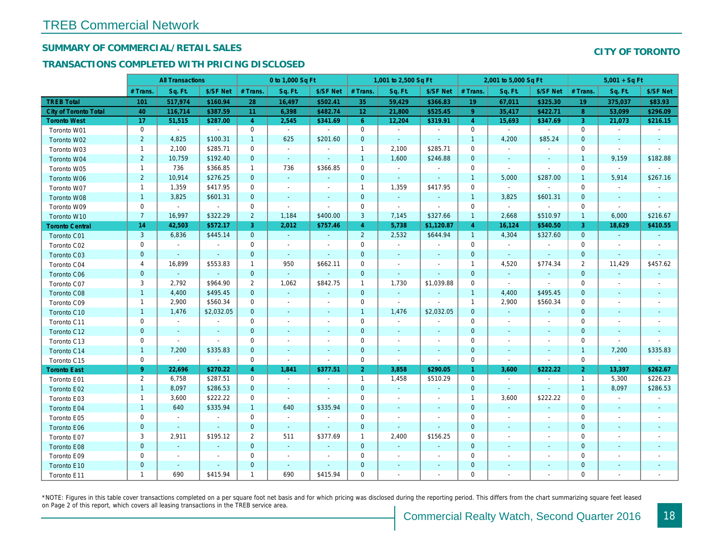## SUMMARY OF COMMERCIAL/RETAIL SALES

### TRANSACTIONS COMPLETED WITH PRICING DISCLOSED

|                              |                | <b>All Transactions</b> |                |                | 0 to 1,000 Sq Ft |                |                 | 1,001 to 2,500 Sq Ft     |                          |                | 2,001 to 5,000 Sq Ft     |                          |
|------------------------------|----------------|-------------------------|----------------|----------------|------------------|----------------|-----------------|--------------------------|--------------------------|----------------|--------------------------|--------------------------|
|                              | # Trans        | Sq. Ft.                 | \$/SF Net      | # Trans.       | Sq. Ft.          | \$/SF Net      | # Trans.        | Sq. Ft.                  | \$/SF Net                | # Trans.       | Sq. Ft.                  | \$/SF Ne                 |
| <b>TREB Total</b>            | 101            | 517,974                 | \$160.94       | 28             | 16,497           | \$502.41       | 35              | 59,429                   | \$366.83                 | 19             | 67,011                   | \$325.30                 |
| <b>City of Toronto Total</b> | 40             | 116,714                 | \$387.59       | 11             | 6,398            | \$482.74       | 12 <sup>°</sup> | 21,800                   | \$525.45                 | $\overline{9}$ | 35,417                   | \$422.7                  |
| <b>Toronto West</b>          | 17             | 51,515                  | \$287.00       | $\overline{4}$ | 2,545            | \$341.69       | 6 <sup>°</sup>  | 12,204                   | \$319.91                 | $\overline{4}$ | 15,693                   | \$347.69                 |
| Toronto W01                  | 0              | $\sim$                  | $\mathbf{r}$   | 0              | $\sim$           | $\blacksquare$ | $\mathbf 0$     | $\sim$                   | $\sim$                   | $\mathbf 0$    | $\blacksquare$           | $\blacksquare$           |
| Toronto W02                  | $\overline{2}$ | 4,825                   | \$100.31       | $\mathbf{1}$   | 625              | \$201.60       | $\mathbf{0}$    | $\blacksquare$           | $\blacksquare$           | $\overline{1}$ | 4,200                    | \$85.24                  |
| Toronto W03                  | $\mathbf{1}$   | 2,100                   | \$285.71       | $\mathbf 0$    | $\sim$           | $\blacksquare$ | $\mathbf{1}$    | 2,100                    | \$285.71                 | $\mathbf 0$    | $\blacksquare$           |                          |
| Toronto W04                  | $\overline{2}$ | 10,759                  | \$192.40       | $\mathbf{0}$   | $\sim$           | $\sim$         | $\mathbf{1}$    | 1,600                    | \$246.88                 | $\mathbf 0$    | $\sim$                   | $\blacksquare$           |
| Toronto W05                  | $\mathbf{1}$   | 736                     | \$366.85       | $\mathbf{1}$   | 736              | \$366.85       | $\mathbf 0$     | $\bullet$                | $\sim$                   | 0              | $\blacksquare$           | $\blacksquare$           |
| Toronto W06                  | $\overline{2}$ | 10,914                  | \$276.25       | $\mathbf{0}$   | $\omega$         | $\blacksquare$ | $\mathbf 0$     | $\omega$                 | $\Delta$                 | $\mathbf{1}$   | 5,000                    | \$287.00                 |
| Toronto W07                  | $\mathbf{1}$   | 1,359                   | \$417.95       | $\mathbf 0$    | $\sim$           | $\sim$         | $\mathbf{1}$    | 1,359                    | \$417.95                 | $\mathbf 0$    | $\blacksquare$           | $\blacksquare$           |
| Toronto W08                  | $\mathbf{1}$   | 3,825                   | \$601.31       | $\mathbf{0}$   | $\blacksquare$   | $\blacksquare$ | $\mathbf 0$     | $\omega$                 | $\blacksquare$           | $\mathbf{1}$   | 3,825                    | \$601.3'                 |
| Toronto W09                  | $\mathbf 0$    | $\blacksquare$          | $\sim$         | 0              | $\sim$           | $\blacksquare$ | $\mathbf 0$     | $\blacksquare$           | $\overline{\phantom{a}}$ | $\mathbf 0$    | $\omega$                 | $\sim$                   |
| Toronto W10                  | $\overline{7}$ | 16,997                  | \$322.29       | $\overline{2}$ | 1,184            | \$400.00       | 3               | 7,145                    | \$327.66                 | $\mathbf{1}$   | 2,668                    | \$510.97                 |
| <b>Toronto Central</b>       | 14             | 42,503                  | \$572.17       | 3              | 2,012            | \$757.46       | $\overline{4}$  | 5,738                    | \$1,120.87               | $\overline{4}$ | 16,124                   | \$540.50                 |
| Toronto C01                  | $\mathbf{3}$   | 6,836                   | \$445.14       | $\mathbf{0}$   | $\sim$           | $\omega$       | $\overline{2}$  | 2,532                    | \$644.94                 | $\overline{1}$ | 4,304                    | \$327.60                 |
| Toronto C02                  | 0              | $\blacksquare$          | $\sim$         | 0              | $\sim$           | $\sim$         | $\mathbf 0$     | $\blacksquare$           | $\sim$                   | $\mathbf 0$    | $\blacksquare$           | $\blacksquare$           |
| Toronto C03                  | $\mathbf{0}$   | $\blacksquare$          | $\sim$         | $\mathbf{0}$   | $\blacksquare$   | $\blacksquare$ | $\mathbf 0$     | $\blacksquare$           | $\blacksquare$           | $\mathbf{0}$   | $\blacksquare$           | $\blacksquare$           |
| Toronto C04                  | 4              | 16,899                  | \$553.83       | $\mathbf{1}$   | 950              | \$662.11       | $\mathbf 0$     | $\overline{\phantom{a}}$ | $\overline{\phantom{a}}$ | $\overline{1}$ | 4,520                    | \$774.34                 |
| <b>Toronto C06</b>           | $\mathbf 0$    | $\omega$                | $\omega$       | $\mathbf{0}$   | $\omega$         | $\blacksquare$ | $\mathbf 0$     | $\blacksquare$           | $\blacksquare$           | $\mathbf{0}$   | $\blacksquare$           | $\blacksquare$           |
| Toronto C07                  | 3              | 2,792                   | \$964.90       | $\overline{2}$ | 1,062            | \$842.75       | $\mathbf{1}$    | 1,730                    | \$1,039.88               | $\mathbf 0$    | $\blacksquare$           | $\blacksquare$           |
| Toronto C08                  | $\mathbf{1}$   | 4,400                   | \$495.45       | $\mathbf{0}$   | $\omega$         | $\blacksquare$ | $\mathbf 0$     | $\omega$                 | $\blacksquare$           | $\mathbf{1}$   | 4,400                    | \$495.45                 |
| Toronto C09                  | $\mathbf{1}$   | 2,900                   | \$560.34       | 0              | $\blacksquare$   | $\blacksquare$ | $\mathbf 0$     | $\omega$                 | $\sim$                   | $\mathbf{1}$   | 2,900                    | \$560.34                 |
| Toronto C10                  | $\mathbf{1}$   | 1,476                   | \$2,032.05     | $\mathbf{0}$   | $\sim$           | $\sim$         | $\mathbf{1}$    | 1,476                    | \$2,032.05               | $\mathbf{0}$   | $\sim$                   | $\sim$                   |
| Toronto C11                  | 0              | $\blacksquare$          | $\blacksquare$ | $\mathbf 0$    | $\sim$           | $\blacksquare$ | $\mathbf 0$     | $\blacksquare$           | $\blacksquare$           | $\mathbf 0$    | $\blacksquare$           | $\blacksquare$           |
| Toronto C12                  | $\mathbf{0}$   | $\sim$                  | $\sim$         | $\mathbf{0}$   | $\blacksquare$   | $\blacksquare$ | $\mathbf 0$     | $\blacksquare$           | $\blacksquare$           | $\mathbf 0$    | $\blacksquare$           | $\blacksquare$           |
| Toronto C13                  | 0              | $\blacksquare$          | $\blacksquare$ | 0              | $\sim$           | $\blacksquare$ | 0               | $\overline{\phantom{a}}$ | $\blacksquare$           | 0              | $\overline{\phantom{a}}$ | $\overline{\phantom{a}}$ |
| Toronto C14                  | $\mathbf{1}$   | 7,200                   | \$335.83       | $\mathbf{0}$   | $\sim$           | $\sim$         | $\mathbf 0$     | $\sim$                   | $\sim$                   | $\mathbf{0}$   | $\sim$                   | $\sim$                   |
| Toronto C15                  | $\mathbf 0$    | $\blacksquare$          | $\blacksquare$ | $\mathbf 0$    | $\blacksquare$   | $\blacksquare$ | $\mathbf 0$     | $\blacksquare$           | $\blacksquare$           | $\mathbf 0$    | $\blacksquare$           | $\blacksquare$           |
| <b>Toronto East</b>          | 9 <sup>°</sup> | 22,696                  | \$270.22       | $\overline{4}$ | 1,841            | \$377.51       | 2 <sup>1</sup>  | 3,858                    | \$290.05                 | $\mathbf{1}$   | 3,600                    | \$222.22                 |
| Toronto E01                  | $\overline{2}$ | 6,758                   | \$287.51       | 0              | $\sim$           | $\sim$         | $\mathbf{1}$    | 1,458                    | \$510.29                 | $\mathbf 0$    | $\blacksquare$           | $\sim$                   |
| Toronto E02                  | $\mathbf{1}$   | 8,097                   | \$286.53       | $\mathbf{0}$   | $\sim$           | $\sim$         | $\mathbf 0$     | $\blacksquare$           | $\omega$                 | $\overline{0}$ | $\sim$                   | $\sim$                   |
| Toronto E03                  | $\mathbf{1}$   | 3,600                   | \$222.22       | $\mathbf 0$    | $\sim$           | $\blacksquare$ | $\mathbf 0$     | $\blacksquare$           | $\blacksquare$           | $\mathbf{1}$   | 3,600                    | \$222.22                 |
| Toronto E04                  | $\mathbf{1}$   | 640                     | \$335.94       | $\mathbf{1}$   | 640              | \$335.94       | $\mathbf 0$     | $\blacksquare$           | ٠                        | $\mathbf{0}$   | $\omega$                 | $\blacksquare$           |
| Toronto E05                  | 0              | $\sim$                  | $\blacksquare$ | $\mathbf 0$    | $\sim$           | $\blacksquare$ | $\mathbf 0$     | $\blacksquare$           | $\blacksquare$           | $\mathbf 0$    | $\blacksquare$           | $\blacksquare$           |
| Toronto E06                  | $\mathbf{0}$   | $\sim$                  | $\sim$         | $\mathbf 0$    | $\sim$           | $\blacksquare$ | $\mathbf 0$     | ÷.                       | $\omega$                 | $\mathbf{0}$   | $\sim$                   |                          |
| Toronto E07                  | 3              | 2,911                   | \$195.12       | $\overline{2}$ | 511              | \$377.69       | $\mathbf{1}$    | 2,400                    | \$156.25                 | 0              | $\blacksquare$           | $\blacksquare$           |
| Toronto E08                  | $\mathbf{0}$   | $\sim$                  | $\sim$         | $\mathbf{0}$   | $\sim$           | $\blacksquare$ | $\mathbf{0}$    | $\blacksquare$           | ٠                        | $\mathbf{0}$   | $\sim$                   | ٠                        |
| Toronto E09                  | 0              | $\sim$                  | $\sim$         | 0              | $\blacksquare$   | $\blacksquare$ | $\mathbf 0$     | $\blacksquare$           | $\blacksquare$           | 0              | $\blacksquare$           | $\blacksquare$           |
| Toronto E10                  | $\mathbf{0}$   | $\sim$                  | $\sim$         | $\mathbf 0$    | $\sim$           | $\sim$         | $\mathbf 0$     |                          | ٠                        | $\mathbf 0$    | $\sim$                   |                          |
| Toronto E11                  | $\mathbf{1}$   | 690                     | \$415.94       | $\mathbf{1}$   | 690              | \$415.94       | $\mathbf 0$     | ä,                       | $\blacksquare$           | 0              |                          | $\overline{\phantom{a}}$ |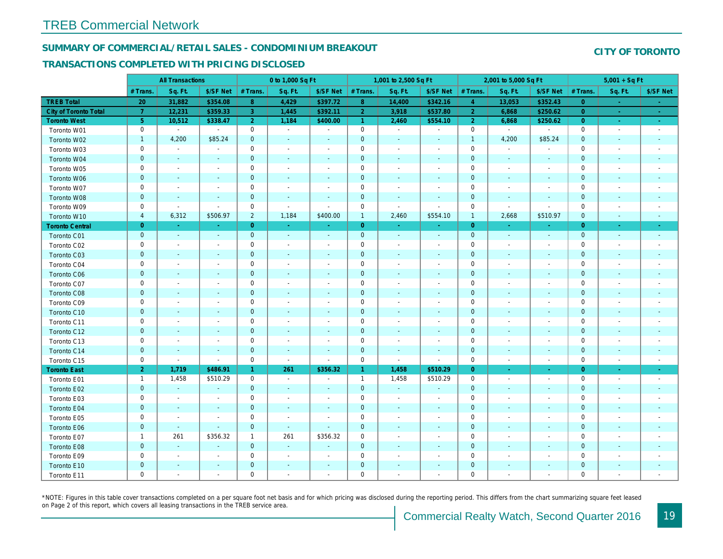#### SUMMARY OF COMMERCIAL/RETAIL SALES - CONDOMINIUM BREAKOUT

#### TRANSACTIONS COMPLETED WITH PRICING DISCLOSED

|                        |                | <b>All Transactions</b>  |                          |                | 0 to 1,000 Sq Ft |                          |                     | 1,001 to 2,500 Sq Ft         |                              |                | 2,001 to 5,000 Sq Ft     |                          |
|------------------------|----------------|--------------------------|--------------------------|----------------|------------------|--------------------------|---------------------|------------------------------|------------------------------|----------------|--------------------------|--------------------------|
|                        | # Trans.       | Sq. Ft.                  | \$/SF Net                | # Trans.       | Sq. Ft.          | \$/SF Net                | # Trans.            | Sq. Ft.                      | \$/SF Net                    | # Trans.       | Sq. Ft.                  | \$/SF Ne                 |
| <b>TREB Total</b>      | 20             | 31,882                   | \$354.08                 | 8              | 4,429            | \$397.72                 | 8 <sup>°</sup>      | 14,400                       | \$342.16                     | $\overline{4}$ | 13,053                   | \$352.4                  |
| City of Toronto Total  | $\mathbf{7}$   | 12,231                   | \$359.33                 | $\mathbf{3}$   | 1,445            | \$392.11                 | $\overline{2}$      | 3,918                        | \$537.80                     | $\overline{2}$ | 6,868                    | \$250.62                 |
| <b>Toronto West</b>    | 5 <sub>5</sub> | 10,512                   | \$338.47                 | $\overline{2}$ | 1,184            | \$400.00                 | $\mathbf{1}$        | 2,460                        | \$554.10                     | $\overline{2}$ | 6,868                    | \$250.62                 |
| Toronto W01            | 0              | $\blacksquare$           | $\blacksquare$           | $\mathbf 0$    | $\sim$           | $\overline{\phantom{a}}$ | $\mathbf 0$         | $\sim$                       | $\blacksquare$               | 0              | $\blacksquare$           | $\sim$                   |
| Toronto W02            | $\mathbf{1}$   | 4,200                    | \$85.24                  | $\mathbf 0$    | $\sim$           | $\blacksquare$           | $\mathbf 0$         | $\blacksquare$               | $\sim$                       | $\overline{1}$ | 4,200                    | \$85.24                  |
| Toronto W03            | 0              | $\blacksquare$           | $\blacksquare$           | $\mathbf 0$    | $\blacksquare$   | $\overline{\phantom{a}}$ | $\mathbf 0$         | $\blacksquare$               | $\blacksquare$               | $\mathbf 0$    | $\blacksquare$           |                          |
| Toronto W04            | $\mathbf{0}$   | $\blacksquare$           | $\blacksquare$           | $\mathbf 0$    | $\blacksquare$   | $\blacksquare$           | $\mathbf 0$         | $\blacksquare$               | $\blacksquare$               | $\mathbf{0}$   | $\blacksquare$           | $\blacksquare$           |
| Toronto W05            | 0              | $\blacksquare$           | $\overline{\phantom{a}}$ | $\mathbf 0$    | $\blacksquare$   | $\blacksquare$           | $\mathbf 0$         | $\blacksquare$               | $\blacksquare$               | $\mathbf 0$    | $\blacksquare$           | $\blacksquare$           |
| Toronto W06            | $\mathbf 0$    | $\sim$                   |                          | $\mathbf 0$    | $\blacksquare$   | $\blacksquare$           | $\pmb{0}$           | $\overline{\phantom{a}}$     | $\blacksquare$               | $\mathbf 0$    | $\blacksquare$           |                          |
| Toronto W07            | 0              | $\sim$                   | $\overline{\phantom{a}}$ | $\mathbf 0$    | $\blacksquare$   | $\overline{\phantom{a}}$ | $\mathbf 0$         | $\overline{\phantom{a}}$     | $\blacksquare$               | 0              | $\blacksquare$           | $\overline{\phantom{a}}$ |
| Toronto W08            | $\mathbf 0$    | $\sim$                   | $\sim$                   | $\mathbf 0$    | $\mathbf{r}$     | $\sim$                   | $\pmb{0}$           | $\blacksquare$               | $\blacksquare$               | $\mathbf{0}$   | $\blacksquare$           | $\blacksquare$           |
| Toronto W09            | 0              | $\blacksquare$           | $\sim$                   | $\mathbf 0$    | $\blacksquare$   | $\blacksquare$           | $\mathbf 0$         | ÷,                           | $\blacksquare$               | $\mathbf 0$    | $\blacksquare$           | $\blacksquare$           |
| Toronto W10            | 4              | 6,312                    | \$506.97                 | $\overline{2}$ | 1,184            | \$400.00                 | $\mathbf{1}$        | 2,460                        | \$554.10                     | $\mathbf{1}$   | 2,668                    | \$510.97                 |
| <b>Toronto Central</b> | $\overline{0}$ | $\sim$                   | $\sim$                   | $\overline{0}$ | $\sim$           | $\blacksquare$           | $\overline{0}$      | $\blacksquare$               | $\omega$                     | $\overline{0}$ | $\sim$                   | $\sim$                   |
| Toronto C01            | $\mathbf 0$    | $\blacksquare$           | $\sim$                   | $\mathbf 0$    | $\sim$           | $\blacksquare$           | $\mathbf{0}$        | $\sim$                       | $\sim$                       | $\mathbf 0$    | $\omega$                 | $\sim$                   |
| Toronto C02            | 0              | $\overline{\phantom{a}}$ |                          | $\mathbf 0$    | $\blacksquare$   | $\overline{\phantom{a}}$ | $\mathbf 0$         | $\overline{\phantom{a}}$     | $\overline{a}$               | $\mathbf 0$    | $\overline{\phantom{a}}$ | $\blacksquare$           |
| Toronto C03            | $\mathbf 0$    | $\sim$                   | $\sim$                   | $\mathbf 0$    | $\blacksquare$   | $\blacksquare$           | $\mathbf 0$         | $\blacksquare$               | $\blacksquare$               | $\mathbf{0}$   | $\blacksquare$           | $\blacksquare$           |
| Toronto C04            | 0              | $\blacksquare$           | $\overline{\phantom{a}}$ | $\mathbf 0$    | $\blacksquare$   | $\blacksquare$           | $\mathbf 0$         | $\overline{a}$               | $\overline{a}$               | $\mathbf 0$    | $\blacksquare$           | $\blacksquare$           |
| Toronto C06            | $\mathbf 0$    | $\blacksquare$           | $\blacksquare$           | $\pmb{0}$      | $\blacksquare$   | $\blacksquare$           | $\mathbf 0$         | $\blacksquare$               | $\blacksquare$               | $\mathbf 0$    | $\blacksquare$           | ٠                        |
| Toronto C07            | 0              | $\blacksquare$           | $\sim$                   | $\mathsf 0$    | $\blacksquare$   | $\blacksquare$           | $\mathsf{O}\xspace$ | $\overline{a}$               | $\overline{a}$               | $\mathbf 0$    | ÷,                       | $\blacksquare$           |
| Toronto C08            | $\mathbf 0$    | $\sim$                   | $\sim$                   | $\mathbf 0$    | $\blacksquare$   | $\blacksquare$           | $\mathbf 0$         | $\blacksquare$               | $\blacksquare$               | $\mathbf 0$    | $\blacksquare$           | ٠                        |
| Toronto C09            | 0              | $\overline{\phantom{a}}$ | $\overline{\phantom{a}}$ | $\mathbf 0$    | $\blacksquare$   | $\blacksquare$           | $\mathbf 0$         | $\overline{\phantom{a}}$     | $\overline{a}$               | 0              | $\overline{\phantom{a}}$ | $\overline{\phantom{a}}$ |
| Toronto C10            | $\mathbf{0}$   | $\sim$                   | $\sim$                   | $\mathbf 0$    | $\mathbf{r}$     | $\sim$                   | $\mathbf 0$         | $\omega$                     | $\blacksquare$               | $\mathbf{0}$   | $\omega$                 | $\blacksquare$           |
| Toronto C11            | 0              | $\overline{\phantom{a}}$ | $\overline{\phantom{a}}$ | $\mathbf 0$    | $\blacksquare$   | $\overline{\phantom{a}}$ | $\mathbf 0$         | $\blacksquare$               | $\blacksquare$               | 0              | $\blacksquare$           | $\overline{\phantom{a}}$ |
| Toronto C12            | $\mathbf 0$    | $\sim$                   | $\sim$                   | $\mathbf 0$    | $\sim$           | $\blacksquare$           | $\mathbf 0$         | $\overline{\phantom{a}}$     | $\blacksquare$               | $\mathbf{0}$   | $\sim$                   | $\overline{\phantom{a}}$ |
| Toronto C13            | 0              | $\overline{\phantom{a}}$ | $\overline{\phantom{a}}$ | $\mathbf 0$    | $\blacksquare$   | $\blacksquare$           | $\mathbf 0$         | $\blacksquare$               | $\blacksquare$               | $\mathbf 0$    | $\blacksquare$           | $\blacksquare$           |
| Toronto C14            | $\mathbf 0$    | $\blacksquare$           | $\blacksquare$           | $\mathbf 0$    | $\sim$           | $\blacksquare$           | $\mathbf 0$         | $\blacksquare$               | $\overline{\phantom{a}}$     | $\mathbf 0$    | $\blacksquare$           | $\blacksquare$           |
| Toronto C15            | 0              | $\blacksquare$           | $\blacksquare$           | $\mathbf 0$    | $\blacksquare$   | $\blacksquare$           | $\mathbf 0$         | $\overline{\phantom{a}}$     | $\blacksquare$               | $\mathbf 0$    | $\overline{\phantom{a}}$ | $\blacksquare$           |
| <b>Toronto East</b>    | 2 <sup>1</sup> | 1,719                    | \$486.91                 | $\mathbf{1}$   | 261              | \$356.32                 | $\mathbf{1}$        | 1,458                        | \$510.29                     | $\overline{0}$ | $\omega$                 | $\sim$                   |
| Toronto E01            | $\mathbf{1}$   | 1,458                    | \$510.29                 | $\mathbf 0$    | $\sim$           | $\blacksquare$           | $\mathbf{1}$        | 1,458                        | \$510.29                     | $\mathbf 0$    | $\blacksquare$           | $\sim$                   |
| Toronto E02            | $\mathbf 0$    | $\blacksquare$           |                          | $\mathbf 0$    | $\blacksquare$   |                          | $\mathbf 0$         | $\blacksquare$               | $\sim$                       | $\mathbf 0$    | $\blacksquare$           | $\blacksquare$           |
| Toronto E03            | 0              | $\sim$                   | $\sim$                   | $\mathbf 0$    | $\blacksquare$   | $\blacksquare$           | $\mathbf 0$         | $\blacksquare$               | $\blacksquare$               | $\mathbf 0$    | $\blacksquare$           | $\blacksquare$           |
| Toronto E04            | $\mathbf 0$    | $\sim$                   | $\blacksquare$           | $\mathbf 0$    | $\blacksquare$   | $\blacksquare$           | $\mathbf 0$         | $\blacksquare$               | $\blacksquare$               | $\mathbf{0}$   | $\blacksquare$           | $\blacksquare$           |
| Toronto E05            | 0              | $\sim$                   | $\overline{\phantom{a}}$ | $\mathbf 0$    | $\blacksquare$   | $\blacksquare$           | $\mathbf 0$         | $\blacksquare$               | $\blacksquare$               | 0              | $\blacksquare$           | $\blacksquare$           |
| Toronto E06            | $\mathbf 0$    | $\sim$                   | $\sim$                   | $\mathbf 0$    | $\sim$           | $\sim$                   | $\pmb{0}$           | $\blacksquare$               | $\sim$                       | $\mathbf 0$    | $\sim$                   | $\sim$                   |
| Toronto E07            | $\mathbf{1}$   | 261                      | \$356.32                 | $\mathbf{1}$   | 261              | \$356.32                 | $\mathbf 0$         | $\blacksquare$               | $\blacksquare$               | $\mathbf 0$    | ÷,                       | $\overline{\phantom{a}}$ |
| Toronto E08            | $\mathbf 0$    | $\blacksquare$           | $\overline{\phantom{a}}$ | $\mathbf 0$    | $\omega$         | $\blacksquare$           | $\mathbf 0$         | $\blacksquare$               | $\blacksquare$               | $\mathbf 0$    | $\blacksquare$           |                          |
| Toronto E09            | 0              | $\blacksquare$           | $\overline{\phantom{a}}$ | $\mathbf 0$    | $\blacksquare$   | $\overline{a}$           | $\mathsf{O}\xspace$ | $\blacksquare$               | $\blacksquare$               | $\mathbf 0$    |                          | $\blacksquare$           |
| Toronto E10            | $\mathbf 0$    | $\blacksquare$           |                          | $\mathbf 0$    | $\blacksquare$   | ٠                        | $\mathbf 0$         | $\qquad \qquad \blacksquare$ | $\qquad \qquad \blacksquare$ | $\pmb{0}$      | $\overline{\phantom{a}}$ |                          |
| Toronto E11            | $\mathbf 0$    |                          |                          | $\mathbf 0$    | ÷                | $\blacksquare$           | $\mathbf 0$         | $\blacksquare$               | $\blacksquare$               | $\mathbf 0$    |                          | $\sim$                   |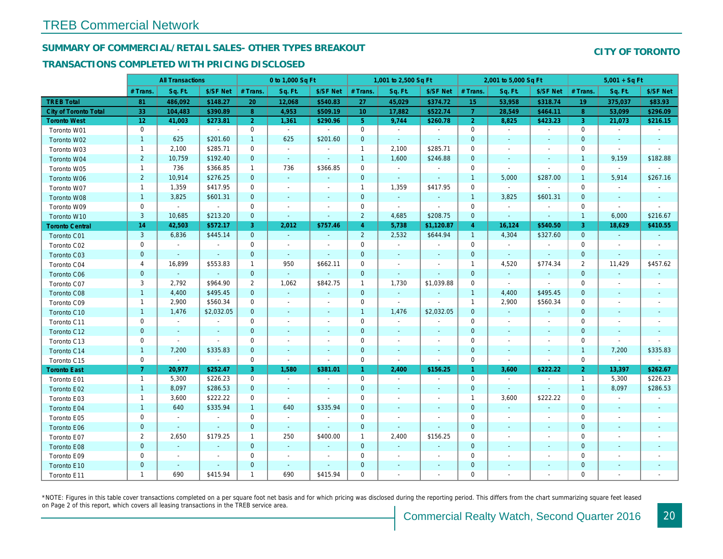## SUMMARY OF COMMERCIAL/RETAIL SALES- OTHER TYPES BREAKOUT

#### TRANSACTIONS COMPLETED WITH PRICING DISCLOSED

|                        |                | <b>All Transactions</b>  |                          |                | 0 to 1,000 Sq Ft |                          |                 | 1,001 to 2,500 Sq Ft     |                          |                      | 2,001 to 5,000 Sq Ft |                          |
|------------------------|----------------|--------------------------|--------------------------|----------------|------------------|--------------------------|-----------------|--------------------------|--------------------------|----------------------|----------------------|--------------------------|
|                        | # Trans.       | Sq. Ft.                  | \$/SF Net                | # Trans.       | Sq. Ft.          | \$/SF Net                | # Trans.        | Sq. Ft.                  | \$/SF Net                | # Trans.             | Sq. Ft.              | \$/SF Ne                 |
| <b>TREB Total</b>      | 81             | 486,092                  | \$148.27                 | 20             | 12,068           | \$540.83                 | 27              | 45,029                   | \$374.72                 | 15                   | 53,958               | \$318.74                 |
| City of Toronto Total  | 33             | 104,483                  | \$390.89                 | 8              | 4,953            | \$509.19                 | 10 <sup>°</sup> | 17,882                   | \$522.74                 | $\overline{7}$       | 28,549               | \$464.1                  |
| <b>Toronto West</b>    | 12             | 41,003                   | \$273.81                 | $\overline{2}$ | 1,361            | \$290.96                 | 5 <sup>5</sup>  | 9,744                    | \$260.78                 | $\overline{2}$       | 8,825                | \$423.23                 |
| Toronto W01            | $\mathbf{0}$   | $\sim$                   | $\blacksquare$           | 0              | $\sim$           |                          | $\mathbf 0$     | $\sim$                   | $\sim$                   | $\mathbf 0$          | $\blacksquare$       | $\sim$                   |
| Toronto W02            | $\mathbf{1}$   | 625                      | \$201.60                 | $\mathbf{1}$   | 625              | \$201.60                 | $\mathbf 0$     | $\sim$                   | $\blacksquare$           | $\mathbf{0}$         | $\sim$               | $\blacksquare$           |
| Toronto W03            | $\mathbf{1}$   | 2,100                    | \$285.71                 | $\mathbf 0$    | $\sim$           | $\blacksquare$           | $\mathbf{1}$    | 2,100                    | \$285.71                 | 0                    | $\blacksquare$       | $\blacksquare$           |
| Toronto W04            | $\overline{2}$ | 10,759                   | \$192.40                 | $\mathbf{0}$   | $\omega$         | $\blacksquare$           | $\mathbf{1}$    | 1,600                    | \$246.88                 | $\mathbf{0}$         | $\blacksquare$       | $\blacksquare$           |
| Toronto W05            | $\mathbf{1}$   | 736                      | \$366.85                 | $\mathbf{1}$   | 736              | \$366.85                 | $\mathbf 0$     | $\bullet$                | $\sim$                   | $\mathbf 0$          | $\blacksquare$       | $\blacksquare$           |
| Toronto W06            | $\overline{2}$ | 10,914                   | \$276.25                 | $\mathbf 0$    | $\blacksquare$   | $\blacksquare$           | $\mathbf 0$     | $\sim$                   | $\sim$                   | $\mathbf{1}$         | 5,000                | \$287.00                 |
| Toronto W07            | $\mathbf{1}$   | 1,359                    | \$417.95                 | 0              | $\sim$           | $\overline{\phantom{a}}$ | $\mathbf{1}$    | 1,359                    | \$417.95                 | $\mathbf 0$          | $\blacksquare$       | $\sim$                   |
| Toronto W08            | $\mathbf{1}$   | 3,825                    | \$601.31                 | $\mathbf 0$    | $\mathbf{r}$     | $\blacksquare$           | $\mathbf 0$     | $\omega_{\rm c}$         | $\blacksquare$           | $\overline{1}$       | 3,825                | \$601.3'                 |
| Toronto W09            | 0              | $\omega$                 | $\bullet$                | 0              | $\blacksquare$   | $\blacksquare$           | $\mathbf 0$     | $\blacksquare$           | ÷,                       | 0                    | $\blacksquare$       | $\blacksquare$           |
| Toronto W10            | 3              | 10,685                   | \$213.20                 | $\mathbf{0}$   | $\blacksquare$   | $\blacksquare$           | $\overline{2}$  | 4,685                    | \$208.75                 | $\mathbf{0}$         | $\blacksquare$       | $\sim$                   |
| <b>Toronto Central</b> | 14             | 42,503                   | \$572.17                 | 3              | 2,012            | \$757.46                 | $\overline{4}$  | 5,738                    | \$1,120.87               | $\overline{4}$       | 16,124               | \$540.50                 |
| Toronto C01            | 3              | 6,836                    | \$445.14                 | $\mathbf 0$    | $\omega$         | $\blacksquare$           | $\overline{2}$  | 2,532                    | \$644.94                 | $\mathbf{1}$         | 4,304                | \$327.60                 |
| Toronto C02            | 0              | $\blacksquare$           | $\overline{\phantom{a}}$ | 0              | $\blacksquare$   |                          | $\mathbf 0$     | $\blacksquare$           | $\overline{\phantom{a}}$ | $\mathbf 0$          | $\blacksquare$       | $\blacksquare$           |
| Toronto C03            | $\mathbf{0}$   | $\blacksquare$           | $\blacksquare$           | $\mathbf{0}$   | $\omega$         | $\blacksquare$           | $\mathbf 0$     | $\blacksquare$           | $\blacksquare$           | $\mathbf{0}$         | $\omega$             | $\blacksquare$           |
| Toronto C04            | 4              | 16,899                   | \$553.83                 | $\mathbf{1}$   | 950              | \$662.11                 | $\mathbf 0$     | $\overline{a}$           | $\blacksquare$           | $\mathbf{1}$         | 4,520                | \$774.34                 |
| Toronto C06            | $\mathbf 0$    | $\omega$                 | $\omega$                 | $\mathbf{0}$   | $\omega$         | $\blacksquare$           | $\mathbf 0$     | $\blacksquare$           | $\blacksquare$           | $\mathbf{0}$         | $\blacksquare$       |                          |
| Toronto C07            | 3              | 2,792                    | \$964.90                 | 2              | 1,062            | \$842.75                 | $\mathbf{1}$    | 1,730                    | \$1,039.88               | $\mathbf 0$          | $\blacksquare$       | $\blacksquare$           |
| Toronto C08            | $\mathbf{1}$   | 4,400                    | \$495.45                 | $\mathbf{0}$   | $\omega$         | $\blacksquare$           | $\mathbf 0$     | $\bullet$                | $\blacksquare$           | $\mathbf{1}$         | 4,400                | \$495.45                 |
| Toronto C09            | $\mathbf{1}$   | 2,900                    | \$560.34                 | 0              | $\blacksquare$   | $\overline{\phantom{a}}$ | $\mathbf 0$     | $\overline{\phantom{a}}$ | $\overline{a}$           | 1                    | 2,900                | \$560.34                 |
| Toronto C10            | $\mathbf{1}$   | 1,476                    | \$2,032.05               | $\mathbf{0}$   | $\omega$         | $\sim$                   | $\mathbf{1}$    | 1,476                    | \$2,032.05               | $\mathbf{0}$         | $\omega$             | $\sim$                   |
| Toronto C11            | 0              | $\blacksquare$           | $\blacksquare$           | 0              | $\blacksquare$   | $\overline{\phantom{a}}$ | $\mathbf 0$     | $\blacksquare$           | $\blacksquare$           | 0                    | $\blacksquare$       | $\blacksquare$           |
| Toronto C12            | $\mathbf 0$    | $\sim$                   | $\blacksquare$           | $\mathbf 0$    | $\sim$           | $\sim$                   | $\mathbf 0$     | $\blacksquare$           | $\blacksquare$           | $\mathbf 0$          | $\blacksquare$       | $\sim$                   |
| Toronto C13            | 0              | $\blacksquare$           | $\sim$                   | $\mathbf 0$    | $\sim$           | $\ddot{\phantom{1}}$     | $\mathbf 0$     | $\blacksquare$           | $\blacksquare$           | $\mathbf 0$          | $\blacksquare$       | $\blacksquare$           |
| Toronto C14            | $\mathbf{1}$   | 7,200                    | \$335.83                 | $\mathbf 0$    | $\sim$           | $\sim$                   | $\mathbf 0$     | $\blacksquare$           | $\blacksquare$           | $\mathbf{0}$         | $\blacksquare$       | $\blacksquare$           |
| Toronto C15            | 0              | $\blacksquare$           | $\blacksquare$           | 0              | $\blacksquare$   | $\blacksquare$           | $\mathbf 0$     | $\blacksquare$           | $\blacksquare$           | $\mathbf 0$          | $\blacksquare$       | $\blacksquare$           |
| <b>Toronto East</b>    | 7 <sup>1</sup> | 20,977                   | \$252.47                 | 3              | 1,580            | \$381.01                 | $\mathbf{1}$    | 2,400                    | \$156.25                 | $\blacktriangleleft$ | 3,600                | \$222.22                 |
| Toronto E01            | $\mathbf{1}$   | 5,300                    | \$226.23                 | 0              | $\sim$           | $\blacksquare$           | $\mathsf{O}$    | $\sim$                   | $\blacksquare$           | $\mathbf 0$          | $\blacksquare$       | $\sim$                   |
| Toronto E02            | $\mathbf{1}$   | 8,097                    | \$286.53                 | $\mathbf 0$    | $\blacksquare$   |                          | $\mathbf 0$     | $\blacksquare$           | ÷,                       | $\mathbf 0$          | $\sim$               | $\sim$                   |
| Toronto E03            | $\mathbf{1}$   | 3,600                    | \$222.22                 | $\mathbf 0$    | $\sim$           | $\blacksquare$           | $\mathsf 0$     | $\blacksquare$           | $\blacksquare$           | $\mathbf{1}$         | 3,600                | \$222.22                 |
| Toronto E04            | $\mathbf{1}$   | 640                      | \$335.94                 | $\mathbf{1}$   | 640              | \$335.94                 | $\mathbf 0$     | $\blacksquare$           | $\blacksquare$           | $\mathbf{0}$         | $\blacksquare$       | $\sim$                   |
| Toronto E05            | 0              | $\blacksquare$           | $\blacksquare$           | 0              | $\sim$           | $\blacksquare$           | $\mathbf 0$     | $\blacksquare$           | $\blacksquare$           | 0                    | $\blacksquare$       | $\overline{\phantom{a}}$ |
| Toronto E06            | $\mathbf{0}$   | $\sim$                   | $\sim$                   | $\mathbf{0}$   | $\sim$           | $\sim$                   | $\pmb{0}$       | $\mathbf{r}$             | $\blacksquare$           | $\mathbf{0}$         | $\omega$             | $\sim$                   |
| Toronto E07            | $\overline{2}$ | 2,650                    | \$179.25                 | $\mathbf{1}$   | 250              | \$400.00                 | $\mathbf{1}$    | 2,400                    | \$156.25                 | 0                    | $\blacksquare$       | $\blacksquare$           |
| Toronto E08            | $\mathbf 0$    | $\blacksquare$           | $\blacksquare$           | $\mathbf 0$    | $\omega$         | $\blacksquare$           | $\mathbf 0$     | $\blacksquare$           | ÷,                       | $\mathbf 0$          | $\blacksquare$       | $\blacksquare$           |
| Toronto E09            | 0              | $\overline{\phantom{a}}$ | $\overline{\phantom{a}}$ | $\mathbf 0$    | $\blacksquare$   | $\ddot{\phantom{1}}$     | $\mathbf 0$     | $\blacksquare$           | $\overline{a}$           | $\mathbf 0$          | ÷,                   | $\blacksquare$           |
| Toronto E10            | $\mathbf{0}$   | $\overline{\phantom{a}}$ | $\sim$                   | $\mathbf 0$    | $\sim$           | $\blacksquare$           | $\mathbf 0$     | ٠                        | ٠                        | $\mathbf 0$          | $\blacksquare$       |                          |
| Toronto E11            | $\mathbf{1}$   | 690                      | \$415.94                 | $\mathbf{1}$   | 690              | \$415.94                 | $\mathbf 0$     | $\blacksquare$           | $\blacksquare$           | $\mathbf 0$          |                      |                          |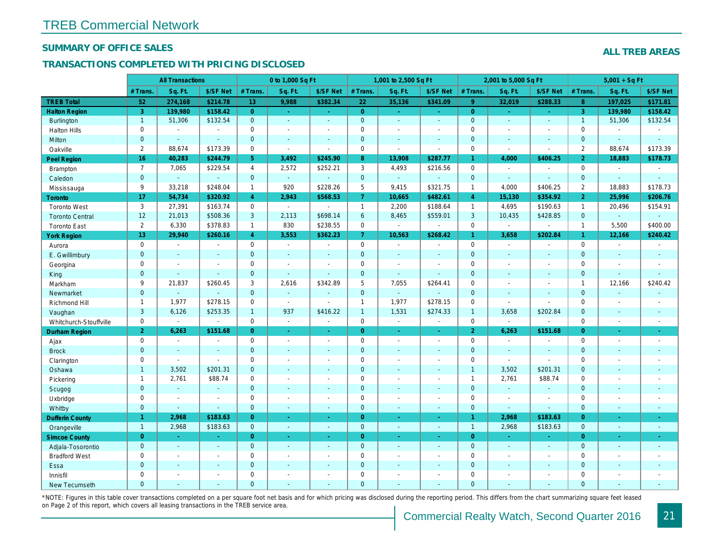#### SUMMARY OF OFFICE SALES

### TRANSACTIONS COMPLETED WITH PRICING DISCLOSED

|                        |                       | <b>All Transactions</b> |                |                | 0 to 1,000 Sq Ft |                |                     | 1,001 to 2,500 Sq Ft |                          |                | 2,001 to 5,000 Sq Ft |                  |
|------------------------|-----------------------|-------------------------|----------------|----------------|------------------|----------------|---------------------|----------------------|--------------------------|----------------|----------------------|------------------|
|                        | # Trans.              | Sq. Ft.                 | \$/SF Net      | # Trans.       | Sq. Ft.          | \$/SF Net      | # Trans.            | Sq. Ft.              | \$/SF Net                | # Trans.       | Sq. Ft.              | \$/SF Ne         |
| <b>TREB Total</b>      | 52                    | 274,168                 | \$214.78       | 13             | 9,988            | \$382.34       | 22                  | 35,136               | \$341.09                 | 9 <sup>°</sup> | 32,019               | \$288.33         |
| <b>Halton Region</b>   | $\mathbf{3}$          | 139,980                 | \$158.42       | $\overline{0}$ | $\omega$         | $\sim$         | $\overline{0}$      | $\omega_{\rm c}$     | $\omega_{\rm{eff}}$      | $\overline{0}$ | $\omega$             | $\omega_{\rm c}$ |
| <b>Burlington</b>      | $\mathbf{1}$          | 51,306                  | \$132.54       | $\mathbf{0}$   | $\omega$         | $\blacksquare$ | $\overline{0}$      | $\omega$             | $\omega$                 | $\mathbf 0$    | $\omega$             | $\omega$         |
| <b>Halton Hills</b>    | 0                     | $\sim$                  | $\sim$         | $\mathbf 0$    | $\blacksquare$   | $\blacksquare$ | $\mathsf{O}\xspace$ | ä,                   | ä,                       | $\Omega$       | $\blacksquare$       | $\mathbf{r}$     |
| Milton                 | $\mathbf{0}$          | $\blacksquare$          | $\omega$       | $\mathbf{0}$   | $\omega$         | $\blacksquare$ | $\mathbf{0}$        | $\blacksquare$       | $\blacksquare$           | $\mathbf{0}$   | $\blacksquare$       | $\blacksquare$   |
| Oakville               | $\mathbf{2}^{\prime}$ | 88,674                  | \$173.39       | $\mathbf 0$    | $\blacksquare$   | $\sim$         | $\mathsf{O}$        | $\blacksquare$       | $\sim$                   | $\mathbf 0$    | $\sim$               | $\blacksquare$   |
| Peel Region            | 16                    | 40,283                  | \$244.79       | 5              | 3,492            | \$245.90       | 8                   | 13,908               | \$287.77                 | $\mathbf{1}$   | 4,000                | \$406.25         |
| <b>Brampton</b>        | $\overline{7}$        | 7,065                   | \$229.54       | 4              | 2,572            | \$252.21       | 3                   | 4,493                | \$216.56                 | $\mathbf 0$    | $\blacksquare$       | $\blacksquare$   |
| Caledon                | $\mathbf{0}$          | $\sim$                  | $\omega$       | $\mathbf 0$    | G.               | $\blacksquare$ | $\overline{0}$      | $\omega_{\rm c}$     | $\omega$                 | $\mathbf 0$    | $\omega$             | $\mathbf{r}$     |
| Mississauga            | 9                     | 33,218                  | \$248.04       | $\mathbf{1}$   | 920              | \$228.26       | 5                   | 9,415                | \$321.75                 | $\mathbf{1}$   | 4,000                | \$406.25         |
| Toronto                | 17                    | 54,734                  | \$320.92       | $\overline{4}$ | 2,943            | \$568.53       | $\overline{7}$      | 10,665               | \$482.61                 | $\overline{4}$ | 15,130               | \$354.92         |
| <b>Toronto West</b>    | 3                     | 27,391                  | \$163.74       | $\mathbf 0$    | $\sim$           | $\blacksquare$ | $\mathbf{1}$        | 2,200                | \$188.64                 | $\mathbf{1}$   | 4,695                | \$190.63         |
| <b>Toronto Central</b> | 12                    | 21,013                  | \$508.36       | 3              | 2,113            | \$698.14       | 6                   | 8,465                | \$559.01                 | 3              | 10,435               | \$428.85         |
| <b>Toronto East</b>    | $\overline{2}$        | 6,330                   | \$378.83       | $\mathbf{1}$   | 830              | \$238.55       | $\mathbf 0$         | $\blacksquare$       | $\blacksquare$           | $\mathbf 0$    | $\blacksquare$       | $\blacksquare$   |
| <b>York Region</b>     | 13                    | 29,940                  | \$260.16       | 4 <sup>1</sup> | 3,553            | \$362.23       | 7 <sup>1</sup>      | 10,563               | \$268.42                 | $\mathbf{1}$   | 3,658                | \$202.84         |
| Aurora                 | $\mathbf 0$           | $\sim$                  | $\blacksquare$ | $\Omega$       | $\sim$           | $\blacksquare$ | $\mathbf 0$         | $\blacksquare$       | $\sim$                   | $\Omega$       | $\blacksquare$       | $\sim$           |
| E. Gwillimbury         | $\mathbf{0}$          | $\blacksquare$          | $\blacksquare$ | $\mathbf 0$    | $\blacksquare$   | $\frac{1}{2}$  | $\mathbf{0}$        | $\blacksquare$       | $\overline{\phantom{a}}$ | $\mathbf{0}$   | $\blacksquare$       | $\blacksquare$   |
| Georgina               | $\mathbf{0}$          | $\blacksquare$          | $\blacksquare$ | $\mathbf 0$    | $\blacksquare$   | $\blacksquare$ | $\mathbf 0$         | $\blacksquare$       | $\blacksquare$           | $\mathbf 0$    | $\blacksquare$       | $\blacksquare$   |
| King                   | $\overline{0}$        | $\sim$                  | $\sim$         | $\mathbf{0}$   | $\blacksquare$   | $\overline{a}$ | $\mathbf{0}$        | $\blacksquare$       | $\blacksquare$           | $\mathbf{0}$   | $\omega$             | $\mathbf{r}$     |
| Markham                | 9                     | 21,837                  | \$260.45       | 3              | 2,616            | \$342.89       | 5                   | 7,055                | \$264.41                 | $\mathbf 0$    | $\blacksquare$       | $\blacksquare$   |
| Newmarket              | $\mathbf{0}$          | $\blacksquare$          | $\blacksquare$ | $\mathbf 0$    | $\omega$         | $\sim$         | $\overline{0}$      | $\omega$             | $\overline{\phantom{a}}$ | $\mathbf{0}$   | $\sim$               | $\blacksquare$   |
| Richmond Hill          | $\mathbf{1}$          | 1,977                   | \$278.15       | $\mathbf 0$    | $\sim$           | $\sim$         | $\mathbf{1}$        | 1,977                | \$278.15                 | $\mathbf 0$    | $\blacksquare$       | $\blacksquare$   |
| Vaughan                | 3                     | 6,126                   | \$253.35       | $\mathbf{1}$   | 937              | \$416.22       | $\mathbf{1}$        | 1,531                | \$274.33                 | $\overline{1}$ | 3,658                | \$202.84         |
| Whitchurch-Stouffville | 0                     | $\blacksquare$          | $\blacksquare$ | $\mathbf 0$    | $\omega$         | $\sim$         | $\mathbf 0$         | $\bullet$            | $\blacksquare$           | $\mathbf 0$    | $\blacksquare$       | $\blacksquare$   |
| <b>Durham Region</b>   | $\overline{2}$        | 6,263                   | \$151.68       | $\overline{0}$ | $\omega$         | $\sim$         | $\overline{0}$      | $\omega$             | $\omega_{\rm c}$         | 2 <sup>1</sup> | 6,263                | \$151.68         |
| Ajax                   | 0                     | $\blacksquare$          | $\blacksquare$ | $\mathbf 0$    | $\blacksquare$   | $\sim$         | $\mathsf{O}\xspace$ | $\blacksquare$       | $\blacksquare$           | $\mathbf 0$    | $\sim$               | $\blacksquare$   |
| <b>Brock</b>           | $\mathbf{0}$          | $\blacksquare$          | $\sim$         | $\mathbf 0$    | $\blacksquare$   | $\blacksquare$ | $\mathbf{0}$        | $\blacksquare$       | $\blacksquare$           | $\mathbf{0}$   | $\omega$             | $\sim$           |
| Clarington             | 0                     | $\blacksquare$          | $\blacksquare$ | 0              | $\blacksquare$   | $\blacksquare$ | $\mathbf 0$         | $\blacksquare$       | $\blacksquare$           | $\mathbf 0$    | $\blacksquare$       | $\blacksquare$   |
| Oshawa                 | $\mathbf{1}$          | 3,502                   | \$201.31       | $\mathbf{0}$   | $\blacksquare$   | ä,             | $\pmb{0}$           | ÷,                   | $\blacksquare$           | $\overline{1}$ | 3,502                | \$201.3'         |
| Pickering              | $\mathbf{1}$          | 2,761                   | \$88.74        | $\mathbf 0$    | $\blacksquare$   | $\blacksquare$ | $\mathbf 0$         | $\overline{a}$       | $\overline{a}$           | $\mathbf{1}$   | 2,761                | \$88.74          |
| Scugog                 | $\mathbf{0}$          | $\omega$                | $\sim$         | $\mathbf{0}$   | $\mathbf{r}$     | $\blacksquare$ | $\mathbf{0}$        | $\omega$             | $\omega$                 | $\mathbf{0}$   | $\omega$             | $\blacksquare$   |
| Uxbridge               | 0                     | $\blacksquare$          | $\blacksquare$ | $\mathbf 0$    | $\sim$           | ÷              | $\mathsf{O}$        | ÷,                   | $\overline{a}$           | $\mathbf 0$    | ÷,                   | $\blacksquare$   |
| Whitby                 | $\mathbf{0}$          | $\blacksquare$          | $\sim$         | $\mathbf 0$    | $\blacksquare$   | $\sim$         | $\mathbf{0}$        | $\blacksquare$       | $\sim$                   | $\mathbf{0}$   | $\blacksquare$       | $\blacksquare$   |
| <b>Dufferin County</b> | $\mathbf{1}$          | 2,968                   | \$183.63       | $\overline{0}$ | ÷.               | $\sim$         | $\overline{0}$      | $\blacksquare$       | $\blacksquare$           | $\mathbf{1}$   | 2,968                | \$183.63         |
| Orangeville            | $\overline{1}$        | 2,968                   | \$183.63       | $\mathbf 0$    | $\omega$         | $\omega$       | $\pmb{0}$           | $\omega$             | $\omega_{\rm c}$         | $\overline{1}$ | 2,968                | \$183.63         |
| <b>Simcoe County</b>   | $\overline{0}$        | $\sim$                  | $\sim$         | $\overline{0}$ | $\omega$         | $\omega$       | $\overline{0}$      | $\omega$             | $\omega$                 | $\overline{0}$ | $\omega$             | $\sim$           |
| Adjala-Tosorontio      | $\mathbf{0}$          | $\sim$                  | $\sim$         | $\mathbf 0$    | $\omega$         | $\sim$         | $\mathbf{0}$        | $\blacksquare$       | $\blacksquare$           | $\mathbf 0$    | $\omega$             | $\sim$           |
| <b>Bradford West</b>   | 0                     | $\sim$                  | $\sim$         | 0              | $\blacksquare$   | $\blacksquare$ | $\mathbf 0$         | $\blacksquare$       | $\blacksquare$           | $\mathbf 0$    | $\blacksquare$       | $\sim$           |
| Essa                   | $\mathbf{0}$          | $\sim$                  | $\sim$         | $\mathbf 0$    | $\blacksquare$   | $\blacksquare$ | $\mathbf 0$         | ä,                   | ä,                       | $\mathbf 0$    | $\blacksquare$       | $\blacksquare$   |
| Innisfil               | 0                     | $\sim$                  | $\sim$         | $\mathbf 0$    | $\blacksquare$   | $\blacksquare$ | $\mathbf 0$         | $\blacksquare$       | $\blacksquare$           | $\mathbf 0$    | $\sim$               | $\blacksquare$   |
| <b>New Tecumseth</b>   | $\Omega$              |                         |                | $\Omega$       |                  |                | $\mathbf{0}$        |                      |                          | $\Omega$       |                      |                  |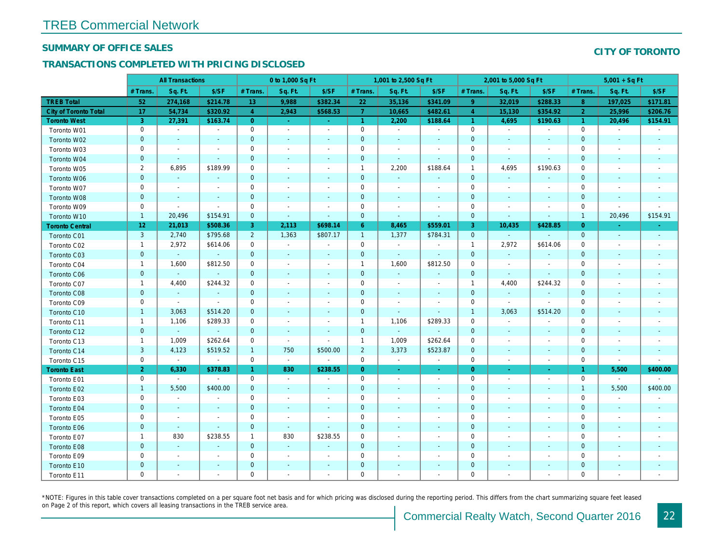#### SUMMARY OF OFFICE SALES

### TRANSACTIONS COMPLETED WITH PRICING DISCLOSED

|                              |                     | <b>All Transactions</b>     |                          |                | 0 to 1,000 Sq Ft         |                          |                      | 1,001 to 2,500 Sq Ft     |                          |                | 2,001 to 5,000 Sq Ft     |                          |
|------------------------------|---------------------|-----------------------------|--------------------------|----------------|--------------------------|--------------------------|----------------------|--------------------------|--------------------------|----------------|--------------------------|--------------------------|
|                              | # Trans             | Sq. Ft.                     | \$/SF                    | # Trans.       | Sq. Ft.                  | \$/SF                    | # Trans.             | Sq. Ft.                  | \$/SF                    | # Trans.       | Sq. Ft.                  | \$/SF                    |
| <b>TREB Total</b>            | 52                  | 274,168                     | \$214.78                 | 13             | 9,988                    | \$382.34                 | 22                   | 35,136                   | \$341.09                 | 9              | 32,019                   | \$288.33                 |
| <b>City of Toronto Total</b> | 17                  | 54,734                      | \$320.92                 | $\overline{4}$ | 2,943                    | \$568.53                 | $\mathbf{7}$         | 10,665                   | \$482.61                 | $\overline{4}$ | 15,130                   | \$354.92                 |
| <b>Toronto West</b>          | 3                   | 27,391                      | \$163.74                 | $\overline{0}$ | $\sim$                   | $\sim$                   | $\blacktriangleleft$ | 2,200                    | \$188.64                 | $\mathbf{1}$   | 4,695                    | \$190.63                 |
| Toronto W01                  | $\mathbf 0$         | $\sim$                      | $\sim$                   | $\mathbf 0$    | $\blacksquare$           | $\blacksquare$           | $\mathbf 0$          | $\sim$                   | $\blacksquare$           | 0              | $\blacksquare$           | $\sim$                   |
| Toronto W02                  | $\pmb{0}$           | $\blacksquare$              | $\blacksquare$           | $\mathbf{0}$   | $\sim$                   | $\overline{\phantom{a}}$ | $\pmb{0}$            | $\blacksquare$           |                          | $\mathbf 0$    | $\blacksquare$           | $\blacksquare$           |
| Toronto W03                  | $\mathbf 0$         | $\overline{\phantom{a}}$    | $\overline{\phantom{a}}$ | $\mathbf 0$    | $\blacksquare$           | $\blacksquare$           | 0                    | $\blacksquare$           | $\blacksquare$           | $\mathbf 0$    | $\sim$                   | $\sim$                   |
| Toronto W04                  | $\pmb{0}$           | $\sim$                      | $\blacksquare$           | $\mathbf{0}$   | $\blacksquare$           | $\blacksquare$           | $\pmb{0}$            | $\sim$                   | $\sim$                   | $\mathbf 0$    | $\sim$                   | $\blacksquare$           |
| Toronto W05                  | $\overline{2}$      | 6,895                       | \$189.99                 | $\mathbf 0$    | $\blacksquare$           | $\blacksquare$           | $\overline{1}$       | 2,200                    | \$188.64                 | $\mathbf{1}$   | 4,695                    | \$190.63                 |
| Toronto W06                  | $\pmb{0}$           | $\blacksquare$              | $\blacksquare$           | $\mathbf 0$    | $\blacksquare$           | $\blacksquare$           | $\mathbf 0$          | $\blacksquare$           |                          | $\mathbf 0$    | $\blacksquare$           |                          |
| Toronto W07                  | $\mathbf 0$         | $\sim$                      | $\sim$                   | $\mathbf 0$    | $\blacksquare$           | $\sim$                   | $\mathbf 0$          | $\blacksquare$           | $\overline{\phantom{a}}$ | $\pmb{0}$      | $\sim$                   | $\blacksquare$           |
| Toronto W08                  | $\pmb{0}$           | $\blacksquare$              | $\sim$                   | $\mathbf 0$    | $\sim$                   | $\blacksquare$           | $\pmb{0}$            | $\blacksquare$           | $\sim$                   | $\mathbf 0$    | $\blacksquare$           | $\overline{\phantom{a}}$ |
| Toronto W09                  | $\mathbf 0$         | $\blacksquare$              | $\sim$                   | $\mathbf 0$    | $\blacksquare$           | $\blacksquare$           | 0                    | $\blacksquare$           | $\blacksquare$           | $\mathbf 0$    | $\blacksquare$           | $\blacksquare$           |
| Toronto W10                  | $\mathbf{1}$        | 20,496                      | \$154.91                 | $\mathbf 0$    | $\blacksquare$           | $\blacksquare$           | $\mathbf 0$          | $\blacksquare$           | $\overline{\phantom{a}}$ | $\mathbf 0$    | $\blacksquare$           | $\sim$                   |
| <b>Toronto Central</b>       | 12                  | 21,013                      | \$508.36                 | 3              | 2,113                    | \$698.14                 | $6^{\circ}$          | 8,465                    | \$559.01                 | 3              | 10,435                   | \$428.8                  |
| Toronto C01                  | $\mathbf{3}$        | 2,740                       | \$795.68                 | $\overline{2}$ | 1,363                    | \$807.17                 | $\overline{1}$       | 1,377                    | \$784.31                 | $\mathbf{0}$   | $\blacksquare$           | $\mathbf{r}$             |
| Toronto C02                  | $\mathbf{1}$        | 2,972                       | \$614.06                 | $\mathbf 0$    | $\mathbf{r}$             | $\blacksquare$           | 0                    | $\blacksquare$           | $\blacksquare$           | $\mathbf{1}$   | 2,972                    | \$614.06                 |
| Toronto C03                  | $\pmb{0}$           | $\blacksquare$              | $\blacksquare$           | $\mathbf 0$    | $\blacksquare$           | ٠                        | 0                    | $\blacksquare$           |                          | $\mathbf 0$    | $\blacksquare$           | $\blacksquare$           |
| Toronto C04                  | $\mathbf{1}$        | 1,600                       | \$812.50                 | $\mathbf 0$    | $\sim$                   | $\overline{a}$           | $\overline{1}$       | 1,600                    | \$812.50                 | $\mathbf 0$    | $\overline{\phantom{a}}$ | $\overline{\phantom{a}}$ |
| Toronto C06                  | $\mathbf{0}$        | $\omega$                    | $\omega$                 | $\mathbf{0}$   | $\blacksquare$           | $\blacksquare$           | $\pmb{0}$            | $\blacksquare$           |                          | $\mathbf 0$    | $\blacksquare$           | $\sim$                   |
| Toronto C07                  | $\mathbf{1}$        | 4,400                       | \$244.32                 | $\mathbf 0$    | $\sim$                   | $\overline{a}$           | 0                    | $\blacksquare$           | $\blacksquare$           | $\mathbf{1}$   | 4,400                    | \$244.32                 |
| <b>Toronto C08</b>           | $\mathbf 0$         | $\sim$                      | $\blacksquare$           | $\mathbf{0}$   | $\overline{\phantom{a}}$ | $\blacksquare$           | $\mathbf 0$          | $\blacksquare$           |                          | $\mathbf{0}$   | $\blacksquare$           | $\blacksquare$           |
| Toronto C09                  | $\mathbf 0$         | $\blacksquare$              | $\sim$                   | $\mathbf 0$    |                          | $\blacksquare$           | $\pmb{0}$            | $\blacksquare$           | ÷,                       | $\pmb{0}$      | $\sim$                   | $\sim$                   |
| Toronto C10                  | $\mathbf{1}$        | 3,063                       | \$514.20                 | $\mathbf{0}$   | $\blacksquare$           | $\blacksquare$           | $\pmb{0}$            | $\sim$                   | $\blacksquare$           | $\mathbf{1}$   | 3,063                    | \$514.20                 |
| Toronto C11                  | $\mathbf{1}$        | 1,106                       | \$289.33                 | 0              | $\blacksquare$           | $\overline{a}$           | $\overline{1}$       | 1,106                    | \$289.33                 | $\mathbf 0$    | $\blacksquare$           | $\blacksquare$           |
| Toronto C12                  | $\mathbf 0$         | $\mathcal{L}_{\mathcal{C}}$ | $\blacksquare$           | $\mathbf{0}$   | $\sim$                   | $\overline{\phantom{a}}$ | $\mathbf 0$          | $\blacksquare$           |                          | $\mathbf 0$    | $\sim$                   | $\sim$                   |
| Toronto C13                  | $\mathbf{1}$        | 1,009                       | \$262.64                 | $\mathbf 0$    | $\sim$                   | $\sim$                   | $\overline{1}$       | 1,009                    | \$262.64                 | $\mathbf 0$    | $\sim$                   | $\blacksquare$           |
| Toronto C14                  | $\mathbf{3}$        | 4,123                       | \$519.52                 | $\mathbf{1}$   | 750                      | \$500.00                 | $\overline{2}$       | 3,373                    | \$523.87                 | $\mathbf 0$    | $\sim$                   | $\sim$                   |
| Toronto C15                  | $\mathsf{O}\xspace$ | $\sim$                      | $\blacksquare$           | $\mathbf 0$    | $\sim$                   | $\blacksquare$           | $\mathbf 0$          | $\blacksquare$           | $\blacksquare$           | $\pmb{0}$      | $\overline{\phantom{a}}$ | $\blacksquare$           |
| <b>Toronto East</b>          | 2 <sup>1</sup>      | 6,330                       | \$378.83                 | $\mathbf{1}$   | 830                      | \$238.55                 | $\overline{0}$       | $\sim$                   | $\sim$                   | $\overline{0}$ | $\blacksquare$           | $\sim$                   |
| Toronto E01                  | $\mathbf 0$         | $\omega$                    | $\sim$                   | $\mathbf 0$    | $\blacksquare$           | $\blacksquare$           | $\mathbf 0$          | $\blacksquare$           | $\sim$                   | 0              | $\sim$                   | $\sim$                   |
| Toronto E02                  | $\mathbf{1}$        | 5,500                       | \$400.00                 | $\mathbf{0}$   | $\sim$                   | $\sim$                   | $\pmb{0}$            | $\sim$                   | $\sim$                   | $\mathbf 0$    | $\overline{\phantom{a}}$ | $\sim$                   |
| Toronto E03                  | $\mathbf 0$         | $\blacksquare$              | $\overline{\phantom{a}}$ | 0              | $\blacksquare$           | $\blacksquare$           | 0                    | $\overline{\phantom{a}}$ | $\blacksquare$           | $\mathbf 0$    | $\blacksquare$           | $\overline{\phantom{a}}$ |
| Toronto E04                  | $\mathbf 0$         | $\sim$                      | $\sim$                   | $\mathbf{0}$   | $\sim$                   | $\sim$                   | $\mathbf 0$          | $\omega$                 | $\sim$                   | $\mathbf{0}$   | $\sim$                   | $\blacksquare$           |
| Toronto E05                  | $\mathbf 0$         | $\blacksquare$              | $\blacksquare$           | $\mathbf 0$    | $\blacksquare$           | $\blacksquare$           | $\mathbf 0$          | $\blacksquare$           | $\blacksquare$           | $\mathbf 0$    | $\overline{\phantom{a}}$ | $\overline{\phantom{a}}$ |
| Toronto E06                  | $\pmb{0}$           | $\blacksquare$              | $\blacksquare$           | $\mathbf{0}$   | $\blacksquare$           | $\overline{\phantom{a}}$ | $\mathbf 0$          | $\blacksquare$           |                          | $\mathbf 0$    |                          |                          |
| Toronto E07                  | $\mathbf{1}$        | 830                         | \$238.55                 | $\mathbf{1}$   | 830                      | \$238.55                 | 0                    | $\blacksquare$           | $\blacksquare$           | $\mathbf 0$    | $\blacksquare$           | $\overline{\phantom{a}}$ |
| Toronto E08                  | $\pmb{0}$           | $\blacksquare$              | $\Delta$                 | $\mathbf{0}$   | $\mathbf{u}$             | $\blacksquare$           | $\mathbf 0$          | $\blacksquare$           | $\sim$                   | $\mathbf 0$    |                          |                          |
| Toronto E09                  | $\mathbf 0$         | $\sim$                      | $\blacksquare$           | $\mathbf 0$    | $\blacksquare$           | $\blacksquare$           | $\pmb{0}$            | $\blacksquare$           | $\blacksquare$           | $\mathbf 0$    | $\blacksquare$           | $\blacksquare$           |
| Toronto E10                  | $\pmb{0}$           | $\overline{\phantom{a}}$    | $\blacksquare$           | $\mathbf 0$    | $\sim$                   | $\blacksquare$           | $\mathbf 0$          | $\overline{\phantom{a}}$ |                          | $\pmb{0}$      |                          |                          |
| Toronto E11                  | $\mathbf 0$         | $\blacksquare$              | $\blacksquare$           | $\mathbf 0$    | $\blacksquare$           | $\blacksquare$           | 0                    | $\blacksquare$           | $\overline{\phantom{a}}$ | $\mathbf 0$    | $\blacksquare$           | $\blacksquare$           |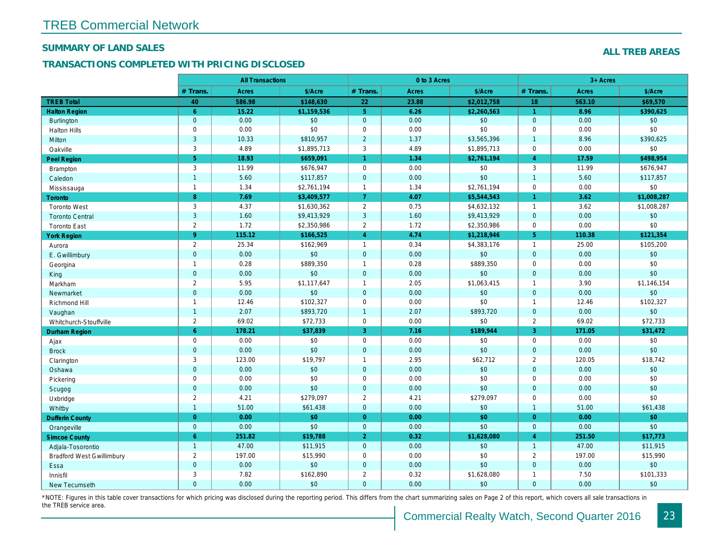## SUMMARY OF LAND SALES

### TRANSACTIONS COMPLETED WITH PRICING DISCLOSED

|                                  |                | <b>All Transactions</b> |             |                      | 0 to 3 Acres |             |                      |
|----------------------------------|----------------|-------------------------|-------------|----------------------|--------------|-------------|----------------------|
|                                  | # Trans.       | Acres                   | \$/Acre     | # Trans.             | <b>Acres</b> | \$/Acre     | # Trans.             |
| <b>TREB Total</b>                | 40             | 586.98                  | \$148,630   | 22                   | 23.88        | \$2,012,758 | 18                   |
| <b>Halton Region</b>             | 6              | 15.22                   | \$1,159,536 | 5 <sup>5</sup>       | 6.26         | \$2,260,563 | $\blacktriangleleft$ |
| <b>Burlington</b>                | $\mathbf 0$    | 0.00                    | \$0         | $\mathbf{0}$         | 0.00         | \$0         | $\mathbf 0$          |
| <b>Halton Hills</b>              | $\mathbf 0$    | 0.00                    | \$0         | $\mathbf 0$          | 0.00         | \$0         | $\mathbf 0$          |
| Milton                           | 3              | 10.33                   | \$810,957   | $\overline{2}$       | 1.37         | \$3,565,396 | $\overline{1}$       |
| Oakville                         | 3              | 4.89                    | \$1,895,713 | 3                    | 4.89         | \$1,895,713 | $\mathbf 0$          |
| Peel Region                      | 5 <sup>5</sup> | 18.93                   | \$659,091   | $\blacktriangleleft$ | 1.34         | \$2,761,194 | $\overline{4}$       |
| Brampton                         | 3              | 11.99                   | \$676,947   | $\mathbf 0$          | 0.00         | \$0         | 3                    |
| Caledon                          | $\overline{1}$ | 5.60                    | \$117,857   | $\mathbf{0}$         | 0.00         | \$0         | $\overline{1}$       |
| Mississauga                      | $\mathbf{1}$   | 1.34                    | \$2,761,194 | $\mathbf{1}$         | 1.34         | \$2,761,194 | $\mathbf 0$          |
| Toronto                          | 8              | 7.69                    | \$3,409,577 | $\overline{7}$       | 4.07         | \$5,544,543 | $\mathbf{1}$         |
| <b>Toronto West</b>              | 3              | 4.37                    | \$1,630,362 | $\overline{2}$       | 0.75         | \$4,632,132 | $\overline{1}$       |
| <b>Toronto Central</b>           | 3              | 1.60                    | \$9,413,929 | 3                    | 1.60         | \$9,413,929 | $\mathbf{0}$         |
| <b>Toronto East</b>              | $\overline{2}$ | 1.72                    | \$2,350,986 | 2                    | 1.72         | \$2,350,986 | $\mathbf 0$          |
| <b>York Region</b>               | $9^{\circ}$    | 115.12                  | \$166,525   | $\overline{4}$       | 4.74         | \$1,218,946 | 5 <sup>5</sup>       |
| Aurora                           | $\overline{2}$ | 25.34                   | \$162,969   | $\mathbf{1}$         | 0.34         | \$4,383,176 | $\overline{1}$       |
| E. Gwillimbury                   | $\mathbf 0$    | 0.00                    | \$0         | $\mathbf 0$          | 0.00         | \$0         | $\overline{0}$       |
| Georgina                         | $\mathbf{1}$   | 0.28                    | \$889,350   | $\mathbf{1}$         | 0.28         | \$889,350   | $\mathbf 0$          |
| King                             | $\mathbf{0}$   | 0.00                    | \$0         | $\mathbf 0$          | 0.00         | \$0         | $\mathbf 0$          |
| Markham                          | $\overline{2}$ | 5.95                    | \$1,117,647 | $\mathbf{1}$         | 2.05         | \$1,063,415 | $\overline{1}$       |
| Newmarket                        | $\mathbf 0$    | 0.00                    | \$0         | $\mathbf{0}$         | 0.00         | $$0$$       | $\mathbf 0$          |
| Richmond Hill                    | $\mathbf{1}$   | 12.46                   | \$102,327   | $\mathbf 0$          | 0.00         | \$0         | $\overline{1}$       |
| Vaughan                          | $\overline{1}$ | 2.07                    | \$893,720   | $\overline{1}$       | 2.07         | \$893,720   | $\mathbf{0}$         |
| Whitchurch-Stouffville           | $\overline{2}$ | 69.02                   | \$72,733    | $\mathsf 0$          | 0.00         | \$0         | $\overline{2}$       |
| <b>Durham Region</b>             | $6^{\circ}$    | 178.21                  | \$37,839    | 3                    | 7.16         | \$189,944   | $\mathbf{3}$         |
| Ajax                             | $\mathsf 0$    | 0.00                    | \$0         | $\mathsf 0$          | 0.00         | \$0         | $\mathbf 0$          |
| <b>Brock</b>                     | $\mathbf 0$    | 0.00                    | \$0         | $\mathbf{0}$         | 0.00         | \$0         | $\mathbf{0}$         |
| Clarington                       | 3              | 123.00                  | \$19,797    | $\mathbf{1}$         | 2.95         | \$62,712    | 2                    |
| Oshawa                           | $\mathbf 0$    | 0.00                    | \$0         | $\mathbf{0}$         | 0.00         | \$0         | $\mathbf 0$          |
| Pickering                        | $\mathsf 0$    | 0.00                    | \$0         | $\mathbf 0$          | 0.00         | \$0         | $\mathbf 0$          |
| Scugog                           | $\mathbf{0}$   | 0.00                    | \$0         | $\mathbf{0}$         | 0.00         | \$0         | $\Omega$             |
| Uxbridge                         | $\overline{2}$ | 4.21                    | \$279,097   | 2                    | 4.21         | \$279,097   | $\mathbf 0$          |
| Whitby                           | $\overline{1}$ | 51.00                   | \$61,438    | $\mathbf{0}$         | 0.00         | \$0         | $\overline{1}$       |
| <b>Dufferin County</b>           | $\overline{0}$ | 0.00                    | \$0         | $\overline{0}$       | 0.00         | \$0         | $\overline{0}$       |
| Orangeville                      | $\mathbf{0}$   | 0.00                    | \$0         | $\mathbf{0}$         | 0.00         | \$0         | $\mathbf{0}$         |
| <b>Simcoe County</b>             | 6              | 251.82                  | \$19,788    | $\overline{2}$       | 0.32         | \$1,628,080 | $\overline{4}$       |
| Adjala-Tosorontio                | $\mathbf{1}$   | 47.00                   | \$11,915    | $\mathbf{0}$         | 0.00         | \$0         | $\overline{1}$       |
| <b>Bradford West Gwillimbury</b> | 2              | 197.00                  | \$15,990    | $\mathbf 0$          | 0.00         | \$0         | $\overline{2}$       |
| Essa                             | $\mathbf 0$    | 0.00                    | \$0         | $\mathbf 0$          | 0.00         | \$0         | $\overline{0}$       |
| Innisfil                         | 3              | 7.82                    | \$162,890   | 2                    | 0.32         | \$1,628,080 | $\overline{1}$       |
| <b>New Tecumseth</b>             | $\Omega$       | 0.00                    | \$0         | $\Omega$             | 0.00         | \$0         | $\Omega$             |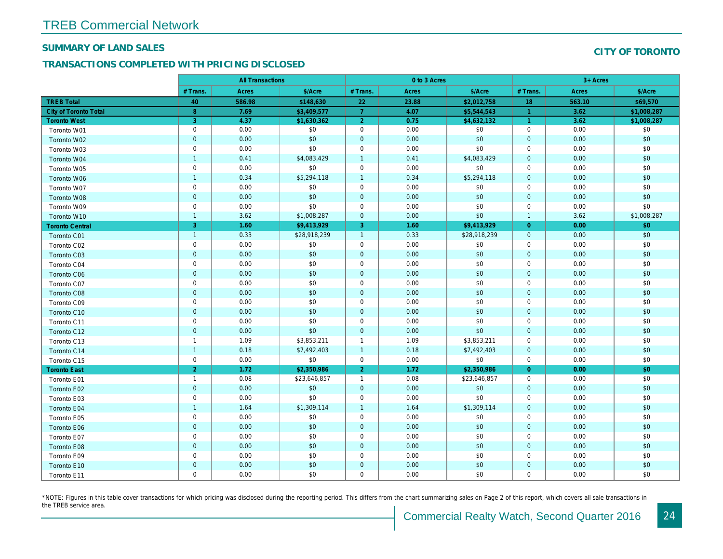#### SUMMARY OF LAND SALES

### TRANSACTIONS COMPLETED WITH PRICING DISCLOSED

|                              |                | <b>All Transactions</b> |              |                | 0 to 3 Acres |              |                |  |
|------------------------------|----------------|-------------------------|--------------|----------------|--------------|--------------|----------------|--|
|                              | # Trans.       | Acres                   | \$/Acre      | # Trans.       | Acres        | \$/Acre      | # Trans.       |  |
| <b>TREB Total</b>            | 40             | 586.98                  | \$148,630    | 22             | 23.88        | \$2,012,758  | 18             |  |
| <b>City of Toronto Total</b> | 8              | 7.69                    | \$3,409,577  | $\overline{7}$ | 4.07         | \$5,544,543  | $\overline{1}$ |  |
| <b>Toronto West</b>          | 3              | 4.37                    | \$1,630,362  | $\overline{2}$ | 0.75         | \$4,632,132  | $\overline{1}$ |  |
| Toronto W01                  | $\pmb{0}$      | 0.00                    | \$0          | $\mathbf 0$    | 0.00         | \$0          | $\mathbf 0$    |  |
| Toronto W02                  | $\pmb{0}$      | 0.00                    | \$0          | $\pmb{0}$      | 0.00         | \$0          | $\mathbf{0}$   |  |
| Toronto W03                  | $\mathbf 0$    | 0.00                    | \$0          | $\mathbf 0$    | 0.00         | \$0          | $\mathbf 0$    |  |
| Toronto W04                  | $\mathbf{1}$   | 0.41                    | \$4,083,429  | $\overline{1}$ | 0.41         | \$4,083,429  | $\mathbf{0}$   |  |
| Toronto W05                  | $\mathbf 0$    | 0.00                    | \$0          | $\mathbf 0$    | 0.00         | \$0          | $\mathbf 0$    |  |
| Toronto W06                  | $\mathbf{1}$   | 0.34                    | \$5,294,118  | $\overline{1}$ | 0.34         | \$5,294,118  | $\mathbf{0}$   |  |
| Toronto W07                  | $\mathbf 0$    | 0.00                    | \$0          | $\mathbf 0$    | 0.00         | \$0          | $\mathbf 0$    |  |
| Toronto W08                  | $\mathbf 0$    | 0.00                    | \$0          | $\pmb{0}$      | 0.00         | \$0          | $\overline{0}$ |  |
| Toronto W09                  | $\mathbf 0$    | 0.00                    | \$0          | $\mathbf 0$    | 0.00         | \$0          | $\mathbf 0$    |  |
| Toronto W10                  | $\mathbf{1}$   | 3.62                    | \$1,008,287  | $\mathbf 0$    | 0.00         | \$0          | $\mathbf{1}$   |  |
| <b>Toronto Central</b>       | 3              | 1.60                    | \$9,413,929  | 3              | 1.60         | \$9,413,929  | $\overline{0}$ |  |
| Toronto C01                  | $\overline{1}$ | 0.33                    | \$28,918,239 | $\overline{1}$ | 0.33         | \$28,918,239 | $\overline{0}$ |  |
| Toronto C02                  | $\pmb{0}$      | 0.00                    | \$0          | $\mathbf 0$    | 0.00         | \$0          | $\mathbf 0$    |  |
| Toronto C03                  | $\pmb{0}$      | 0.00                    | \$0          | $\mathbf 0$    | 0.00         | \$0          | $\mathbf 0$    |  |
| Toronto C04                  | $\pmb{0}$      | 0.00                    | \$0          | $\mathbf 0$    | 0.00         | \$0          | $\mathbf 0$    |  |
| <b>Toronto C06</b>           | $\pmb{0}$      | 0.00                    | \$0          | $\overline{0}$ | 0.00         | \$0          | $\mathbf 0$    |  |
| Toronto C07                  | $\pmb{0}$      | 0.00                    | \$0          | $\mathbf 0$    | 0.00         | \$0          | $\mathbf 0$    |  |
| <b>Toronto C08</b>           | $\pmb{0}$      | 0.00                    | \$0          | $\mathbf 0$    | 0.00         | \$0          | $\mathbf 0$    |  |
| Toronto C09                  | $\pmb{0}$      | 0.00                    | \$0          | $\mathbf 0$    | 0.00         | \$0          | $\mathbf 0$    |  |
| Toronto C10                  | $\mathbf 0$    | 0.00                    | \$0          | $\mathbf 0$    | 0.00         | \$0          | $\mathbf 0$    |  |
| Toronto C11                  | $\pmb{0}$      | 0.00                    | \$0          | $\mathbf 0$    | 0.00         | \$0          | $\mathbf 0$    |  |
| Toronto C12                  | $\mathbf{0}$   | 0.00                    | \$0          | $\mathbf{0}$   | 0.00         | \$0          | $\mathbf{0}$   |  |
| Toronto C13                  | $\mathbf{1}$   | 1.09                    | \$3,853,211  | $\overline{1}$ | 1.09         | \$3,853,211  | $\mathbf 0$    |  |
| Toronto C14                  | $\mathbf{1}$   | 0.18                    | \$7,492,403  | $\overline{1}$ | 0.18         | \$7,492,403  | $\mathbf 0$    |  |
| Toronto C15                  | $\pmb{0}$      | 0.00                    | \$0          | $\pmb{0}$      | 0.00         | \$0          | $\mathbf 0$    |  |
| <b>Toronto East</b>          | $\overline{2}$ | 1.72                    | \$2,350,986  | $\overline{2}$ | 1.72         | \$2,350,986  | $\overline{0}$ |  |
| Toronto E01                  | $\mathbf{1}$   | 0.08                    | \$23,646,857 | $\overline{1}$ | 0.08         | \$23,646,857 | $\mathbf 0$    |  |
| Toronto E02                  | $\mathbf 0$    | 0.00                    | \$0          | $\mathbf 0$    | 0.00         | \$0          | $\mathbf 0$    |  |
| Toronto E03                  | $\pmb{0}$      | 0.00                    | \$0          | $\pmb{0}$      | 0.00         | \$0          | $\mathbf 0$    |  |
| <b>Toronto E04</b>           | $\overline{1}$ | 1.64                    | \$1,309,114  | $\overline{1}$ | 1.64         | \$1,309,114  | $\mathbf{0}$   |  |
| Toronto E05                  | $\pmb{0}$      | 0.00                    | \$0          | $\mathbf 0$    | 0.00         | \$0          | $\mathbf 0$    |  |
| Toronto E06                  | $\mathbf 0$    | 0.00                    | \$0          | $\mathbf 0$    | 0.00         | \$0          | $\mathbf{0}$   |  |
| Toronto E07                  | $\pmb{0}$      | 0.00                    | \$0          | $\mathbf 0$    | 0.00         | \$0          | $\mathbf 0$    |  |
| <b>Toronto E08</b>           | $\mathbf 0$    | 0.00                    | \$0          | $\mathbf 0$    | 0.00         | \$0          | $\mathbf{0}$   |  |
| Toronto E09                  | $\mathbf 0$    | 0.00                    | \$0          | $\mathbf 0$    | 0.00         | \$0          | $\mathbf 0$    |  |
| Toronto E10                  | $\mathbf 0$    | 0.00                    | \$0          | $\mathbf 0$    | 0.00         | \$0          | $\mathbf 0$    |  |
| Toronto E11                  | $\mathbf 0$    | 0.00                    | \$0          | $\mathbf 0$    | 0.00         | \$0          | $\mathbf 0$    |  |